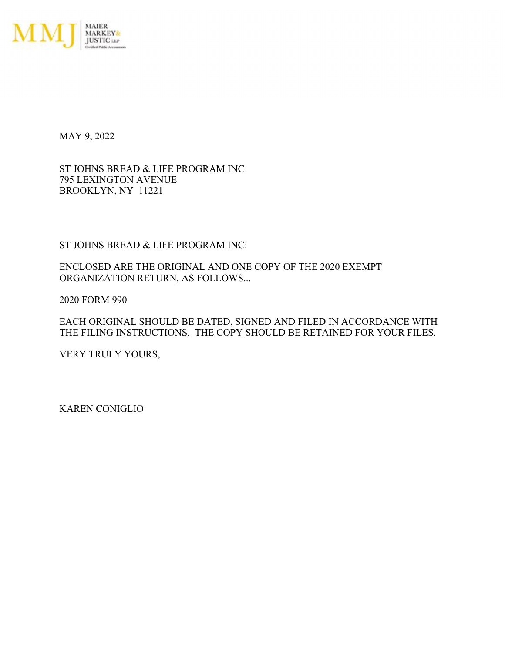

MAY 9, 2022

ST JOHNS BREAD & LIFE PROGRAM INC 795 LEXINGTON AVENUE BROOKLYN, NY 11221

ST JOHNS BREAD & LIFE PROGRAM INC:

ENCLOSED ARE THE ORIGINAL AND ONE COPY OF THE 2020 EXEMPT ORGANIZATION RETURN, AS FOLLOWS...

2020 FORM 990

EACH ORIGINAL SHOULD BE DATED, SIGNED AND FILED IN ACCORDANCE WITH THE FILING INSTRUCTIONS. THE COPY SHOULD BE RETAINED FOR YOUR FILES.

VERY TRULY YOURS,

KAREN CONIGLIO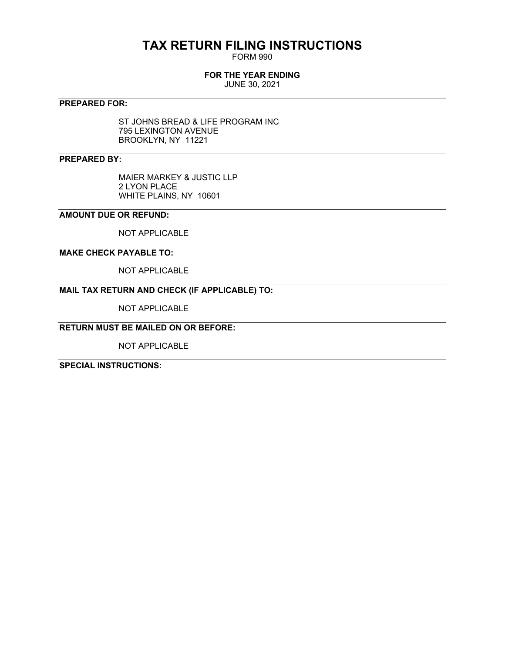# **TAX RETURN FILING INSTRUCTIONS**

FORM 990

## **FOR THE YEAR ENDING**

JUNE 30, 2021

## **PREPARED FOR:**

ST JOHNS BREAD & LIFE PROGRAM INC 795 LEXINGTON AVENUE BROOKLYN, NY 11221

## **PREPARED BY:**

MAIER MARKEY & JUSTIC LLP 2 LYON PLACE WHITE PLAINS, NY 10601

## **AMOUNT DUE OR REFUND:**

NOT APPLICABLE

## **MAKE CHECK PAYABLE TO:**

NOT APPLICABLE

## **MAIL TAX RETURN AND CHECK (IF APPLICABLE) TO:**

NOT APPLICABLE

# **RETURN MUST BE MAILED ON OR BEFORE:**

NOT APPLICABLE

**SPECIAL INSTRUCTIONS:**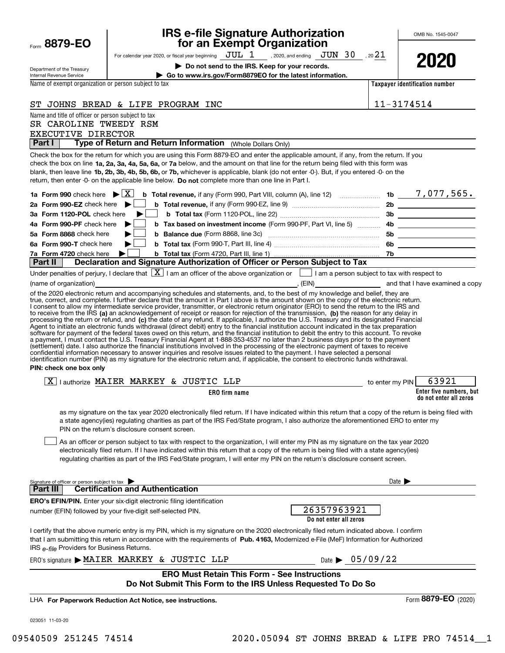| Form 8879-EO                                              | <b>IRS e-file Signature Authorization</b><br>for an Exempt Organization                                                                                                                                                                                                                                                                                                                                                                                                                                                                                                                                                                                                                                                                                   |                                | OMB No. 1545-0047       |
|-----------------------------------------------------------|-----------------------------------------------------------------------------------------------------------------------------------------------------------------------------------------------------------------------------------------------------------------------------------------------------------------------------------------------------------------------------------------------------------------------------------------------------------------------------------------------------------------------------------------------------------------------------------------------------------------------------------------------------------------------------------------------------------------------------------------------------------|--------------------------------|-------------------------|
|                                                           | For calendar year 2020, or fiscal year beginning $JUL$ $1$ , 2020, and ending $JUN$ $30$ , 20 $21$                                                                                                                                                                                                                                                                                                                                                                                                                                                                                                                                                                                                                                                        |                                |                         |
|                                                           | Do not send to the IRS. Keep for your records.                                                                                                                                                                                                                                                                                                                                                                                                                                                                                                                                                                                                                                                                                                            |                                | 2020                    |
| Department of the Treasury<br>Internal Revenue Service    | Go to www.irs.gov/Form8879EO for the latest information.                                                                                                                                                                                                                                                                                                                                                                                                                                                                                                                                                                                                                                                                                                  |                                |                         |
| Name of exempt organization or person subject to tax      |                                                                                                                                                                                                                                                                                                                                                                                                                                                                                                                                                                                                                                                                                                                                                           | Taxpayer identification number |                         |
|                                                           | ST JOHNS BREAD & LIFE PROGRAM INC                                                                                                                                                                                                                                                                                                                                                                                                                                                                                                                                                                                                                                                                                                                         | 11-3174514                     |                         |
| Name and title of officer or person subject to tax        |                                                                                                                                                                                                                                                                                                                                                                                                                                                                                                                                                                                                                                                                                                                                                           |                                |                         |
| SR CAROLINE TWEEDY RSM                                    |                                                                                                                                                                                                                                                                                                                                                                                                                                                                                                                                                                                                                                                                                                                                                           |                                |                         |
| EXECUTIVE DIRECTOR                                        |                                                                                                                                                                                                                                                                                                                                                                                                                                                                                                                                                                                                                                                                                                                                                           |                                |                         |
| Part I                                                    | Type of Return and Return Information (Whole Dollars Only)                                                                                                                                                                                                                                                                                                                                                                                                                                                                                                                                                                                                                                                                                                |                                |                         |
|                                                           | Check the box for the return for which you are using this Form 8879-EO and enter the applicable amount, if any, from the return. If you<br>check the box on line 1a, 2a, 3a, 4a, 5a, 6a, or 7a below, and the amount on that line for the return being filed with this form was<br>blank, then leave line 1b, 2b, 3b, 4b, 5b, 6b, or 7b, whichever is applicable, blank (do not enter -0-). But, if you entered -0- on the<br>return, then enter -0- on the applicable line below. Do not complete more than one line in Part I.                                                                                                                                                                                                                          |                                |                         |
|                                                           |                                                                                                                                                                                                                                                                                                                                                                                                                                                                                                                                                                                                                                                                                                                                                           |                                |                         |
| 2a Form 990-EZ check here $\blacktriangleright$           |                                                                                                                                                                                                                                                                                                                                                                                                                                                                                                                                                                                                                                                                                                                                                           |                                |                         |
| 3a Form 1120-POL check here<br>4a Form 990-PF check here  | ▶                                                                                                                                                                                                                                                                                                                                                                                                                                                                                                                                                                                                                                                                                                                                                         |                                |                         |
| 5a Form 8868 check here                                   |                                                                                                                                                                                                                                                                                                                                                                                                                                                                                                                                                                                                                                                                                                                                                           |                                |                         |
| 6a Form 990-T check here                                  | ▶∣                                                                                                                                                                                                                                                                                                                                                                                                                                                                                                                                                                                                                                                                                                                                                        |                                |                         |
| 7a Form 4720 check here                                   |                                                                                                                                                                                                                                                                                                                                                                                                                                                                                                                                                                                                                                                                                                                                                           |                                |                         |
| Part II                                                   | Declaration and Signature Authorization of Officer or Person Subject to Tax                                                                                                                                                                                                                                                                                                                                                                                                                                                                                                                                                                                                                                                                               |                                |                         |
|                                                           | Under penalties of perjury, I declare that $\boxed{\mathbf{X}}$ I am an officer of the above organization or $\boxed{\phantom{\mathbf{X}}}$ I am a person subject to tax with respect to                                                                                                                                                                                                                                                                                                                                                                                                                                                                                                                                                                  |                                |                         |
|                                                           | of the 2020 electronic return and accompanying schedules and statements, and, to the best of my knowledge and belief, they are                                                                                                                                                                                                                                                                                                                                                                                                                                                                                                                                                                                                                            |                                |                         |
| PIN: check one box only                                   | a payment, I must contact the U.S. Treasury Financial Agent at 1-888-353-4537 no later than 2 business days prior to the payment<br>(settlement) date. I also authorize the financial institutions involved in the processing of the electronic payment of taxes to receive<br>confidential information necessary to answer inquiries and resolve issues related to the payment. I have selected a personal<br>identification number (PIN) as my signature for the electronic return and, if applicable, the consent to electronic funds withdrawal.                                                                                                                                                                                                      |                                |                         |
|                                                           | $\boxed{X}$   authorize MAIER MARKEY & JUSTIC LLP<br>to enter my PIN                                                                                                                                                                                                                                                                                                                                                                                                                                                                                                                                                                                                                                                                                      |                                | 63921                   |
|                                                           | ERO firm name                                                                                                                                                                                                                                                                                                                                                                                                                                                                                                                                                                                                                                                                                                                                             |                                | Enter five numbers, but |
|                                                           | as my signature on the tax year 2020 electronically filed return. If I have indicated within this return that a copy of the return is being filed with<br>a state agency(ies) regulating charities as part of the IRS Fed/State program, I also authorize the aforementioned ERO to enter my<br>PIN on the return's disclosure consent screen.<br>As an officer or person subject to tax with respect to the organization, I will enter my PIN as my signature on the tax year 2020<br>electronically filed return. If I have indicated within this return that a copy of the return is being filed with a state agency(ies)<br>regulating charities as part of the IRS Fed/State program, I will enter my PIN on the return's disclosure consent screen. |                                | do not enter all zeros  |
| Signature of officer or person subject to tax<br>Part III | <b>Certification and Authentication</b>                                                                                                                                                                                                                                                                                                                                                                                                                                                                                                                                                                                                                                                                                                                   | Date $\blacktriangleright$     |                         |
|                                                           | <b>ERO's EFIN/PIN.</b> Enter your six-digit electronic filing identification                                                                                                                                                                                                                                                                                                                                                                                                                                                                                                                                                                                                                                                                              |                                |                         |
|                                                           | 26357963921<br>number (EFIN) followed by your five-digit self-selected PIN.<br>Do not enter all zeros                                                                                                                                                                                                                                                                                                                                                                                                                                                                                                                                                                                                                                                     |                                |                         |
| IRS e-file Providers for Business Returns.                | I certify that the above numeric entry is my PIN, which is my signature on the 2020 electronically filed return indicated above. I confirm<br>that I am submitting this return in accordance with the requirements of Pub. 4163, Modernized e-File (MeF) Information for Authorized                                                                                                                                                                                                                                                                                                                                                                                                                                                                       |                                |                         |
|                                                           | Date $\triangleright$ 05/09/22<br>ERO's signature MAIER MARKEY & JUSTIC LLP                                                                                                                                                                                                                                                                                                                                                                                                                                                                                                                                                                                                                                                                               |                                |                         |
|                                                           | <b>ERO Must Retain This Form - See Instructions</b><br>Do Not Submit This Form to the IRS Unless Requested To Do So                                                                                                                                                                                                                                                                                                                                                                                                                                                                                                                                                                                                                                       |                                |                         |
|                                                           | LHA For Paperwork Reduction Act Notice, see instructions.                                                                                                                                                                                                                                                                                                                                                                                                                                                                                                                                                                                                                                                                                                 |                                | Form 8879-EO (2020)     |
| 023051 11-03-20                                           |                                                                                                                                                                                                                                                                                                                                                                                                                                                                                                                                                                                                                                                                                                                                                           |                                |                         |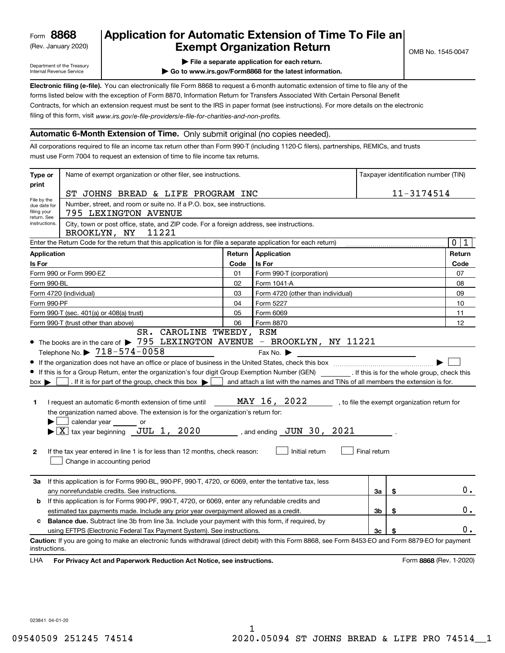(Rev. January 2020)

# **Application for Automatic Extension of Time To File an Exempt Organization Return**

Department of the Treasury Internal Revenue Service

**| File a separate application for each return.**

**| Go to www.irs.gov/Form8868 for the latest information.**

**Electronic filing (e-file).**  You can electronically file Form 8868 to request a 6-month automatic extension of time to file any of the filing of this form, visit www.irs.gov/e-file-providers/e-file-for-charities-and-non-profits. forms listed below with the exception of Form 8870, Information Return for Transfers Associated With Certain Personal Benefit Contracts, for which an extension request must be sent to the IRS in paper format (see instructions). For more details on the electronic

#### **Automatic 6-Month Extension of Time.** Only submit original (no copies needed).

All corporations required to file an income tax return other than Form 990-T (including 1120-C filers), partnerships, REMICs, and trusts must use Form 7004 to request an extension of time to file income tax returns.

| Type or                                                                                                                                                     | Name of exempt organization or other filer, see instructions.                                                                                                                                                                                                                                                                                                                                                                                                                                                                                                                                                                                                           |            |                                                                                                                                                                                  | Taxpayer identification number (TIN) |    |                                              |  |
|-------------------------------------------------------------------------------------------------------------------------------------------------------------|-------------------------------------------------------------------------------------------------------------------------------------------------------------------------------------------------------------------------------------------------------------------------------------------------------------------------------------------------------------------------------------------------------------------------------------------------------------------------------------------------------------------------------------------------------------------------------------------------------------------------------------------------------------------------|------------|----------------------------------------------------------------------------------------------------------------------------------------------------------------------------------|--------------------------------------|----|----------------------------------------------|--|
| print                                                                                                                                                       | ST JOHNS BREAD & LIFE PROGRAM INC                                                                                                                                                                                                                                                                                                                                                                                                                                                                                                                                                                                                                                       | 11-3174514 |                                                                                                                                                                                  |                                      |    |                                              |  |
| File by the<br>Number, street, and room or suite no. If a P.O. box, see instructions.<br>due date for<br>filing your<br>795 LEXINGTON AVENUE<br>return. See |                                                                                                                                                                                                                                                                                                                                                                                                                                                                                                                                                                                                                                                                         |            |                                                                                                                                                                                  |                                      |    |                                              |  |
| instructions.                                                                                                                                               | City, town or post office, state, and ZIP code. For a foreign address, see instructions.<br>11221<br>BROOKLYN, NY                                                                                                                                                                                                                                                                                                                                                                                                                                                                                                                                                       |            |                                                                                                                                                                                  |                                      |    |                                              |  |
|                                                                                                                                                             | Enter the Return Code for the return that this application is for (file a separate application for each return)                                                                                                                                                                                                                                                                                                                                                                                                                                                                                                                                                         |            |                                                                                                                                                                                  |                                      |    | $\mathbf 0$<br>1                             |  |
| Application                                                                                                                                                 |                                                                                                                                                                                                                                                                                                                                                                                                                                                                                                                                                                                                                                                                         | Return     | Application                                                                                                                                                                      |                                      |    | Return                                       |  |
| Is For                                                                                                                                                      |                                                                                                                                                                                                                                                                                                                                                                                                                                                                                                                                                                                                                                                                         | Code       | Is For                                                                                                                                                                           |                                      |    | Code                                         |  |
|                                                                                                                                                             | Form 990 or Form 990-EZ                                                                                                                                                                                                                                                                                                                                                                                                                                                                                                                                                                                                                                                 | 01         | Form 990-T (corporation)                                                                                                                                                         |                                      |    | 07                                           |  |
| Form 990-BL                                                                                                                                                 |                                                                                                                                                                                                                                                                                                                                                                                                                                                                                                                                                                                                                                                                         | 02         | Form 1041-A                                                                                                                                                                      |                                      |    | 08                                           |  |
|                                                                                                                                                             | Form 4720 (individual)                                                                                                                                                                                                                                                                                                                                                                                                                                                                                                                                                                                                                                                  | 03         | Form 4720 (other than individual)                                                                                                                                                |                                      |    | 09                                           |  |
| Form 990-PF                                                                                                                                                 |                                                                                                                                                                                                                                                                                                                                                                                                                                                                                                                                                                                                                                                                         | 04         | Form 5227                                                                                                                                                                        |                                      |    | 10                                           |  |
|                                                                                                                                                             | Form 990-T (sec. 401(a) or 408(a) trust)                                                                                                                                                                                                                                                                                                                                                                                                                                                                                                                                                                                                                                | 05         | Form 6069                                                                                                                                                                        |                                      |    | 11                                           |  |
|                                                                                                                                                             | Form 990-T (trust other than above)<br>SR. CAROLINE TWEEDY, RSM                                                                                                                                                                                                                                                                                                                                                                                                                                                                                                                                                                                                         | 06         | Form 8870                                                                                                                                                                        |                                      |    | 12                                           |  |
| $box \blacktriangleright$<br>1<br>$\mathbf{2}$                                                                                                              | Telephone No. $\triangleright$ $\frac{718-574-0058}{5}$<br>If this is for a Group Return, enter the organization's four digit Group Exemption Number (GEN) _________. If this is for the whole group, check this<br>. If it is for part of the group, check this box $\blacktriangleright$<br>I request an automatic 6-month extension of time until<br>the organization named above. The extension is for the organization's return for:<br>calendar year or<br>$\blacktriangleright$ $\boxed{\text{X}}$ tax year beginning $\boxed{\text{JUL}}$ 1, 2020<br>If the tax year entered in line 1 is for less than 12 months, check reason:<br>Change in accounting period |            | Fax No. $\blacktriangleright$<br>and attach a list with the names and TINs of all members the extension is for.<br>MAY 16, 2022<br>, and ending $JUN$ 30, 2021<br>Initial return | Final return                         |    | , to file the exempt organization return for |  |
| За                                                                                                                                                          | If this application is for Forms 990-BL, 990-PF, 990-T, 4720, or 6069, enter the tentative tax, less<br>any nonrefundable credits. See instructions.                                                                                                                                                                                                                                                                                                                                                                                                                                                                                                                    |            |                                                                                                                                                                                  | За                                   | \$ | $0$ .                                        |  |
| b                                                                                                                                                           | If this application is for Forms 990-PF, 990-T, 4720, or 6069, enter any refundable credits and                                                                                                                                                                                                                                                                                                                                                                                                                                                                                                                                                                         |            |                                                                                                                                                                                  |                                      |    |                                              |  |
|                                                                                                                                                             | estimated tax payments made. Include any prior year overpayment allowed as a credit.                                                                                                                                                                                                                                                                                                                                                                                                                                                                                                                                                                                    |            |                                                                                                                                                                                  | 3b                                   | \$ | 0.                                           |  |
| c                                                                                                                                                           | <b>Balance due.</b> Subtract line 3b from line 3a. Include your payment with this form, if required, by<br>using EFTPS (Electronic Federal Tax Payment System). See instructions.                                                                                                                                                                                                                                                                                                                                                                                                                                                                                       |            |                                                                                                                                                                                  | 3c                                   | \$ | 0.                                           |  |
| instructions.<br>LHA                                                                                                                                        | Caution: If you are going to make an electronic funds withdrawal (direct debit) with this Form 8868, see Form 8453-EO and Form 8879-EO for payment<br>For Privacy Act and Paperwork Reduction Act Notice, see instructions.                                                                                                                                                                                                                                                                                                                                                                                                                                             |            |                                                                                                                                                                                  |                                      |    | Form 8868 (Rev. 1-2020)                      |  |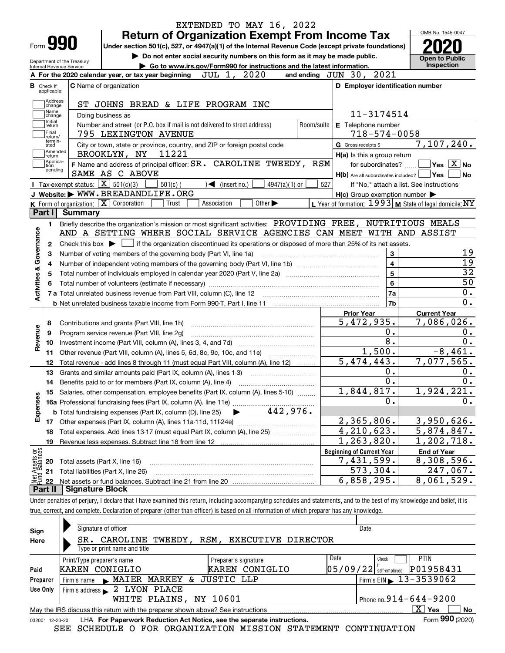|                                  |                                                                                                           | EXTENDED TO MAY 16, 2022<br><b>Return of Organization Exempt From Income Tax</b>                                                            |                                                           | OMB No. 1545-0047                      |  |  |  |  |
|----------------------------------|-----------------------------------------------------------------------------------------------------------|---------------------------------------------------------------------------------------------------------------------------------------------|-----------------------------------------------------------|----------------------------------------|--|--|--|--|
| Form <b>990</b>                  |                                                                                                           | Under section 501(c), 527, or 4947(a)(1) of the Internal Revenue Code (except private foundations)                                          |                                                           |                                        |  |  |  |  |
|                                  | Do not enter social security numbers on this form as it may be made public.<br>Department of the Treasury |                                                                                                                                             |                                                           |                                        |  |  |  |  |
| Internal Revenue Service         | Go to www.irs.gov/Form990 for instructions and the latest information.                                    | <b>Inspection</b>                                                                                                                           |                                                           |                                        |  |  |  |  |
|                                  |                                                                                                           | 2020<br>JUL 1,<br>A For the 2020 calendar year, or tax year beginning                                                                       | and ending JUN 30, 2021                                   |                                        |  |  |  |  |
| <b>B</b> Check if<br>applicable: |                                                                                                           | <b>C</b> Name of organization                                                                                                               | D Employer identification number                          |                                        |  |  |  |  |
| Address<br>change                |                                                                                                           | ST JOHNS BREAD & LIFE PROGRAM INC                                                                                                           |                                                           |                                        |  |  |  |  |
| Name<br>change                   |                                                                                                           | Doing business as                                                                                                                           | 11-3174514                                                |                                        |  |  |  |  |
| Initial<br>return                |                                                                                                           | Number and street (or P.O. box if mail is not delivered to street address)<br>Room/suite                                                    | E Telephone number                                        |                                        |  |  |  |  |
| Final<br>return/                 |                                                                                                           | 795 LEXINGTON AVENUE                                                                                                                        | $718 - 574 - 0058$                                        |                                        |  |  |  |  |
| termin-<br>ated                  |                                                                                                           | City or town, state or province, country, and ZIP or foreign postal code                                                                    | G Gross receipts \$                                       | 7,107,240.                             |  |  |  |  |
| Amended<br>return]               |                                                                                                           | BROOKLYN, NY<br>11221                                                                                                                       | H(a) Is this a group return                               |                                        |  |  |  |  |
| Applica-<br>tion                 |                                                                                                           | F Name and address of principal officer: SR. CAROLINE TWEEDY, RSM                                                                           | for subordinates?                                         | $\sqrt{}$ Yes $\sqrt{}$ X $\sqrt{}$ No |  |  |  |  |
| pending                          |                                                                                                           | SAME AS C ABOVE                                                                                                                             | $H(b)$ Are all subordinates included? $\Box$ Yes          | l No                                   |  |  |  |  |
|                                  |                                                                                                           | Tax-exempt status: $\boxed{\mathbf{X}}$ 501(c)(3)<br>$501(c)$ (<br>$\blacktriangleleft$ (insert no.)<br>4947(a)(1) or                       | 527<br>If "No," attach a list. See instructions           |                                        |  |  |  |  |
|                                  |                                                                                                           | J Website: WWW.BREADANDLIFE.ORG                                                                                                             | $H(c)$ Group exemption number $\blacktriangleright$       |                                        |  |  |  |  |
| Part I                           |                                                                                                           | K Form of organization: $\boxed{\mathbf{X}}$ Corporation<br>Other $\blacktriangleright$<br>Trust<br>Association                             | L Year of formation: $1993$ M State of legal domicile: NY |                                        |  |  |  |  |
|                                  | Summary                                                                                                   |                                                                                                                                             |                                                           |                                        |  |  |  |  |
| 1.                               |                                                                                                           | Briefly describe the organization's mission or most significant activities: PROVIDING FREE, NUTRITIOUS MEALS                                |                                                           |                                        |  |  |  |  |
| Governance                       |                                                                                                           | AND A SETTING WHERE SOCIAL SERVICE AGENCIES CAN MEET WITH AND ASSIST                                                                        |                                                           |                                        |  |  |  |  |
| 2                                |                                                                                                           | Check this box $\blacktriangleright$ $\Box$ if the organization discontinued its operations or disposed of more than 25% of its net assets. |                                                           |                                        |  |  |  |  |
| З                                |                                                                                                           | Number of voting members of the governing body (Part VI, line 1a)                                                                           | 3<br>$\overline{\mathbf{4}}$                              | 19<br>19                               |  |  |  |  |
| 4                                |                                                                                                           |                                                                                                                                             | $5\phantom{a}$                                            | $\overline{32}$                        |  |  |  |  |
| 5                                |                                                                                                           |                                                                                                                                             | 6                                                         | $\overline{50}$                        |  |  |  |  |
| <b>Activities &amp;</b>          |                                                                                                           |                                                                                                                                             | 7a                                                        | 0.                                     |  |  |  |  |
|                                  |                                                                                                           |                                                                                                                                             | 7b                                                        | 0.                                     |  |  |  |  |
|                                  |                                                                                                           |                                                                                                                                             | <b>Prior Year</b>                                         | <b>Current Year</b>                    |  |  |  |  |
| 8                                |                                                                                                           | Contributions and grants (Part VIII, line 1h)                                                                                               | 5,472,935.                                                | 7,086,026.                             |  |  |  |  |
| 9                                |                                                                                                           | Program service revenue (Part VIII, line 2g)                                                                                                | 0.                                                        | 0.                                     |  |  |  |  |
| Revenue<br>10                    |                                                                                                           |                                                                                                                                             | 8.                                                        | 0.                                     |  |  |  |  |
| 11                               |                                                                                                           | Other revenue (Part VIII, column (A), lines 5, 6d, 8c, 9c, 10c, and 11e)                                                                    | 1,500.                                                    | $-8,461.$                              |  |  |  |  |
| 12                               |                                                                                                           | Total revenue - add lines 8 through 11 (must equal Part VIII, column (A), line 12)                                                          | 5,474,443.                                                | 7,077,565.                             |  |  |  |  |
| 13                               |                                                                                                           | Grants and similar amounts paid (Part IX, column (A), lines 1-3)                                                                            | 0.                                                        | 0.                                     |  |  |  |  |
| 14                               |                                                                                                           |                                                                                                                                             | 0.                                                        | 0.                                     |  |  |  |  |
|                                  |                                                                                                           | 15 Salaries, other compensation, employee benefits (Part IX, column (A), lines 5-10)                                                        | 1,844,817.                                                | 1,924,221.                             |  |  |  |  |
|                                  |                                                                                                           |                                                                                                                                             | 0.                                                        | 0.                                     |  |  |  |  |
| Expenses                         |                                                                                                           | $\blacktriangleright$ 442,976.<br><b>b</b> Total fundraising expenses (Part IX, column (D), line 25)                                        |                                                           |                                        |  |  |  |  |
| 17                               |                                                                                                           |                                                                                                                                             | 2,365,806.                                                | 3,950,626.                             |  |  |  |  |
| 18                               |                                                                                                           | Total expenses. Add lines 13-17 (must equal Part IX, column (A), line 25)                                                                   | 4,210,623.                                                | 5,874,847.                             |  |  |  |  |
| 19                               |                                                                                                           | Revenue less expenses. Subtract line 18 from line 12                                                                                        | 1, 263, 820.                                              | 1,202,718.                             |  |  |  |  |
|                                  |                                                                                                           |                                                                                                                                             | <b>Beginning of Current Year</b>                          | <b>End of Year</b>                     |  |  |  |  |
| : Assets or<br>d Balances<br>20  |                                                                                                           | Total assets (Part X, line 16)                                                                                                              | 7,431,599.                                                | 8,308,596.                             |  |  |  |  |
| 21                               |                                                                                                           | Total liabilities (Part X, line 26)                                                                                                         | 573,304.                                                  | 247,067.                               |  |  |  |  |
| 鲳<br>22                          |                                                                                                           |                                                                                                                                             | 6,858,295.                                                | 8,061,529.                             |  |  |  |  |
| Part II                          | <b>Signature Block</b>                                                                                    |                                                                                                                                             |                                                           |                                        |  |  |  |  |

true, correct, and complete. Declaration of preparer (other than officer) is based on all information of which preparer has any knowledge.

| Sign            | Signature of officer                                                                                      | Date                                        |  |  |  |  |  |  |  |  |
|-----------------|-----------------------------------------------------------------------------------------------------------|---------------------------------------------|--|--|--|--|--|--|--|--|
| Here            | CAROLINE<br>EXECUTIVE DIRECTOR<br>TWEEDY,<br>RSM.<br>SR.                                                  |                                             |  |  |  |  |  |  |  |  |
|                 | Type or print name and title                                                                              |                                             |  |  |  |  |  |  |  |  |
|                 | Date<br>Print/Type preparer's name<br>Preparer's signature                                                | <b>PTIN</b><br>Check                        |  |  |  |  |  |  |  |  |
| Paid            | KAREN CONIGLIO<br>CONIGLIO<br>KAREN                                                                       | P01958431<br>$05/09/22$ self-employed       |  |  |  |  |  |  |  |  |
| Preparer        | JUSTIC LLP<br>Firm's name MAIER MARKEY<br>&                                                               | Firm's EIN $\blacktriangleright$ 13-3539062 |  |  |  |  |  |  |  |  |
| Use Only        | Firm's address 2 LYON PLACE                                                                               |                                             |  |  |  |  |  |  |  |  |
|                 | WHITE PLAINS, NY 10601                                                                                    | Phone no. $914 - 644 - 9200$                |  |  |  |  |  |  |  |  |
|                 | x.<br>No<br><b>Yes</b><br>May the IRS discuss this return with the preparer shown above? See instructions |                                             |  |  |  |  |  |  |  |  |
| 032001 12-23-20 | LHA For Paperwork Reduction Act Notice, see the separate instructions.                                    | Form 990 (2020)                             |  |  |  |  |  |  |  |  |

SEE SCHEDULE O FOR ORGANIZATION MISSION STATEMENT CONTINUATION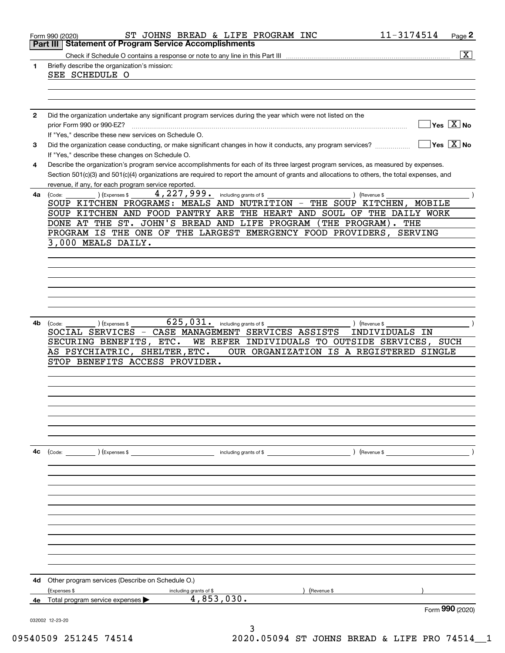|              | 11-3174514<br>ST JOHNS BREAD & LIFE PROGRAM INC<br>Page 2<br>Form 990 (2020)<br><b>Part III Statement of Program Service Accomplishments</b>                      |
|--------------|-------------------------------------------------------------------------------------------------------------------------------------------------------------------|
|              | $\boxed{\text{X}}$                                                                                                                                                |
|              | Briefly describe the organization's mission:                                                                                                                      |
|              | SEE SCHEDULE O                                                                                                                                                    |
|              |                                                                                                                                                                   |
|              |                                                                                                                                                                   |
| $\mathbf{2}$ |                                                                                                                                                                   |
|              | Did the organization undertake any significant program services during the year which were not listed on the<br>$Yes \ \boxed{X}$ No<br>prior Form 990 or 990-EZ? |
|              | If "Yes," describe these new services on Schedule O.                                                                                                              |
|              | $Yes \ \overline{X}$ No<br>Did the organization cease conducting, or make significant changes in how it conducts, any program services?                           |
|              | If "Yes," describe these changes on Schedule O.                                                                                                                   |
| 4            | Describe the organization's program service accomplishments for each of its three largest program services, as measured by expenses.                              |
|              | Section 501(c)(3) and 501(c)(4) organizations are required to report the amount of grants and allocations to others, the total expenses, and                      |
|              | revenue, if any, for each program service reported.                                                                                                               |
| 4a           | 4,227,999.<br>(Expenses \$<br>including grants of \$<br>(Code:<br>(Revenue \$                                                                                     |
|              | SOUP KITCHEN PROGRAMS: MEALS AND NUTRITION - THE SOUP KITCHEN, MOBILE                                                                                             |
|              | SOUP KITCHEN AND FOOD PANTRY ARE THE HEART AND SOUL OF THE DAILY WORK                                                                                             |
|              | DONE AT THE ST. JOHN'S BREAD AND LIFE PROGRAM (THE PROGRAM). THE                                                                                                  |
|              | PROGRAM IS THE ONE OF THE LARGEST EMERGENCY FOOD PROVIDERS,<br><b>SERVING</b>                                                                                     |
|              | 3,000 MEALS DAILY.                                                                                                                                                |
|              |                                                                                                                                                                   |
|              |                                                                                                                                                                   |
|              |                                                                                                                                                                   |
|              |                                                                                                                                                                   |
|              |                                                                                                                                                                   |
|              |                                                                                                                                                                   |
|              |                                                                                                                                                                   |
|              |                                                                                                                                                                   |
| 4b           | $625,031$ . including grants of \$<br>(Expenses \$<br>) (Revenue \$<br>(Code:                                                                                     |
|              | SOCIAL SERVICES - CASE MANAGEMENT SERVICES ASSISTS<br>INDIVIDUALS IN                                                                                              |
|              | WE REFER INDIVIDUALS TO OUTSIDE SERVICES, SUCH<br>SECURING BENEFITS, ETC.                                                                                         |
|              | AS PSYCHIATRIC, SHELTER, ETC.<br>OUR ORGANIZATION IS A REGISTERED SINGLE                                                                                          |
|              | STOP BENEFITS ACCESS PROVIDER.                                                                                                                                    |
|              |                                                                                                                                                                   |
|              |                                                                                                                                                                   |
|              |                                                                                                                                                                   |
|              |                                                                                                                                                                   |
|              |                                                                                                                                                                   |
|              |                                                                                                                                                                   |
|              |                                                                                                                                                                   |
|              |                                                                                                                                                                   |
|              |                                                                                                                                                                   |
|              |                                                                                                                                                                   |
|              |                                                                                                                                                                   |
|              |                                                                                                                                                                   |
|              |                                                                                                                                                                   |
|              |                                                                                                                                                                   |
|              |                                                                                                                                                                   |
|              |                                                                                                                                                                   |
|              |                                                                                                                                                                   |
|              |                                                                                                                                                                   |
|              |                                                                                                                                                                   |
|              |                                                                                                                                                                   |
| 4c<br>4d     | Other program services (Describe on Schedule O.)                                                                                                                  |
|              | (Expenses \$<br>Revenue \$<br>including grants of \$                                                                                                              |
| 4e           | 4,853,030.<br>Total program service expenses<br>Form 990 (2020)                                                                                                   |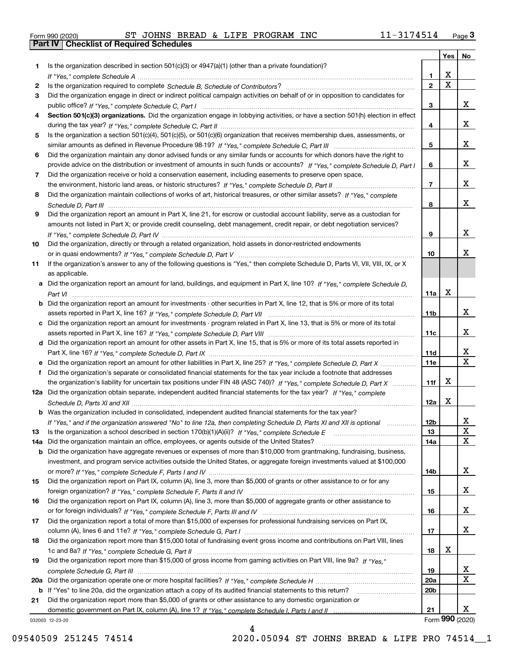|  | Form 990 (2020) |
|--|-----------------|

|     |                                                                                                                                  |                 | Yes | No                    |
|-----|----------------------------------------------------------------------------------------------------------------------------------|-----------------|-----|-----------------------|
| 1.  | Is the organization described in section $501(c)(3)$ or $4947(a)(1)$ (other than a private foundation)?                          |                 |     |                       |
|     |                                                                                                                                  | 1               | x   |                       |
| 2   |                                                                                                                                  | $\mathbf{2}$    | X   |                       |
| 3   | Did the organization engage in direct or indirect political campaign activities on behalf of or in opposition to candidates for  |                 |     |                       |
|     |                                                                                                                                  | 3               |     | X.                    |
| 4   | Section 501(c)(3) organizations. Did the organization engage in lobbying activities, or have a section 501(h) election in effect |                 |     |                       |
|     |                                                                                                                                  | 4               |     | X.                    |
| 5   | Is the organization a section 501(c)(4), 501(c)(5), or 501(c)(6) organization that receives membership dues, assessments, or     |                 |     |                       |
|     |                                                                                                                                  | 5               |     | x                     |
| 6   | Did the organization maintain any donor advised funds or any similar funds or accounts for which donors have the right to        |                 |     | x                     |
|     | provide advice on the distribution or investment of amounts in such funds or accounts? If "Yes," complete Schedule D, Part I     | 6               |     |                       |
| 7   | Did the organization receive or hold a conservation easement, including easements to preserve open space,                        | $\overline{7}$  |     | x                     |
|     | Did the organization maintain collections of works of art, historical treasures, or other similar assets? If "Yes," complete     |                 |     |                       |
| 8   |                                                                                                                                  | 8               |     | x                     |
| 9   | Did the organization report an amount in Part X, line 21, for escrow or custodial account liability, serve as a custodian for    |                 |     |                       |
|     | amounts not listed in Part X; or provide credit counseling, debt management, credit repair, or debt negotiation services?        |                 |     |                       |
|     |                                                                                                                                  | 9               |     | x                     |
| 10  | Did the organization, directly or through a related organization, hold assets in donor-restricted endowments                     |                 |     |                       |
|     |                                                                                                                                  | 10              |     | x.                    |
| 11  | If the organization's answer to any of the following questions is "Yes," then complete Schedule D, Parts VI, VII, VIII, IX, or X |                 |     |                       |
|     | as applicable.                                                                                                                   |                 |     |                       |
| а   | Did the organization report an amount for land, buildings, and equipment in Part X, line 10? If "Yes," complete Schedule D,      |                 |     |                       |
|     |                                                                                                                                  | 11a             | X   |                       |
| b   | Did the organization report an amount for investments - other securities in Part X, line 12, that is 5% or more of its total     |                 |     |                       |
|     |                                                                                                                                  | 11 <sub>b</sub> |     | x                     |
| c   | Did the organization report an amount for investments - program related in Part X, line 13, that is 5% or more of its total      |                 |     |                       |
|     |                                                                                                                                  | 11c             |     | X.                    |
|     | d Did the organization report an amount for other assets in Part X, line 15, that is 5% or more of its total assets reported in  |                 |     |                       |
|     |                                                                                                                                  | 11d             |     | x                     |
|     |                                                                                                                                  | <b>11e</b>      |     | X                     |
| f   | Did the organization's separate or consolidated financial statements for the tax year include a footnote that addresses          |                 |     |                       |
|     | the organization's liability for uncertain tax positions under FIN 48 (ASC 740)? If "Yes," complete Schedule D, Part X           | 11f             | х   |                       |
| 12a | Did the organization obtain separate, independent audited financial statements for the tax year? If "Yes," complete              |                 |     |                       |
|     |                                                                                                                                  | 12a             | X   |                       |
|     | Was the organization included in consolidated, independent audited financial statements for the tax year?                        |                 |     |                       |
|     | If "Yes," and if the organization answered "No" to line 12a, then completing Schedule D, Parts XI and XII is optional            | 12 <sub>b</sub> |     | Χ                     |
| 13  | Is the organization a school described in section 170(b)(1)(A)(ii)? If "Yes," complete Schedule E                                | 13              |     | X                     |
| 14a | Did the organization maintain an office, employees, or agents outside of the United States?                                      | 14a             |     | X                     |
| b   | Did the organization have aggregate revenues or expenses of more than \$10,000 from grantmaking, fundraising, business,          |                 |     |                       |
|     | investment, and program service activities outside the United States, or aggregate foreign investments valued at \$100,000       |                 |     |                       |
|     |                                                                                                                                  | 14b             |     | X.                    |
| 15  | Did the organization report on Part IX, column (A), line 3, more than \$5,000 of grants or other assistance to or for any        |                 |     |                       |
|     |                                                                                                                                  | 15              |     | X.                    |
| 16  | Did the organization report on Part IX, column (A), line 3, more than \$5,000 of aggregate grants or other assistance to         |                 |     |                       |
|     |                                                                                                                                  | 16              |     | X.                    |
| 17  | Did the organization report a total of more than \$15,000 of expenses for professional fundraising services on Part IX,          |                 |     |                       |
|     |                                                                                                                                  | 17              |     | X.                    |
| 18  | Did the organization report more than \$15,000 total of fundraising event gross income and contributions on Part VIII, lines     |                 |     |                       |
|     |                                                                                                                                  | 18              | х   |                       |
| 19  | Did the organization report more than \$15,000 of gross income from gaming activities on Part VIII, line 9a? If "Yes."           |                 |     |                       |
|     |                                                                                                                                  | 19              |     | X.                    |
| 20a |                                                                                                                                  | 20a             |     | X                     |
| b   | If "Yes" to line 20a, did the organization attach a copy of its audited financial statements to this return?                     | 20 <sub>b</sub> |     |                       |
| 21  | Did the organization report more than \$5,000 of grants or other assistance to any domestic organization or                      |                 |     |                       |
|     |                                                                                                                                  | 21              |     | X.<br>Form 990 (2020) |
|     | 032003 12-23-20                                                                                                                  |                 |     |                       |

032003 12-23-20

4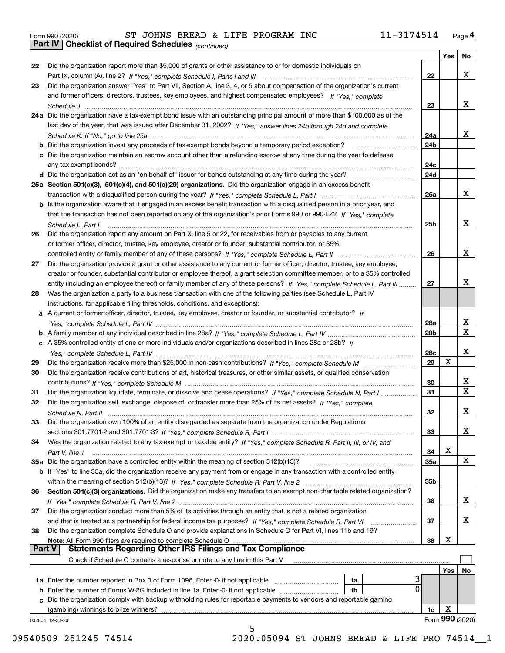|  | Form 990 (2020) |
|--|-----------------|
|  |                 |

|               |                                                                                                                              |     | Yes | No              |
|---------------|------------------------------------------------------------------------------------------------------------------------------|-----|-----|-----------------|
| 22            | Did the organization report more than \$5,000 of grants or other assistance to or for domestic individuals on                |     |     |                 |
|               |                                                                                                                              | 22  |     | x               |
| 23            | Did the organization answer "Yes" to Part VII, Section A, line 3, 4, or 5 about compensation of the organization's current   |     |     |                 |
|               | and former officers, directors, trustees, key employees, and highest compensated employees? If "Yes," complete               |     |     |                 |
|               |                                                                                                                              | 23  |     | X.              |
|               | 24a Did the organization have a tax-exempt bond issue with an outstanding principal amount of more than \$100,000 as of the  |     |     |                 |
|               | last day of the year, that was issued after December 31, 2002? If "Yes," answer lines 24b through 24d and complete           |     |     |                 |
|               |                                                                                                                              | 24a |     | X.              |
|               | b Did the organization invest any proceeds of tax-exempt bonds beyond a temporary period exception?                          | 24b |     |                 |
|               | c Did the organization maintain an escrow account other than a refunding escrow at any time during the year to defease       |     |     |                 |
|               | any tax-exempt bonds?                                                                                                        | 24c |     |                 |
|               |                                                                                                                              | 24d |     |                 |
|               | 25a Section 501(c)(3), 501(c)(4), and 501(c)(29) organizations. Did the organization engage in an excess benefit             |     |     |                 |
|               |                                                                                                                              | 25a |     | X.              |
|               | b Is the organization aware that it engaged in an excess benefit transaction with a disqualified person in a prior year, and |     |     |                 |
|               | that the transaction has not been reported on any of the organization's prior Forms 990 or 990-EZ? If "Yes." complete        |     |     |                 |
|               | Schedule L, Part I                                                                                                           | 25b |     | x               |
| 26            | Did the organization report any amount on Part X, line 5 or 22, for receivables from or payables to any current              |     |     |                 |
|               | or former officer, director, trustee, key employee, creator or founder, substantial contributor, or 35%                      |     |     |                 |
|               |                                                                                                                              | 26  |     | x               |
| 27            | Did the organization provide a grant or other assistance to any current or former officer, director, trustee, key employee,  |     |     |                 |
|               | creator or founder, substantial contributor or employee thereof, a grant selection committee member, or to a 35% controlled  |     |     |                 |
|               | entity (including an employee thereof) or family member of any of these persons? If "Yes." complete Schedule L. Part III     | 27  |     | x               |
| 28            | Was the organization a party to a business transaction with one of the following parties (see Schedule L, Part IV            |     |     |                 |
|               | instructions, for applicable filing thresholds, conditions, and exceptions):                                                 |     |     |                 |
|               | a A current or former officer, director, trustee, key employee, creator or founder, or substantial contributor? If           |     |     |                 |
|               |                                                                                                                              | 28a |     | x               |
|               |                                                                                                                              | 28b |     | $\mathbf{X}$    |
|               | c A 35% controlled entity of one or more individuals and/or organizations described in lines 28a or 28b? If                  |     |     |                 |
|               |                                                                                                                              | 28c |     | x               |
| 29            |                                                                                                                              | 29  | X   |                 |
| 30            | Did the organization receive contributions of art, historical treasures, or other similar assets, or qualified conservation  |     |     |                 |
|               |                                                                                                                              | 30  |     | x               |
| 31            | Did the organization liquidate, terminate, or dissolve and cease operations? If "Yes," complete Schedule N, Part I           | 31  |     | $\mathbf X$     |
| 32            | Did the organization sell, exchange, dispose of, or transfer more than 25% of its net assets? If "Yes." complete             |     |     |                 |
|               |                                                                                                                              | 32  |     | x               |
| 33            | Did the organization own 100% of an entity disregarded as separate from the organization under Regulations                   |     |     |                 |
|               |                                                                                                                              | 33  |     | X               |
| 34            | Was the organization related to any tax-exempt or taxable entity? If "Yes," complete Schedule R, Part II, III, or IV, and    |     |     |                 |
|               |                                                                                                                              | 34  | X   |                 |
|               | 35a Did the organization have a controlled entity within the meaning of section 512(b)(13)?                                  | 35a |     | X               |
|               | b If "Yes" to line 35a, did the organization receive any payment from or engage in any transaction with a controlled entity  |     |     |                 |
|               |                                                                                                                              | 35b |     |                 |
| 36            | Section 501(c)(3) organizations. Did the organization make any transfers to an exempt non-charitable related organization?   |     |     |                 |
|               |                                                                                                                              | 36  |     | x               |
| 37            | Did the organization conduct more than 5% of its activities through an entity that is not a related organization             |     |     |                 |
|               | and that is treated as a partnership for federal income tax purposes? If "Yes," complete Schedule R, Part VI                 | 37  |     | x               |
| 38            | Did the organization complete Schedule O and provide explanations in Schedule O for Part VI, lines 11b and 19?               |     |     |                 |
|               | Note: All Form 990 filers are required to complete Schedule O                                                                | 38  | х   |                 |
| <b>Part V</b> | <b>Statements Regarding Other IRS Filings and Tax Compliance</b>                                                             |     |     |                 |
|               | Check if Schedule O contains a response or note to any line in this Part V                                                   |     |     |                 |
|               |                                                                                                                              |     | Yes | No              |
|               | <b>1a</b> Enter the number reported in Box 3 of Form 1096. Enter -0- if not applicable <i>manumumumum</i><br>1a              |     |     |                 |
|               | 0<br><b>b</b> Enter the number of Forms W-2G included in line 1a. Enter -0- if not applicable<br>1b                          |     |     |                 |
|               | c Did the organization comply with backup withholding rules for reportable payments to vendors and reportable gaming         |     |     |                 |
|               | (gambling) winnings to prize winners?                                                                                        | 1c  | х   |                 |
|               | 032004 12-23-20                                                                                                              |     |     | Form 990 (2020) |
|               | 5                                                                                                                            |     |     |                 |

09540509 251245 74514 2020.05094 ST JOHNS BREAD & LIFE PRO 74514 1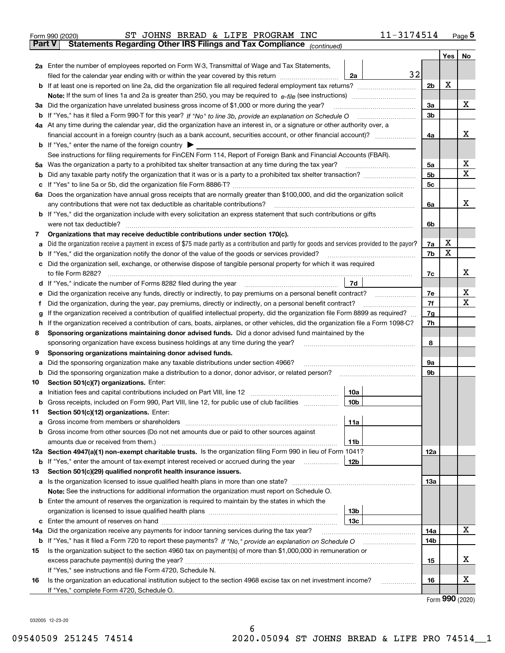|    | 11-3174514<br>ST JOHNS BREAD & LIFE PROGRAM INC<br>Form 990 (2020)                                                                              |                |     | $_{\text{Page}}$ 5 |
|----|-------------------------------------------------------------------------------------------------------------------------------------------------|----------------|-----|--------------------|
|    | Statements Regarding Other IRS Filings and Tax Compliance (continued)<br>Part V                                                                 |                |     |                    |
|    |                                                                                                                                                 |                | Yes | No                 |
|    | 2a Enter the number of employees reported on Form W-3, Transmittal of Wage and Tax Statements,                                                  |                |     |                    |
|    | 32<br>filed for the calendar year ending with or within the year covered by this return <i>manumumumum</i><br>2a                                |                |     |                    |
|    |                                                                                                                                                 | 2b             | х   |                    |
|    |                                                                                                                                                 |                |     |                    |
|    | 3a Did the organization have unrelated business gross income of \$1,000 or more during the year?                                                | 3a             |     | х                  |
|    |                                                                                                                                                 | 3b             |     |                    |
|    | 4a At any time during the calendar year, did the organization have an interest in, or a signature or other authority over, a                    |                |     |                    |
|    |                                                                                                                                                 | 4a             |     | х                  |
|    | <b>b</b> If "Yes," enter the name of the foreign country $\blacktriangleright$                                                                  |                |     |                    |
|    | See instructions for filing requirements for FinCEN Form 114, Report of Foreign Bank and Financial Accounts (FBAR).                             |                |     |                    |
|    |                                                                                                                                                 | 5а             |     | х                  |
| b  |                                                                                                                                                 | 5 <sub>b</sub> |     | х                  |
| c  |                                                                                                                                                 | 5c             |     |                    |
|    | 6a Does the organization have annual gross receipts that are normally greater than \$100,000, and did the organization solicit                  |                |     |                    |
|    | any contributions that were not tax deductible as charitable contributions?                                                                     | 6a             |     | х                  |
|    | <b>b</b> If "Yes," did the organization include with every solicitation an express statement that such contributions or gifts                   |                |     |                    |
|    |                                                                                                                                                 | 6b             |     |                    |
| 7  | Organizations that may receive deductible contributions under section 170(c).                                                                   |                | х   |                    |
| а  | Did the organization receive a payment in excess of \$75 made partly as a contribution and partly for goods and services provided to the payor? | 7a             | X   |                    |
| b  | If "Yes," did the organization notify the donor of the value of the goods or services provided?                                                 | 7b             |     |                    |
| c  | Did the organization sell, exchange, or otherwise dispose of tangible personal property for which it was required                               |                |     | х                  |
|    |                                                                                                                                                 | 7c             |     |                    |
|    | 7d                                                                                                                                              |                |     | х                  |
| е  | Did the organization receive any funds, directly or indirectly, to pay premiums on a personal benefit contract?                                 | 7e             |     | х                  |
| f  | Did the organization, during the year, pay premiums, directly or indirectly, on a personal benefit contract?                                    | 7f             |     |                    |
| g  | If the organization received a contribution of qualified intellectual property, did the organization file Form 8899 as required?                | 7g             |     |                    |
| h  | If the organization received a contribution of cars, boats, airplanes, or other vehicles, did the organization file a Form 1098-C?              | 7h             |     |                    |
| 8  | Sponsoring organizations maintaining donor advised funds. Did a donor advised fund maintained by the                                            |                |     |                    |
|    | sponsoring organization have excess business holdings at any time during the year?                                                              | 8              |     |                    |
| 9  | Sponsoring organizations maintaining donor advised funds.                                                                                       |                |     |                    |
| а  | Did the sponsoring organization make any taxable distributions under section 4966?                                                              | 9а             |     |                    |
| b  |                                                                                                                                                 | 9b             |     |                    |
| 10 | Section 501(c)(7) organizations. Enter:                                                                                                         |                |     |                    |
| а  | 10a<br> 10b                                                                                                                                     |                |     |                    |
|    | Gross receipts, included on Form 990, Part VIII, line 12, for public use of club facilities                                                     |                |     |                    |
| 11 | Section 501(c)(12) organizations. Enter:                                                                                                        |                |     |                    |
| а  | Gross income from members or shareholders<br>11a<br>Gross income from other sources (Do not net amounts due or paid to other sources against    |                |     |                    |
| b  |                                                                                                                                                 |                |     |                    |
|    | 11b<br>12a Section 4947(a)(1) non-exempt charitable trusts. Is the organization filing Form 990 in lieu of Form 1041?                           | 12a            |     |                    |
|    | 12b<br><b>b</b> If "Yes," enter the amount of tax-exempt interest received or accrued during the year <i>manument</i> of                        |                |     |                    |
| 13 | Section 501(c)(29) qualified nonprofit health insurance issuers.                                                                                |                |     |                    |
| а  | Is the organization licensed to issue qualified health plans in more than one state?                                                            | 13a            |     |                    |
|    | Note: See the instructions for additional information the organization must report on Schedule O.                                               |                |     |                    |
|    | <b>b</b> Enter the amount of reserves the organization is required to maintain by the states in which the                                       |                |     |                    |
|    | 13b                                                                                                                                             |                |     |                    |
| с  | 13с                                                                                                                                             |                |     |                    |
|    | 14a Did the organization receive any payments for indoor tanning services during the tax year?                                                  | 14a            |     | х                  |
|    | <b>b</b> If "Yes," has it filed a Form 720 to report these payments? If "No," provide an explanation on Schedule O                              | 14b            |     |                    |
| 15 | Is the organization subject to the section 4960 tax on payment(s) of more than \$1,000,000 in remuneration or                                   |                |     |                    |
|    | excess parachute payment(s) during the year?                                                                                                    | 15             |     | х                  |
|    | If "Yes," see instructions and file Form 4720, Schedule N.                                                                                      |                |     |                    |
| 16 | Is the organization an educational institution subject to the section 4968 excise tax on net investment income?                                 | 16             |     | х                  |
|    | If "Yes," complete Form 4720, Schedule O.                                                                                                       |                |     |                    |
|    |                                                                                                                                                 |                |     |                    |

6

Form (2020) **990**

032005 12-23-20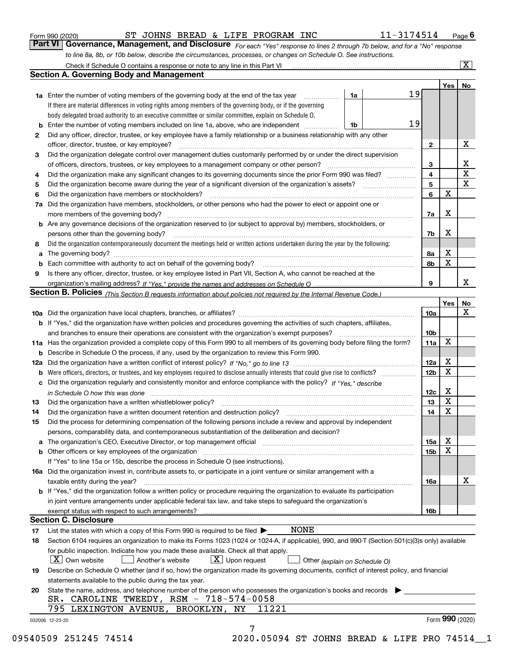|    | 11-3174514<br>ST JOHNS BREAD & LIFE PROGRAM INC<br>Form 990 (2020)                                                                                                             |                 |                         | Page $6$                |
|----|--------------------------------------------------------------------------------------------------------------------------------------------------------------------------------|-----------------|-------------------------|-------------------------|
|    | Part VI   Governance, Management, and Disclosure For each "Yes" response to lines 2 through 7b below, and for a "No" response                                                  |                 |                         |                         |
|    | to line 8a, 8b, or 10b below, describe the circumstances, processes, or changes on Schedule O. See instructions.                                                               |                 |                         |                         |
|    |                                                                                                                                                                                |                 |                         | $\overline{\mathbf{x}}$ |
|    | <b>Section A. Governing Body and Management</b>                                                                                                                                |                 |                         |                         |
|    |                                                                                                                                                                                |                 | Yes                     | No                      |
|    | 19<br><b>1a</b> Enter the number of voting members of the governing body at the end of the tax year<br>1a<br>.                                                                 |                 |                         |                         |
|    | If there are material differences in voting rights among members of the governing body, or if the governing                                                                    |                 |                         |                         |
|    | body delegated broad authority to an executive committee or similar committee, explain on Schedule O.                                                                          |                 |                         |                         |
|    | 19<br><b>b</b> Enter the number of voting members included on line 1a, above, who are independent<br>1b                                                                        |                 |                         |                         |
| 2  | Did any officer, director, trustee, or key employee have a family relationship or a business relationship with any other                                                       |                 |                         |                         |
|    | officer, director, trustee, or key employee?<br>.                                                                                                                              | $\mathbf{2}$    |                         | Х                       |
| з  | Did the organization delegate control over management duties customarily performed by or under the direct supervision                                                          |                 |                         |                         |
|    | of officers, directors, trustees, or key employees to a management company or other person?                                                                                    | 3               |                         | х                       |
| 4  | Did the organization make any significant changes to its governing documents since the prior Form 990 was filed?                                                               | 4               |                         | $\mathbf X$             |
| 5  |                                                                                                                                                                                | 5               |                         | $\mathbf X$             |
| 6  | Did the organization have members or stockholders?                                                                                                                             | 6               | X                       |                         |
| 7a | Did the organization have members, stockholders, or other persons who had the power to elect or appoint one or                                                                 |                 |                         |                         |
|    | more members of the governing body?                                                                                                                                            | 7a              | x                       |                         |
|    | <b>b</b> Are any governance decisions of the organization reserved to (or subject to approval by) members, stockholders, or                                                    |                 |                         |                         |
|    | persons other than the governing body?                                                                                                                                         | 7b              | x                       |                         |
| 8  | Did the organization contemporaneously document the meetings held or written actions undertaken during the year by the following:                                              |                 |                         |                         |
| a  |                                                                                                                                                                                | 8а              | х                       |                         |
| b  |                                                                                                                                                                                | 8b              | X                       |                         |
| 9  | Is there any officer, director, trustee, or key employee listed in Part VII, Section A, who cannot be reached at the                                                           |                 |                         |                         |
|    |                                                                                                                                                                                | 9               |                         | х                       |
|    | Section B. Policies (This Section B requests information about policies not required by the Internal Revenue Code.)                                                            |                 |                         |                         |
|    |                                                                                                                                                                                |                 | Yes                     | No<br>X                 |
|    |                                                                                                                                                                                | 10a             |                         |                         |
|    | <b>b</b> If "Yes," did the organization have written policies and procedures governing the activities of such chapters, affiliates,                                            |                 |                         |                         |
|    | and branches to ensure their operations are consistent with the organization's exempt purposes?                                                                                | 10 <sub>b</sub> | X                       |                         |
|    | 11a Has the organization provided a complete copy of this Form 990 to all members of its governing body before filing the form?                                                | 11a             |                         |                         |
|    | <b>b</b> Describe in Schedule O the process, if any, used by the organization to review this Form 990.                                                                         |                 | х                       |                         |
|    |                                                                                                                                                                                | 12a             | X                       |                         |
|    |                                                                                                                                                                                | 12 <sub>b</sub> |                         |                         |
|    | c Did the organization regularly and consistently monitor and enforce compliance with the policy? If "Yes," describe                                                           |                 | х                       |                         |
|    | in Schedule O how this was done measured and contain an according to the state of the state of the state of th                                                                 | 12c<br>13       | $\overline{\mathbf{x}}$ |                         |
| 13 |                                                                                                                                                                                |                 | х                       |                         |
| 14 | Did the organization have a written document retention and destruction policy?                                                                                                 | 14              |                         |                         |
| 15 | Did the process for determining compensation of the following persons include a review and approval by independent                                                             |                 |                         |                         |
|    | persons, comparability data, and contemporaneous substantiation of the deliberation and decision?                                                                              |                 | х                       |                         |
|    | a The organization's CEO, Executive Director, or top management official manufacture content content of the organization's CEO, Executive Director, or top management official | 15a             | X                       |                         |
|    |                                                                                                                                                                                | 15b             |                         |                         |
|    | If "Yes" to line 15a or 15b, describe the process in Schedule O (see instructions).                                                                                            |                 |                         |                         |
|    | 16a Did the organization invest in, contribute assets to, or participate in a joint venture or similar arrangement with a                                                      |                 |                         | х                       |
|    | taxable entity during the year?<br>b If "Yes," did the organization follow a written policy or procedure requiring the organization to evaluate its participation              | 16a             |                         |                         |
|    | in joint venture arrangements under applicable federal tax law, and take steps to safeguard the organization's                                                                 |                 |                         |                         |
|    |                                                                                                                                                                                | 16b             |                         |                         |
|    | <b>Section C. Disclosure</b>                                                                                                                                                   |                 |                         |                         |
| 17 | NONE<br>List the states with which a copy of this Form 990 is required to be filed $\blacktriangleright$                                                                       |                 |                         |                         |
| 18 | Section 6104 requires an organization to make its Forms 1023 (1024 or 1024-A, if applicable), 990, and 990-T (Section 501(c)(3)s only) available                               |                 |                         |                         |
|    | for public inspection. Indicate how you made these available. Check all that apply.                                                                                            |                 |                         |                         |
|    | $X$ Own website<br>$\lfloor x \rfloor$ Upon request<br>Another's website<br>Other (explain on Schedule O)                                                                      |                 |                         |                         |
| 19 | Describe on Schedule O whether (and if so, how) the organization made its governing documents, conflict of interest policy, and financial                                      |                 |                         |                         |
|    | statements available to the public during the tax year.                                                                                                                        |                 |                         |                         |
| 20 | State the name, address, and telephone number of the person who possesses the organization's books and records                                                                 |                 |                         |                         |
|    | SR. CAROLINE TWEEDY, RSM - 718-574-0058                                                                                                                                        |                 |                         |                         |
|    | 795 LEXINGTON AVENUE, BROOKLYN, NY<br>11221                                                                                                                                    |                 |                         |                         |
|    | 032006 12-23-20                                                                                                                                                                |                 |                         | Form 990 (2020)         |
|    |                                                                                                                                                                                |                 |                         |                         |

09540509 251245 74514 2020.05094 ST JOHNS BREAD & LIFE PRO 74514 1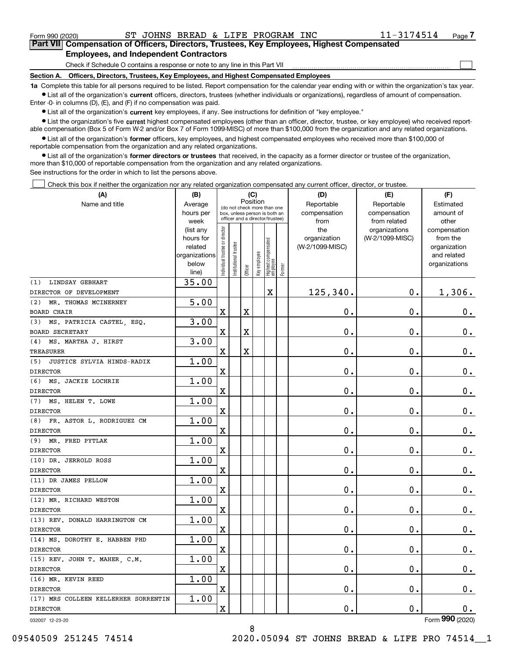$\mathcal{L}^{\text{max}}$ 

| Form 990 (2020) |                                               |  |  | ST JOHNS BREAD & LIFE PROGRAM INC | 11-3174514                                                                                 | Page 7 |
|-----------------|-----------------------------------------------|--|--|-----------------------------------|--------------------------------------------------------------------------------------------|--------|
|                 |                                               |  |  |                                   | Part VII Compensation of Officers, Directors, Trustees, Key Employees, Highest Compensated |        |
|                 | <b>Employees, and Independent Contractors</b> |  |  |                                   |                                                                                            |        |

Check if Schedule O contains a response or note to any line in this Part VII

**Section A. Officers, Directors, Trustees, Key Employees, and Highest Compensated Employees**

**1a**  Complete this table for all persons required to be listed. Report compensation for the calendar year ending with or within the organization's tax year. **•** List all of the organization's current officers, directors, trustees (whether individuals or organizations), regardless of amount of compensation.

Enter -0- in columns (D), (E), and (F) if no compensation was paid.

 $\bullet$  List all of the organization's  $\,$ current key employees, if any. See instructions for definition of "key employee."

**•** List the organization's five current highest compensated employees (other than an officer, director, trustee, or key employee) who received reportable compensation (Box 5 of Form W-2 and/or Box 7 of Form 1099-MISC) of more than \$100,000 from the organization and any related organizations.

**•** List all of the organization's former officers, key employees, and highest compensated employees who received more than \$100,000 of reportable compensation from the organization and any related organizations.

**former directors or trustees**  ¥ List all of the organization's that received, in the capacity as a former director or trustee of the organization, more than \$10,000 of reportable compensation from the organization and any related organizations.

See instructions for the order in which to list the persons above.

Check this box if neither the organization nor any related organization compensated any current officer, director, or trustee.  $\mathcal{L}^{\text{max}}$ 

| (A)                                               | (B)                    |                               |                                 |             | (C)          |                                  |        | (D)             | (E)             | (F)             |
|---------------------------------------------------|------------------------|-------------------------------|---------------------------------|-------------|--------------|----------------------------------|--------|-----------------|-----------------|-----------------|
| Name and title                                    | Average                |                               | (do not check more than one     |             | Position     |                                  |        | Reportable      | Reportable      | Estimated       |
|                                                   | hours per              |                               | box, unless person is both an   |             |              |                                  |        | compensation    | compensation    | amount of       |
|                                                   | week                   |                               | officer and a director/trustee) |             |              |                                  |        | from            | from related    | other           |
|                                                   | (list any              |                               |                                 |             |              |                                  |        | the             | organizations   | compensation    |
|                                                   | hours for              |                               |                                 |             |              |                                  |        | organization    | (W-2/1099-MISC) | from the        |
|                                                   | related                |                               |                                 |             |              |                                  |        | (W-2/1099-MISC) |                 | organization    |
|                                                   | organizations<br>below |                               |                                 |             |              |                                  |        |                 |                 | and related     |
|                                                   | line)                  | ndividual trustee or director | Institutional trustee           | Officer     | Key employee | Highest compensated<br> employee | Former |                 |                 | organizations   |
| (1) LINDSAY GEBHART                               | 35.00                  |                               |                                 |             |              |                                  |        |                 |                 |                 |
| DIRECTOR OF DEVELOPMENT                           |                        |                               |                                 |             |              | X                                |        | 125,340.        | $0$ .           | 1,306.          |
| MR. THOMAS MCINERNEY<br>(2)                       | $\overline{5.00}$      |                               |                                 |             |              |                                  |        |                 |                 |                 |
| BOARD CHAIR                                       |                        | X                             |                                 | $\mathbf X$ |              |                                  |        | 0.              | 0.              | $0_{.}$         |
| MS. PATRICIA CASTEL, ESQ.<br>(3)                  | 3.00                   |                               |                                 |             |              |                                  |        |                 |                 |                 |
| <b>BOARD SECRETARY</b>                            |                        | X                             |                                 | $\mathbf X$ |              |                                  |        | 0.              | 0.              | 0.              |
| (4) MS. MARTHA J. HIRST                           | 3.00                   |                               |                                 |             |              |                                  |        |                 |                 |                 |
| <b>TREASURER</b>                                  |                        | X                             |                                 | $\mathbf X$ |              |                                  |        | 0.              | 0.              | 0.              |
| (5) JUSTICE SYLVIA HINDS-RADIX                    | 1.00                   |                               |                                 |             |              |                                  |        |                 |                 |                 |
| <b>DIRECTOR</b>                                   |                        | X                             |                                 |             |              |                                  |        | 0.              | 0.              | 0.              |
| (6) MS. JACKIE LOCHRIE                            | 1.00                   |                               |                                 |             |              |                                  |        |                 |                 |                 |
| <b>DIRECTOR</b>                                   |                        | X                             |                                 |             |              |                                  |        | 0.              | 0.              | 0.              |
| (7) MS. HELEN T. LOWE                             | 1.00                   |                               |                                 |             |              |                                  |        |                 |                 |                 |
| <b>DIRECTOR</b>                                   |                        | X                             |                                 |             |              |                                  |        | 0.              | 0.              | 0.              |
| (8) FR. ASTOR L. RODRIGUEZ CM                     | 1.00                   |                               |                                 |             |              |                                  |        |                 |                 |                 |
| <b>DIRECTOR</b>                                   |                        | X                             |                                 |             |              |                                  |        | 0.              | 0.              | 0.              |
| (9) MR. FRED PYTLAK                               | 1.00                   |                               |                                 |             |              |                                  |        |                 |                 |                 |
| <b>DIRECTOR</b>                                   |                        | X                             |                                 |             |              |                                  |        | 0.              | 0.              | 0.              |
| (10) DR. JERROLD ROSS                             | 1.00                   |                               |                                 |             |              |                                  |        |                 |                 |                 |
| <b>DIRECTOR</b>                                   |                        | X                             |                                 |             |              |                                  |        | 0.              | 0.              | 0.              |
| (11) DR JAMES PELLOW                              | 1.00                   |                               |                                 |             |              |                                  |        |                 |                 |                 |
| <b>DIRECTOR</b>                                   |                        | X                             |                                 |             |              |                                  |        | 0.              | $\mathbf 0$ .   | 0.              |
| (12) MR. RICHARD WESTON                           | 1.00                   |                               |                                 |             |              |                                  |        |                 |                 |                 |
| <b>DIRECTOR</b><br>(13) REV. DONALD HARRINGTON CM | 1.00                   | X                             |                                 |             |              |                                  |        | 0.              | $\mathbf 0$ .   | 0.              |
| <b>DIRECTOR</b>                                   |                        | X                             |                                 |             |              |                                  |        | $\mathbf 0$ .   | $\mathbf 0$ .   | 0.              |
| (14) MS. DOROTHY E. HABBEN PHD                    | 1.00                   |                               |                                 |             |              |                                  |        |                 |                 |                 |
| <b>DIRECTOR</b>                                   |                        | $\mathbf X$                   |                                 |             |              |                                  |        | 0.              | $\mathbf 0$ .   | 0.              |
| (15) REV. JOHN T. MAHER,<br>$C$ M                 | 1.00                   |                               |                                 |             |              |                                  |        |                 |                 |                 |
| <b>DIRECTOR</b>                                   |                        | X                             |                                 |             |              |                                  |        | 0.              | $\mathbf 0$ .   | 0.              |
| (16) MR. KEVIN REED                               | 1.00                   |                               |                                 |             |              |                                  |        |                 |                 |                 |
| <b>DIRECTOR</b>                                   |                        | $\mathbf X$                   |                                 |             |              |                                  |        | 0.              | $\mathbf 0$ .   | 0.              |
| (17) MRS COLLEEN KELLERHER SORRENTIN              | 1.00                   |                               |                                 |             |              |                                  |        |                 |                 |                 |
| <b>DIRECTOR</b>                                   |                        | $\mathbf X$                   |                                 |             |              |                                  |        | 0.              | $\mathbf 0$ .   | 0.              |
| 032007 12-23-20                                   |                        |                               |                                 |             |              |                                  |        |                 |                 | Form 990 (2020) |

8

Form (2020) **990**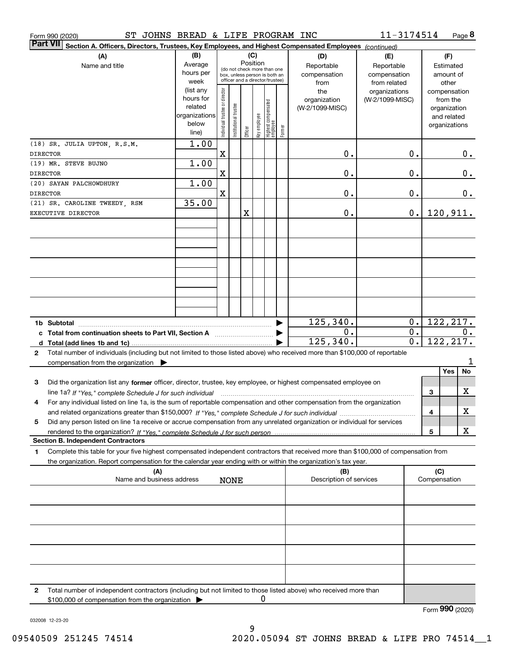| Form 990 (2020) | ST JOHNS BREAD & LIFE PROGRAM INC                                                                                                               |               |                                |                                                              |         |              |                                  |        |                                | 11-3174514      |    |                     | Page $8$         |
|-----------------|-------------------------------------------------------------------------------------------------------------------------------------------------|---------------|--------------------------------|--------------------------------------------------------------|---------|--------------|----------------------------------|--------|--------------------------------|-----------------|----|---------------------|------------------|
| <b>Part VII</b> | Section A. Officers, Directors, Trustees, Key Employees, and Highest Compensated Employees (continued)                                          |               |                                |                                                              |         |              |                                  |        |                                |                 |    |                     |                  |
|                 | (A)                                                                                                                                             | (B)           |                                |                                                              | (C)     |              |                                  |        | (D)                            | (E)             |    |                     | (F)              |
|                 | Name and title                                                                                                                                  | Average       | Position                       |                                                              |         |              |                                  |        | Reportable                     | Reportable      |    |                     | Estimated        |
|                 |                                                                                                                                                 | hours per     |                                | (do not check more than one<br>box, unless person is both an |         |              |                                  |        | compensation                   | compensation    |    |                     | amount of        |
|                 |                                                                                                                                                 | week          |                                | officer and a director/trustee)                              |         |              |                                  |        | from                           | from related    |    |                     | other            |
|                 |                                                                                                                                                 | (list any     |                                |                                                              |         |              |                                  |        | the                            | organizations   |    |                     | compensation     |
|                 |                                                                                                                                                 | hours for     |                                |                                                              |         |              |                                  |        | organization                   | (W-2/1099-MISC) |    |                     | from the         |
|                 |                                                                                                                                                 | related       |                                |                                                              |         |              |                                  |        | (W-2/1099-MISC)                |                 |    |                     | organization     |
|                 |                                                                                                                                                 | organizations |                                |                                                              |         |              |                                  |        |                                |                 |    |                     | and related      |
|                 |                                                                                                                                                 | below         |                                |                                                              |         |              |                                  |        |                                |                 |    |                     | organizations    |
|                 |                                                                                                                                                 | line)         | Individual trustee or director | nstitutional trustee                                         | Officer | Key employee | Highest compensated<br> employee | Former |                                |                 |    |                     |                  |
|                 | (18) SR. JULIA UPTON, R.S.M.                                                                                                                    | 1.00          |                                |                                                              |         |              |                                  |        |                                |                 |    |                     |                  |
| <b>DIRECTOR</b> |                                                                                                                                                 |               | X                              |                                                              |         |              |                                  |        | Ο.                             |                 | 0. |                     |                  |
|                 |                                                                                                                                                 |               |                                |                                                              |         |              |                                  |        |                                |                 |    |                     | 0.               |
|                 | (19) MR. STEVE BUJNO                                                                                                                            | 1.00          |                                |                                                              |         |              |                                  |        |                                |                 |    |                     |                  |
| <b>DIRECTOR</b> |                                                                                                                                                 |               | X                              |                                                              |         |              |                                  |        | 0.                             |                 | 0. |                     | 0.               |
|                 | (20) SAYAN PALCHOWDHURY                                                                                                                         | 1.00          |                                |                                                              |         |              |                                  |        |                                |                 |    |                     |                  |
| <b>DIRECTOR</b> |                                                                                                                                                 |               | X                              |                                                              |         |              |                                  |        | 0.                             |                 | 0. |                     | 0.               |
|                 | (21) SR. CAROLINE TWEEDY, RSM                                                                                                                   | 35.00         |                                |                                                              |         |              |                                  |        |                                |                 |    |                     |                  |
|                 | EXECUTIVE DIRECTOR                                                                                                                              |               |                                |                                                              | X       |              |                                  |        | 0.                             |                 | 0. |                     | 120,911.         |
|                 |                                                                                                                                                 |               |                                |                                                              |         |              |                                  |        |                                |                 |    |                     |                  |
|                 |                                                                                                                                                 |               |                                |                                                              |         |              |                                  |        |                                |                 |    |                     |                  |
|                 |                                                                                                                                                 |               |                                |                                                              |         |              |                                  |        |                                |                 |    |                     |                  |
|                 |                                                                                                                                                 |               |                                |                                                              |         |              |                                  |        |                                |                 |    |                     |                  |
|                 |                                                                                                                                                 |               |                                |                                                              |         |              |                                  |        |                                |                 |    |                     |                  |
|                 |                                                                                                                                                 |               |                                |                                                              |         |              |                                  |        |                                |                 |    |                     |                  |
|                 |                                                                                                                                                 |               |                                |                                                              |         |              |                                  |        |                                |                 |    |                     |                  |
|                 |                                                                                                                                                 |               |                                |                                                              |         |              |                                  |        |                                |                 |    |                     |                  |
|                 |                                                                                                                                                 |               |                                |                                                              |         |              |                                  |        |                                |                 |    |                     |                  |
|                 |                                                                                                                                                 |               |                                |                                                              |         |              |                                  |        |                                |                 |    |                     |                  |
|                 |                                                                                                                                                 |               |                                |                                                              |         |              |                                  |        |                                |                 |    |                     |                  |
|                 |                                                                                                                                                 |               |                                |                                                              |         |              |                                  |        |                                |                 |    |                     |                  |
|                 |                                                                                                                                                 |               |                                |                                                              |         |              |                                  |        | 125, 340.                      |                 | 0. |                     | 122, 217.        |
|                 | c Total from continuation sheets to Part VII, Section A                                                                                         |               |                                |                                                              |         |              |                                  |        | 0.                             |                 | 0. |                     | $\overline{0}$ . |
|                 |                                                                                                                                                 |               |                                |                                                              |         |              |                                  |        | 125, 340.                      |                 | 0. |                     | 122, 217.        |
| 2               | Total number of individuals (including but not limited to those listed above) who received more than \$100,000 of reportable                    |               |                                |                                                              |         |              |                                  |        |                                |                 |    |                     |                  |
|                 | compensation from the organization $\blacktriangleright$                                                                                        |               |                                |                                                              |         |              |                                  |        |                                |                 |    |                     | 1                |
|                 |                                                                                                                                                 |               |                                |                                                              |         |              |                                  |        |                                |                 |    |                     | Yes<br>No        |
|                 |                                                                                                                                                 |               |                                |                                                              |         |              |                                  |        |                                |                 |    |                     |                  |
| 3               | Did the organization list any former officer, director, trustee, key employee, or highest compensated employee on                               |               |                                |                                                              |         |              |                                  |        |                                |                 |    |                     |                  |
|                 | line 1a? If "Yes," complete Schedule J for such individual manufactured contained and the 1a? If "Yes," complete Schedule J for such individual |               |                                |                                                              |         |              |                                  |        |                                |                 |    | З                   | X                |
|                 | For any individual listed on line 1a, is the sum of reportable compensation and other compensation from the organization                        |               |                                |                                                              |         |              |                                  |        |                                |                 |    |                     |                  |
|                 |                                                                                                                                                 |               |                                |                                                              |         |              |                                  |        |                                |                 |    | 4                   | х                |
| 5               | Did any person listed on line 1a receive or accrue compensation from any unrelated organization or individual for services                      |               |                                |                                                              |         |              |                                  |        |                                |                 |    |                     |                  |
|                 | rendered to the organization? If "Yes." complete Schedule J for such person                                                                     |               |                                |                                                              |         |              |                                  |        |                                |                 |    | 5                   | x                |
|                 | <b>Section B. Independent Contractors</b>                                                                                                       |               |                                |                                                              |         |              |                                  |        |                                |                 |    |                     |                  |
| 1               | Complete this table for your five highest compensated independent contractors that received more than \$100,000 of compensation from            |               |                                |                                                              |         |              |                                  |        |                                |                 |    |                     |                  |
|                 |                                                                                                                                                 |               |                                |                                                              |         |              |                                  |        |                                |                 |    |                     |                  |
|                 | the organization. Report compensation for the calendar year ending with or within the organization's tax year.                                  |               |                                |                                                              |         |              |                                  |        |                                |                 |    |                     |                  |
|                 | (A)<br>Name and business address                                                                                                                |               |                                |                                                              |         |              |                                  |        | (B)<br>Description of services |                 |    | (C)<br>Compensation |                  |
|                 |                                                                                                                                                 |               |                                | <b>NONE</b>                                                  |         |              |                                  |        |                                |                 |    |                     |                  |
|                 |                                                                                                                                                 |               |                                |                                                              |         |              |                                  |        |                                |                 |    |                     |                  |
|                 |                                                                                                                                                 |               |                                |                                                              |         |              |                                  |        |                                |                 |    |                     |                  |
|                 |                                                                                                                                                 |               |                                |                                                              |         |              |                                  |        |                                |                 |    |                     |                  |
|                 |                                                                                                                                                 |               |                                |                                                              |         |              |                                  |        |                                |                 |    |                     |                  |
|                 |                                                                                                                                                 |               |                                |                                                              |         |              |                                  |        |                                |                 |    |                     |                  |
|                 |                                                                                                                                                 |               |                                |                                                              |         |              |                                  |        |                                |                 |    |                     |                  |
|                 |                                                                                                                                                 |               |                                |                                                              |         |              |                                  |        |                                |                 |    |                     |                  |
|                 |                                                                                                                                                 |               |                                |                                                              |         |              |                                  |        |                                |                 |    |                     |                  |
|                 |                                                                                                                                                 |               |                                |                                                              |         |              |                                  |        |                                |                 |    |                     |                  |
|                 |                                                                                                                                                 |               |                                |                                                              |         |              |                                  |        |                                |                 |    |                     |                  |
|                 |                                                                                                                                                 |               |                                |                                                              |         |              |                                  |        |                                |                 |    |                     |                  |
| $\mathbf{2}$    | Total number of independent contractors (including but not limited to those listed above) who received more than                                |               |                                |                                                              |         |              |                                  |        |                                |                 |    |                     |                  |
|                 | \$100,000 of compensation from the organization                                                                                                 |               |                                |                                                              |         | 0            |                                  |        |                                |                 |    |                     |                  |
|                 |                                                                                                                                                 |               |                                |                                                              |         |              |                                  |        |                                |                 |    |                     | Form 990 (2020)  |
|                 |                                                                                                                                                 |               |                                |                                                              |         |              |                                  |        |                                |                 |    |                     |                  |

032008 12-23-20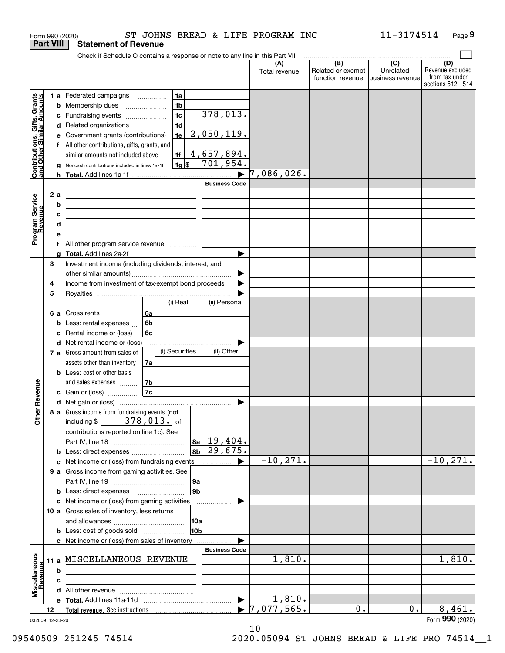|                                                           |                  |   | Form 990 (2020)                                                                                                            |                      |                        | ST JOHNS BREAD & LIFE PROGRAM INC |                                                     | 11-3174514                     | Page 9                                                          |
|-----------------------------------------------------------|------------------|---|----------------------------------------------------------------------------------------------------------------------------|----------------------|------------------------|-----------------------------------|-----------------------------------------------------|--------------------------------|-----------------------------------------------------------------|
|                                                           | <b>Part VIII</b> |   | <b>Statement of Revenue</b>                                                                                                |                      |                        |                                   |                                                     |                                |                                                                 |
|                                                           |                  |   | Check if Schedule O contains a response or note to any line in this Part VIII                                              |                      |                        |                                   | $\overline{(\mathsf{B})}$ $\overline{(\mathsf{C})}$ |                                |                                                                 |
|                                                           |                  |   |                                                                                                                            |                      |                        | (A)<br>Total revenue              | Related or exempt<br>function revenue               | Unrelated<br>lbusiness revenue | (D)<br>Revenue excluded<br>from tax under<br>sections 512 - 514 |
|                                                           |                  |   | 1 a Federated campaigns                                                                                                    | 1a                   |                        |                                   |                                                     |                                |                                                                 |
|                                                           |                  | b | Membership dues                                                                                                            | 1 <sub>b</sub>       |                        |                                   |                                                     |                                |                                                                 |
|                                                           |                  | c | Fundraising events                                                                                                         | 1 <sub>c</sub>       | 378,013.               |                                   |                                                     |                                |                                                                 |
|                                                           |                  |   | d Related organizations                                                                                                    | 1 <sub>d</sub>       |                        |                                   |                                                     |                                |                                                                 |
|                                                           |                  | е | Government grants (contributions)                                                                                          | 1e                   | 2,050,119.             |                                   |                                                     |                                |                                                                 |
|                                                           |                  |   | f All other contributions, gifts, grants, and                                                                              |                      |                        |                                   |                                                     |                                |                                                                 |
| Contributions, Gifts, Grants<br>and Other Similar Amounts |                  |   | similar amounts not included above                                                                                         | 1f                   | 4,657,894.             |                                   |                                                     |                                |                                                                 |
|                                                           |                  | g | Noncash contributions included in lines 1a-1f                                                                              | $1g$ \$              | 701,954.               |                                   |                                                     |                                |                                                                 |
|                                                           |                  |   |                                                                                                                            |                      |                        | $7,086,026$ .                     |                                                     |                                |                                                                 |
|                                                           |                  |   |                                                                                                                            |                      | <b>Business Code</b>   |                                   |                                                     |                                |                                                                 |
|                                                           | 2a               |   | <u> 2008 - Andrea Station Barbara, amerikan personal personal personal personal personal personal personal personal pe</u> |                      |                        |                                   |                                                     |                                |                                                                 |
|                                                           |                  | b | the contract of the contract of the contract of the contract of the contract of                                            |                      |                        |                                   |                                                     |                                |                                                                 |
| Program Service<br>Revenue                                |                  | с | <u> 1989 - Johann Stein, mars an deus an deus Angels (b. 1989)</u>                                                         |                      |                        |                                   |                                                     |                                |                                                                 |
|                                                           |                  | d | <u> 1980 - Johann Barn, mars ann an t-Amhair ann an t-Amhair an t-Amhair ann an t-Amhair an t-Amhair ann an t-A</u>        |                      |                        |                                   |                                                     |                                |                                                                 |
|                                                           |                  | е |                                                                                                                            |                      |                        |                                   |                                                     |                                |                                                                 |
|                                                           |                  |   | f All other program service revenue                                                                                        |                      |                        |                                   |                                                     |                                |                                                                 |
|                                                           |                  | g |                                                                                                                            |                      |                        |                                   |                                                     |                                |                                                                 |
|                                                           | 3                |   | Investment income (including dividends, interest, and                                                                      |                      |                        |                                   |                                                     |                                |                                                                 |
|                                                           |                  |   |                                                                                                                            |                      |                        |                                   |                                                     |                                |                                                                 |
|                                                           | 4                |   | Income from investment of tax-exempt bond proceeds                                                                         |                      |                        |                                   |                                                     |                                |                                                                 |
|                                                           | 5                |   |                                                                                                                            |                      |                        |                                   |                                                     |                                |                                                                 |
|                                                           |                  |   |                                                                                                                            | (i) Real             | (ii) Personal          |                                   |                                                     |                                |                                                                 |
|                                                           |                  |   | 6 a Gross rents                                                                                                            | 6a                   |                        |                                   |                                                     |                                |                                                                 |
|                                                           |                  | b | Less: rental expenses                                                                                                      | 6b                   |                        |                                   |                                                     |                                |                                                                 |
|                                                           |                  | c | Rental income or (loss)                                                                                                    | 6с                   |                        |                                   |                                                     |                                |                                                                 |
|                                                           |                  | d | Net rental income or (loss)                                                                                                |                      |                        |                                   |                                                     |                                |                                                                 |
|                                                           |                  |   | 7 a Gross amount from sales of                                                                                             | (i) Securities       | (ii) Other             |                                   |                                                     |                                |                                                                 |
|                                                           |                  |   | assets other than inventory                                                                                                | 7a                   |                        |                                   |                                                     |                                |                                                                 |
|                                                           |                  |   | <b>b</b> Less: cost or other basis                                                                                         |                      |                        |                                   |                                                     |                                |                                                                 |
|                                                           |                  |   | and sales expenses                                                                                                         | 7b                   |                        |                                   |                                                     |                                |                                                                 |
| evenue                                                    |                  |   | c Gain or (loss)                                                                                                           | <b>7c</b>            |                        |                                   |                                                     |                                |                                                                 |
|                                                           |                  |   |                                                                                                                            |                      |                        |                                   |                                                     |                                |                                                                 |
| Other R                                                   |                  |   | 8 a Gross income from fundraising events (not                                                                              |                      |                        |                                   |                                                     |                                |                                                                 |
|                                                           |                  |   | including $$378,013.$ of                                                                                                   |                      |                        |                                   |                                                     |                                |                                                                 |
|                                                           |                  |   | contributions reported on line 1c). See                                                                                    |                      | $ 8a $ 19,404.         |                                   |                                                     |                                |                                                                 |
|                                                           |                  |   |                                                                                                                            | 8 <sub>b</sub>       | 29,675.                |                                   |                                                     |                                |                                                                 |
|                                                           |                  |   | <b>b</b> Less: direct expenses <i>manually contained</i><br>c Net income or (loss) from fundraising events                 |                      | ▶                      | $-10, 271.$                       |                                                     |                                | $-10, 271.$                                                     |
|                                                           |                  |   | 9 a Gross income from gaming activities. See                                                                               |                      | $\ldots \ldots \ldots$ |                                   |                                                     |                                |                                                                 |
|                                                           |                  |   |                                                                                                                            |                      |                        |                                   |                                                     |                                |                                                                 |
|                                                           |                  |   | <b>b</b> Less: direct expenses <b>manually</b>                                                                             | 9a<br>9 <sub>b</sub> |                        |                                   |                                                     |                                |                                                                 |
|                                                           |                  |   | c Net income or (loss) from gaming activities                                                                              |                      |                        |                                   |                                                     |                                |                                                                 |
|                                                           |                  |   | 10 a Gross sales of inventory, less returns                                                                                |                      |                        |                                   |                                                     |                                |                                                                 |
|                                                           |                  |   |                                                                                                                            | 10a                  |                        |                                   |                                                     |                                |                                                                 |
|                                                           |                  |   | <b>b</b> Less: cost of goods sold                                                                                          | 10 <sub>b</sub>      |                        |                                   |                                                     |                                |                                                                 |
|                                                           |                  |   | c Net income or (loss) from sales of inventory                                                                             |                      |                        |                                   |                                                     |                                |                                                                 |
|                                                           |                  |   |                                                                                                                            |                      | <b>Business Code</b>   |                                   |                                                     |                                |                                                                 |
|                                                           |                  |   | 11 a MISCELLANEOUS REVENUE                                                                                                 |                      |                        | 1,810.                            |                                                     |                                | 1,810.                                                          |
|                                                           |                  | b |                                                                                                                            |                      |                        |                                   |                                                     |                                |                                                                 |
|                                                           |                  | c |                                                                                                                            |                      |                        |                                   |                                                     |                                |                                                                 |
| Miscellaneous<br>Revenue                                  |                  |   |                                                                                                                            |                      |                        |                                   |                                                     |                                |                                                                 |
|                                                           |                  |   |                                                                                                                            |                      | ▶                      | 1,810.                            |                                                     |                                |                                                                 |
|                                                           | 12               |   |                                                                                                                            |                      | $\blacktriangleright$  | 7,077,565.                        | 0.                                                  | 0.                             | $-8,461.$                                                       |
|                                                           | 032009 12-23-20  |   |                                                                                                                            |                      |                        |                                   |                                                     |                                | Form 990 (2020)                                                 |
|                                                           |                  |   |                                                                                                                            |                      |                        |                                   |                                                     |                                |                                                                 |

10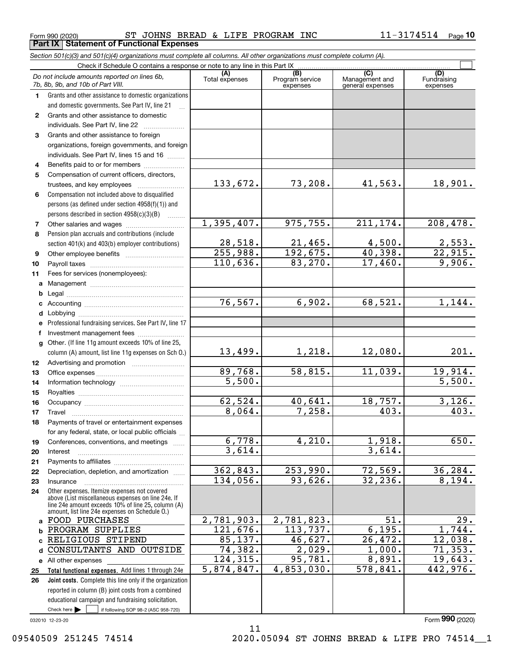**Part IX Statement of Functional Expenses**

|                  | Section 501(c)(3) and 501(c)(4) organizations must complete all columns. All other organizations must complete column (A).                                                                                 |                       |                                    |                                                      |                                |
|------------------|------------------------------------------------------------------------------------------------------------------------------------------------------------------------------------------------------------|-----------------------|------------------------------------|------------------------------------------------------|--------------------------------|
|                  | Check if Schedule O contains a response or note to any line in this Part IX                                                                                                                                |                       |                                    |                                                      |                                |
|                  | Do not include amounts reported on lines 6b,<br>7b, 8b, 9b, and 10b of Part VIII.                                                                                                                          | (A)<br>Total expenses | (B)<br>Program service<br>expenses | $\overline{C}$<br>Management and<br>general expenses | (D)<br>Fundraising<br>expenses |
| 1.               | Grants and other assistance to domestic organizations                                                                                                                                                      |                       |                                    |                                                      |                                |
|                  | and domestic governments. See Part IV, line 21                                                                                                                                                             |                       |                                    |                                                      |                                |
| $\mathbf{2}$     | Grants and other assistance to domestic                                                                                                                                                                    |                       |                                    |                                                      |                                |
|                  | individuals. See Part IV, line 22<br>.                                                                                                                                                                     |                       |                                    |                                                      |                                |
| 3                | Grants and other assistance to foreign                                                                                                                                                                     |                       |                                    |                                                      |                                |
|                  | organizations, foreign governments, and foreign                                                                                                                                                            |                       |                                    |                                                      |                                |
|                  | individuals. See Part IV, lines 15 and 16                                                                                                                                                                  |                       |                                    |                                                      |                                |
| 4                | Benefits paid to or for members                                                                                                                                                                            |                       |                                    |                                                      |                                |
| 5                | Compensation of current officers, directors,                                                                                                                                                               |                       |                                    |                                                      |                                |
|                  | trustees, and key employees                                                                                                                                                                                | 133,672.              | 73,208.                            | 41,563.                                              | 18,901.                        |
| 6                | Compensation not included above to disqualified                                                                                                                                                            |                       |                                    |                                                      |                                |
|                  | persons (as defined under section 4958(f)(1)) and                                                                                                                                                          |                       |                                    |                                                      |                                |
|                  | persons described in section 4958(c)(3)(B)<br>1.1.1.1.1.1.1                                                                                                                                                |                       |                                    |                                                      |                                |
| 7                |                                                                                                                                                                                                            | 1,395,407.            | 975, 755.                          | 211, 174.                                            | 208,478.                       |
| 8                | Pension plan accruals and contributions (include                                                                                                                                                           |                       |                                    |                                                      |                                |
|                  | section 401(k) and 403(b) employer contributions)                                                                                                                                                          | 28,518.               | 21,465.                            | 4,500.                                               | $\frac{2,553}{22,915}$         |
| 9                |                                                                                                                                                                                                            | 255,988.              | 192,675.                           | 40,398.                                              |                                |
| 10               |                                                                                                                                                                                                            | 110,636.              | 83,270.                            | 17,460.                                              | 9,906.                         |
| 11               | Fees for services (nonemployees):                                                                                                                                                                          |                       |                                    |                                                      |                                |
| a                |                                                                                                                                                                                                            |                       |                                    |                                                      |                                |
| b                |                                                                                                                                                                                                            |                       |                                    |                                                      |                                |
| c                |                                                                                                                                                                                                            | 76, 567.              | 6,902.                             | 68,521.                                              | 1,144.                         |
| d                |                                                                                                                                                                                                            |                       |                                    |                                                      |                                |
| е                | Professional fundraising services. See Part IV, line 17                                                                                                                                                    |                       |                                    |                                                      |                                |
| f                | Investment management fees                                                                                                                                                                                 |                       |                                    |                                                      |                                |
| g                | Other. (If line 11g amount exceeds 10% of line 25,<br>column (A) amount, list line 11g expenses on Sch O.)                                                                                                 | 13,499.               | 1,218.                             | 12,080.                                              | 201.                           |
| 12 <sup>12</sup> |                                                                                                                                                                                                            |                       |                                    |                                                      |                                |
| 13               |                                                                                                                                                                                                            | 89,768.               | 58,815.                            | 11,039.                                              | 19,914.                        |
| 14               |                                                                                                                                                                                                            | 5,500.                |                                    |                                                      | 5,500.                         |
| 15               |                                                                                                                                                                                                            |                       |                                    |                                                      |                                |
| 16               |                                                                                                                                                                                                            | 62,524.               | 40,641.                            | 18,757.                                              | 3,126.                         |
| 17               |                                                                                                                                                                                                            | 8,064.                | 7,258.                             | 403.                                                 | 403.                           |
| 18               | Payments of travel or entertainment expenses                                                                                                                                                               |                       |                                    |                                                      |                                |
|                  | for any federal, state, or local public officials                                                                                                                                                          |                       |                                    |                                                      |                                |
| 19               | Conferences, conventions, and meetings                                                                                                                                                                     | 6,778.                | 4,210.                             | 1,918.                                               | 650.                           |
| 20               | Interest                                                                                                                                                                                                   | 3,614.                |                                    | 3,614.                                               |                                |
| 21               |                                                                                                                                                                                                            |                       |                                    |                                                      |                                |
| 22               | Depreciation, depletion, and amortization                                                                                                                                                                  | 362,843.              | 253,990.                           | 72,569.                                              | 36, 284.                       |
| 23               | Insurance                                                                                                                                                                                                  | 134,056.              | 93,626.                            | 32,236.                                              | 8,194.                         |
| 24               | Other expenses. Itemize expenses not covered<br>above (List miscellaneous expenses on line 24e. If<br>line 24e amount exceeds 10% of line 25, column (A)<br>amount, list line 24e expenses on Schedule O.) |                       |                                    |                                                      |                                |
|                  | a FOOD PURCHASES                                                                                                                                                                                           | 2,781,903.            | 2,781,823.                         | 51.                                                  | 29.                            |
| b                | PROGRAM SUPPLIES                                                                                                                                                                                           | 121,676.              | 113,737.                           | 6, 195.                                              | 1,744.                         |
|                  | RELIGIOUS STIPEND                                                                                                                                                                                          | 85,137.               | 46,627.                            | 26,472.                                              | 12,038.                        |
| d                | CONSULTANTS AND OUTSIDE                                                                                                                                                                                    | 74,382.               | $\overline{2,029}$ .               | 1,000.                                               | 71, 353.                       |
|                  | e All other expenses                                                                                                                                                                                       | 124,315.              | 95,781.                            | 8,891.                                               | 19,643.                        |
| 25               | Total functional expenses. Add lines 1 through 24e                                                                                                                                                         | 5,874,847.            | 4,853,030.                         | 578,841.                                             | 442, 976.                      |
| 26               | <b>Joint costs.</b> Complete this line only if the organization                                                                                                                                            |                       |                                    |                                                      |                                |
|                  | reported in column (B) joint costs from a combined                                                                                                                                                         |                       |                                    |                                                      |                                |
|                  | educational campaign and fundraising solicitation.                                                                                                                                                         |                       |                                    |                                                      |                                |
|                  | Check here $\blacktriangleright$<br>if following SOP 98-2 (ASC 958-720)                                                                                                                                    |                       |                                    |                                                      |                                |

032010 12-23-20

11 09540509 251245 74514 2020.05094 ST JOHNS BREAD & LIFE PRO 74514 1

Form (2020) **990**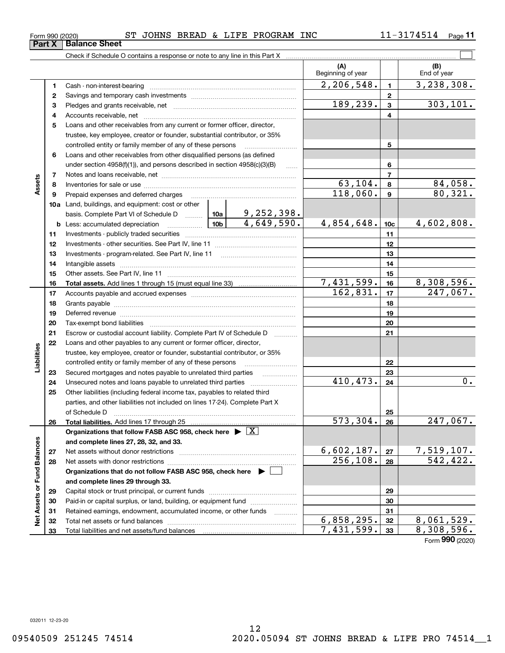#### Form 990 (2020) ST JOHNS BREAD & LIFE PROGRAM INC 11-3174514 Page **Part X Balance Sheet**

**11**

|                             |    | Check if Schedule O contains a response or note to any line in this Part X                                                                                                                                                     |            |                 |                                      |                |                         |
|-----------------------------|----|--------------------------------------------------------------------------------------------------------------------------------------------------------------------------------------------------------------------------------|------------|-----------------|--------------------------------------|----------------|-------------------------|
|                             |    |                                                                                                                                                                                                                                |            |                 | (A)<br>Beginning of year             |                | (B)<br>End of year      |
|                             | 1  |                                                                                                                                                                                                                                |            |                 | 2,206,548.                           | $\mathbf{1}$   | 3, 238, 308.            |
|                             | 2  |                                                                                                                                                                                                                                |            |                 |                                      | $\mathbf{2}$   |                         |
|                             | з  |                                                                                                                                                                                                                                |            |                 | 189,239.                             | $\mathbf{3}$   | 303, 101.               |
|                             | 4  |                                                                                                                                                                                                                                |            |                 |                                      | 4              |                         |
|                             | 5  | Loans and other receivables from any current or former officer, director,                                                                                                                                                      |            |                 |                                      |                |                         |
|                             |    | trustee, key employee, creator or founder, substantial contributor, or 35%                                                                                                                                                     |            |                 |                                      |                |                         |
|                             |    | controlled entity or family member of any of these persons                                                                                                                                                                     |            |                 |                                      | 5              |                         |
|                             | 6  | Loans and other receivables from other disqualified persons (as defined                                                                                                                                                        |            |                 |                                      |                |                         |
|                             |    | under section $4958(f)(1)$ , and persons described in section $4958(c)(3)(B)$                                                                                                                                                  |            | $\ldots$        |                                      | 6              |                         |
|                             | 7  |                                                                                                                                                                                                                                |            |                 |                                      | $\overline{7}$ |                         |
| Assets                      | 8  |                                                                                                                                                                                                                                |            | 63,104.         | 8                                    | 84,058.        |                         |
|                             | 9  | Prepaid expenses and deferred charges                                                                                                                                                                                          |            | 118,060.        | $\mathbf{9}$                         | 80,321.        |                         |
|                             |    | 10a Land, buildings, and equipment: cost or other                                                                                                                                                                              |            |                 |                                      |                |                         |
|                             |    |                                                                                                                                                                                                                                |            |                 |                                      |                |                         |
|                             |    | 10b<br><b>b</b> Less: accumulated depreciation                                                                                                                                                                                 | 4,854,648. | 10 <sub>c</sub> | 4,602,808.                           |                |                         |
|                             | 11 |                                                                                                                                                                                                                                |            | 11              |                                      |                |                         |
|                             | 12 |                                                                                                                                                                                                                                |            | 12              |                                      |                |                         |
|                             | 13 |                                                                                                                                                                                                                                |            | 13              |                                      |                |                         |
|                             | 14 |                                                                                                                                                                                                                                |            | 14              |                                      |                |                         |
|                             | 15 |                                                                                                                                                                                                                                |            | 15              |                                      |                |                         |
|                             | 16 |                                                                                                                                                                                                                                |            | 7,431,599.      | 16                                   | 8,308,596.     |                         |
|                             | 17 |                                                                                                                                                                                                                                | 162,831.   | 17              | 247,067.                             |                |                         |
|                             | 18 |                                                                                                                                                                                                                                |            | 18              |                                      |                |                         |
|                             | 19 | Deferred revenue manual contracts and contracts are all the manual contracts and contracts are contracted and contracts are contracted and contract are contracted and contract are contracted and contract are contracted and |            | 19              |                                      |                |                         |
|                             | 20 |                                                                                                                                                                                                                                |            |                 |                                      | 20             |                         |
|                             | 21 | Escrow or custodial account liability. Complete Part IV of Schedule D                                                                                                                                                          |            |                 |                                      | 21             |                         |
|                             | 22 | Loans and other payables to any current or former officer, director,                                                                                                                                                           |            |                 |                                      |                |                         |
|                             |    | trustee, key employee, creator or founder, substantial contributor, or 35%                                                                                                                                                     |            |                 |                                      |                |                         |
| Liabilities                 |    | controlled entity or family member of any of these persons                                                                                                                                                                     |            |                 |                                      | 22             |                         |
|                             | 23 | Secured mortgages and notes payable to unrelated third parties                                                                                                                                                                 |            |                 |                                      | 23             |                         |
|                             | 24 | Unsecured notes and loans payable to unrelated third parties                                                                                                                                                                   |            |                 | 410,473.                             | 24             | $\overline{0}$ .        |
|                             | 25 | Other liabilities (including federal income tax, payables to related third                                                                                                                                                     |            |                 |                                      |                |                         |
|                             |    | parties, and other liabilities not included on lines 17-24). Complete Part X                                                                                                                                                   |            |                 |                                      |                |                         |
|                             |    | of Schedule D                                                                                                                                                                                                                  |            |                 |                                      | 25             |                         |
|                             | 26 | Total liabilities. Add lines 17 through 25                                                                                                                                                                                     |            |                 | $\overline{573, 304}.$               | 26             | $\overline{247,067}$ .  |
|                             |    | Organizations that follow FASB ASC 958, check here $\triangleright \lfloor X \rfloor$                                                                                                                                          |            |                 |                                      |                |                         |
|                             |    | and complete lines 27, 28, 32, and 33.                                                                                                                                                                                         |            |                 |                                      |                |                         |
|                             | 27 |                                                                                                                                                                                                                                |            |                 | 6,602,187.<br>$\overline{256,108}$ . | 27             | 7,519,107.<br>542, 422. |
|                             | 28 |                                                                                                                                                                                                                                |            |                 |                                      | 28             |                         |
|                             |    | Organizations that do not follow FASB ASC 958, check here $\blacktriangleright$                                                                                                                                                |            |                 |                                      |                |                         |
|                             |    | and complete lines 29 through 33.                                                                                                                                                                                              |            |                 |                                      |                |                         |
| Net Assets or Fund Balances | 29 |                                                                                                                                                                                                                                |            |                 | 29                                   |                |                         |
|                             | 30 | Paid-in or capital surplus, or land, building, or equipment fund                                                                                                                                                               |            |                 | 30                                   |                |                         |
|                             | 31 | Retained earnings, endowment, accumulated income, or other funds                                                                                                                                                               |            |                 | 6,858,295.                           | 31             | $\overline{8,061},529.$ |
|                             | 32 |                                                                                                                                                                                                                                |            |                 | $\overline{7,431}$ , 599.            | 32             | 8,308,596.              |
|                             | 33 |                                                                                                                                                                                                                                |            |                 | 33                                   |                |                         |

Form (2020) **990**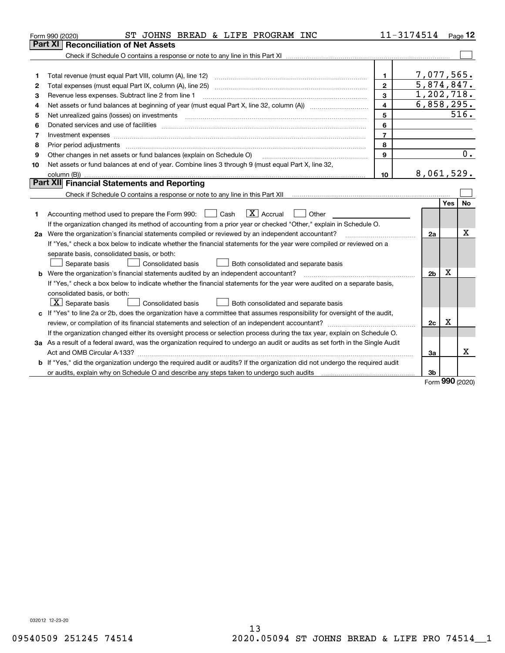| Part XI<br>7,077,565.<br>$\mathbf{1}$<br>1<br>5,874,847.<br>$\overline{2}$<br>2<br>1,202,718.<br>3<br>Revenue less expenses. Subtract line 2 from line 1<br>з<br>6,858,295.<br>4<br>4<br>516.<br>5<br>5<br>6<br>6<br>$\overline{7}$<br>7<br>8<br>8<br>$\overline{0}$ .<br>$\mathbf{9}$<br>Other changes in net assets or fund balances (explain on Schedule O)<br>9<br>Net assets or fund balances at end of year. Combine lines 3 through 9 (must equal Part X, line 32,<br>10<br>8,061,529.<br>10<br>Part XII Financial Statements and Reporting<br>Yes<br>No<br>$\overline{X}$ Accrual<br>Accounting method used to prepare the Form 990: <u>June</u> Cash<br>Other<br>1<br>If the organization changed its method of accounting from a prior year or checked "Other," explain in Schedule O.<br>x<br>2a Were the organization's financial statements compiled or reviewed by an independent accountant?<br>2a<br>If "Yes," check a box below to indicate whether the financial statements for the year were compiled or reviewed on a<br>separate basis, consolidated basis, or both:<br>Separate basis<br>Consolidated basis<br>Both consolidated and separate basis<br>X<br>b Were the organization's financial statements audited by an independent accountant?<br>2 <sub>b</sub><br>If "Yes," check a box below to indicate whether the financial statements for the year were audited on a separate basis,<br>consolidated basis, or both:<br>$X$ Separate basis<br>Consolidated basis<br>Both consolidated and separate basis<br>c If "Yes" to line 2a or 2b, does the organization have a committee that assumes responsibility for oversight of the audit,<br>$\mathbf X$<br>2c<br>If the organization changed either its oversight process or selection process during the tax year, explain on Schedule O.<br>3a As a result of a federal award, was the organization required to undergo an audit or audits as set forth in the Single Audit | ST JOHNS BREAD & LIFE PROGRAM INC<br>Form 990 (2020) | 11-3174514 |  | Page $12$ |
|-------------------------------------------------------------------------------------------------------------------------------------------------------------------------------------------------------------------------------------------------------------------------------------------------------------------------------------------------------------------------------------------------------------------------------------------------------------------------------------------------------------------------------------------------------------------------------------------------------------------------------------------------------------------------------------------------------------------------------------------------------------------------------------------------------------------------------------------------------------------------------------------------------------------------------------------------------------------------------------------------------------------------------------------------------------------------------------------------------------------------------------------------------------------------------------------------------------------------------------------------------------------------------------------------------------------------------------------------------------------------------------------------------------------------------------------------------------------------------------------------------------------------------------------------------------------------------------------------------------------------------------------------------------------------------------------------------------------------------------------------------------------------------------------------------------------------------------------------------------------------------------------------------------------------------------------------------------|------------------------------------------------------|------------|--|-----------|
|                                                                                                                                                                                                                                                                                                                                                                                                                                                                                                                                                                                                                                                                                                                                                                                                                                                                                                                                                                                                                                                                                                                                                                                                                                                                                                                                                                                                                                                                                                                                                                                                                                                                                                                                                                                                                                                                                                                                                             | Reconciliation of Net Assets                         |            |  |           |
|                                                                                                                                                                                                                                                                                                                                                                                                                                                                                                                                                                                                                                                                                                                                                                                                                                                                                                                                                                                                                                                                                                                                                                                                                                                                                                                                                                                                                                                                                                                                                                                                                                                                                                                                                                                                                                                                                                                                                             |                                                      |            |  |           |
|                                                                                                                                                                                                                                                                                                                                                                                                                                                                                                                                                                                                                                                                                                                                                                                                                                                                                                                                                                                                                                                                                                                                                                                                                                                                                                                                                                                                                                                                                                                                                                                                                                                                                                                                                                                                                                                                                                                                                             |                                                      |            |  |           |
|                                                                                                                                                                                                                                                                                                                                                                                                                                                                                                                                                                                                                                                                                                                                                                                                                                                                                                                                                                                                                                                                                                                                                                                                                                                                                                                                                                                                                                                                                                                                                                                                                                                                                                                                                                                                                                                                                                                                                             |                                                      |            |  |           |
|                                                                                                                                                                                                                                                                                                                                                                                                                                                                                                                                                                                                                                                                                                                                                                                                                                                                                                                                                                                                                                                                                                                                                                                                                                                                                                                                                                                                                                                                                                                                                                                                                                                                                                                                                                                                                                                                                                                                                             |                                                      |            |  |           |
|                                                                                                                                                                                                                                                                                                                                                                                                                                                                                                                                                                                                                                                                                                                                                                                                                                                                                                                                                                                                                                                                                                                                                                                                                                                                                                                                                                                                                                                                                                                                                                                                                                                                                                                                                                                                                                                                                                                                                             |                                                      |            |  |           |
|                                                                                                                                                                                                                                                                                                                                                                                                                                                                                                                                                                                                                                                                                                                                                                                                                                                                                                                                                                                                                                                                                                                                                                                                                                                                                                                                                                                                                                                                                                                                                                                                                                                                                                                                                                                                                                                                                                                                                             |                                                      |            |  |           |
|                                                                                                                                                                                                                                                                                                                                                                                                                                                                                                                                                                                                                                                                                                                                                                                                                                                                                                                                                                                                                                                                                                                                                                                                                                                                                                                                                                                                                                                                                                                                                                                                                                                                                                                                                                                                                                                                                                                                                             |                                                      |            |  |           |
|                                                                                                                                                                                                                                                                                                                                                                                                                                                                                                                                                                                                                                                                                                                                                                                                                                                                                                                                                                                                                                                                                                                                                                                                                                                                                                                                                                                                                                                                                                                                                                                                                                                                                                                                                                                                                                                                                                                                                             |                                                      |            |  |           |
|                                                                                                                                                                                                                                                                                                                                                                                                                                                                                                                                                                                                                                                                                                                                                                                                                                                                                                                                                                                                                                                                                                                                                                                                                                                                                                                                                                                                                                                                                                                                                                                                                                                                                                                                                                                                                                                                                                                                                             |                                                      |            |  |           |
|                                                                                                                                                                                                                                                                                                                                                                                                                                                                                                                                                                                                                                                                                                                                                                                                                                                                                                                                                                                                                                                                                                                                                                                                                                                                                                                                                                                                                                                                                                                                                                                                                                                                                                                                                                                                                                                                                                                                                             |                                                      |            |  |           |
|                                                                                                                                                                                                                                                                                                                                                                                                                                                                                                                                                                                                                                                                                                                                                                                                                                                                                                                                                                                                                                                                                                                                                                                                                                                                                                                                                                                                                                                                                                                                                                                                                                                                                                                                                                                                                                                                                                                                                             |                                                      |            |  |           |
|                                                                                                                                                                                                                                                                                                                                                                                                                                                                                                                                                                                                                                                                                                                                                                                                                                                                                                                                                                                                                                                                                                                                                                                                                                                                                                                                                                                                                                                                                                                                                                                                                                                                                                                                                                                                                                                                                                                                                             |                                                      |            |  |           |
|                                                                                                                                                                                                                                                                                                                                                                                                                                                                                                                                                                                                                                                                                                                                                                                                                                                                                                                                                                                                                                                                                                                                                                                                                                                                                                                                                                                                                                                                                                                                                                                                                                                                                                                                                                                                                                                                                                                                                             |                                                      |            |  |           |
|                                                                                                                                                                                                                                                                                                                                                                                                                                                                                                                                                                                                                                                                                                                                                                                                                                                                                                                                                                                                                                                                                                                                                                                                                                                                                                                                                                                                                                                                                                                                                                                                                                                                                                                                                                                                                                                                                                                                                             |                                                      |            |  |           |
|                                                                                                                                                                                                                                                                                                                                                                                                                                                                                                                                                                                                                                                                                                                                                                                                                                                                                                                                                                                                                                                                                                                                                                                                                                                                                                                                                                                                                                                                                                                                                                                                                                                                                                                                                                                                                                                                                                                                                             |                                                      |            |  |           |
|                                                                                                                                                                                                                                                                                                                                                                                                                                                                                                                                                                                                                                                                                                                                                                                                                                                                                                                                                                                                                                                                                                                                                                                                                                                                                                                                                                                                                                                                                                                                                                                                                                                                                                                                                                                                                                                                                                                                                             |                                                      |            |  |           |
|                                                                                                                                                                                                                                                                                                                                                                                                                                                                                                                                                                                                                                                                                                                                                                                                                                                                                                                                                                                                                                                                                                                                                                                                                                                                                                                                                                                                                                                                                                                                                                                                                                                                                                                                                                                                                                                                                                                                                             |                                                      |            |  |           |
|                                                                                                                                                                                                                                                                                                                                                                                                                                                                                                                                                                                                                                                                                                                                                                                                                                                                                                                                                                                                                                                                                                                                                                                                                                                                                                                                                                                                                                                                                                                                                                                                                                                                                                                                                                                                                                                                                                                                                             |                                                      |            |  |           |
|                                                                                                                                                                                                                                                                                                                                                                                                                                                                                                                                                                                                                                                                                                                                                                                                                                                                                                                                                                                                                                                                                                                                                                                                                                                                                                                                                                                                                                                                                                                                                                                                                                                                                                                                                                                                                                                                                                                                                             |                                                      |            |  |           |
|                                                                                                                                                                                                                                                                                                                                                                                                                                                                                                                                                                                                                                                                                                                                                                                                                                                                                                                                                                                                                                                                                                                                                                                                                                                                                                                                                                                                                                                                                                                                                                                                                                                                                                                                                                                                                                                                                                                                                             |                                                      |            |  |           |
|                                                                                                                                                                                                                                                                                                                                                                                                                                                                                                                                                                                                                                                                                                                                                                                                                                                                                                                                                                                                                                                                                                                                                                                                                                                                                                                                                                                                                                                                                                                                                                                                                                                                                                                                                                                                                                                                                                                                                             |                                                      |            |  |           |
|                                                                                                                                                                                                                                                                                                                                                                                                                                                                                                                                                                                                                                                                                                                                                                                                                                                                                                                                                                                                                                                                                                                                                                                                                                                                                                                                                                                                                                                                                                                                                                                                                                                                                                                                                                                                                                                                                                                                                             |                                                      |            |  |           |
|                                                                                                                                                                                                                                                                                                                                                                                                                                                                                                                                                                                                                                                                                                                                                                                                                                                                                                                                                                                                                                                                                                                                                                                                                                                                                                                                                                                                                                                                                                                                                                                                                                                                                                                                                                                                                                                                                                                                                             |                                                      |            |  |           |
|                                                                                                                                                                                                                                                                                                                                                                                                                                                                                                                                                                                                                                                                                                                                                                                                                                                                                                                                                                                                                                                                                                                                                                                                                                                                                                                                                                                                                                                                                                                                                                                                                                                                                                                                                                                                                                                                                                                                                             |                                                      |            |  |           |
|                                                                                                                                                                                                                                                                                                                                                                                                                                                                                                                                                                                                                                                                                                                                                                                                                                                                                                                                                                                                                                                                                                                                                                                                                                                                                                                                                                                                                                                                                                                                                                                                                                                                                                                                                                                                                                                                                                                                                             |                                                      |            |  |           |
|                                                                                                                                                                                                                                                                                                                                                                                                                                                                                                                                                                                                                                                                                                                                                                                                                                                                                                                                                                                                                                                                                                                                                                                                                                                                                                                                                                                                                                                                                                                                                                                                                                                                                                                                                                                                                                                                                                                                                             |                                                      |            |  |           |
|                                                                                                                                                                                                                                                                                                                                                                                                                                                                                                                                                                                                                                                                                                                                                                                                                                                                                                                                                                                                                                                                                                                                                                                                                                                                                                                                                                                                                                                                                                                                                                                                                                                                                                                                                                                                                                                                                                                                                             |                                                      |            |  |           |
|                                                                                                                                                                                                                                                                                                                                                                                                                                                                                                                                                                                                                                                                                                                                                                                                                                                                                                                                                                                                                                                                                                                                                                                                                                                                                                                                                                                                                                                                                                                                                                                                                                                                                                                                                                                                                                                                                                                                                             |                                                      |            |  |           |
|                                                                                                                                                                                                                                                                                                                                                                                                                                                                                                                                                                                                                                                                                                                                                                                                                                                                                                                                                                                                                                                                                                                                                                                                                                                                                                                                                                                                                                                                                                                                                                                                                                                                                                                                                                                                                                                                                                                                                             |                                                      |            |  |           |
|                                                                                                                                                                                                                                                                                                                                                                                                                                                                                                                                                                                                                                                                                                                                                                                                                                                                                                                                                                                                                                                                                                                                                                                                                                                                                                                                                                                                                                                                                                                                                                                                                                                                                                                                                                                                                                                                                                                                                             |                                                      |            |  |           |
| За                                                                                                                                                                                                                                                                                                                                                                                                                                                                                                                                                                                                                                                                                                                                                                                                                                                                                                                                                                                                                                                                                                                                                                                                                                                                                                                                                                                                                                                                                                                                                                                                                                                                                                                                                                                                                                                                                                                                                          |                                                      |            |  | x         |
| b If "Yes," did the organization undergo the required audit or audits? If the organization did not undergo the required audit                                                                                                                                                                                                                                                                                                                                                                                                                                                                                                                                                                                                                                                                                                                                                                                                                                                                                                                                                                                                                                                                                                                                                                                                                                                                                                                                                                                                                                                                                                                                                                                                                                                                                                                                                                                                                               |                                                      |            |  |           |
| or audits, explain why on Schedule O and describe any steps taken to undergo such audits [11] content to under<br>3b<br><b>nnn</b>                                                                                                                                                                                                                                                                                                                                                                                                                                                                                                                                                                                                                                                                                                                                                                                                                                                                                                                                                                                                                                                                                                                                                                                                                                                                                                                                                                                                                                                                                                                                                                                                                                                                                                                                                                                                                          |                                                      |            |  |           |

Form (2020) **990**

032012 12-23-20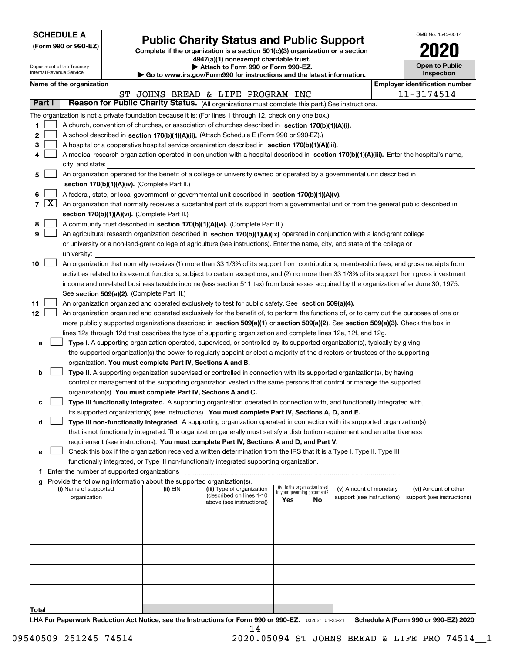| <b>SCHEDULE A</b> |
|-------------------|
|-------------------|

**(Form 990 or 990-EZ)**

# **Public Charity Status and Public Support**

**Complete if the organization is a section 501(c)(3) organization or a section 4947(a)(1) nonexempt charitable trust.**

| OMB No 1545-0047                    |  |
|-------------------------------------|--|
| 2020                                |  |
| <b>Open to Public</b><br>Insnection |  |

|        |                                                                                                                                                                                                               | Department of the Treasury<br>Internal Revenue Service |                                                      |                                                                        | Attach to Form 990 or Form 990-EZ.                                                                                                           |                                                                |    |                            |  | <b>Open to Public</b><br>Inspection   |  |
|--------|---------------------------------------------------------------------------------------------------------------------------------------------------------------------------------------------------------------|--------------------------------------------------------|------------------------------------------------------|------------------------------------------------------------------------|----------------------------------------------------------------------------------------------------------------------------------------------|----------------------------------------------------------------|----|----------------------------|--|---------------------------------------|--|
|        |                                                                                                                                                                                                               |                                                        |                                                      |                                                                        | ▶ Go to www.irs.gov/Form990 for instructions and the latest information.                                                                     |                                                                |    |                            |  | <b>Employer identification number</b> |  |
|        |                                                                                                                                                                                                               | Name of the organization                               |                                                      |                                                                        |                                                                                                                                              |                                                                |    |                            |  |                                       |  |
|        | Part I                                                                                                                                                                                                        |                                                        |                                                      |                                                                        | ST JOHNS BREAD & LIFE PROGRAM INC<br>Reason for Public Charity Status. (All organizations must complete this part.) See instructions.        |                                                                |    |                            |  | 11-3174514                            |  |
|        |                                                                                                                                                                                                               |                                                        |                                                      |                                                                        |                                                                                                                                              |                                                                |    |                            |  |                                       |  |
|        |                                                                                                                                                                                                               |                                                        |                                                      |                                                                        | The organization is not a private foundation because it is: (For lines 1 through 12, check only one box.)                                    |                                                                |    |                            |  |                                       |  |
| 1      |                                                                                                                                                                                                               |                                                        |                                                      |                                                                        | A church, convention of churches, or association of churches described in section 170(b)(1)(A)(i).                                           |                                                                |    |                            |  |                                       |  |
| 2      |                                                                                                                                                                                                               |                                                        |                                                      |                                                                        | A school described in section 170(b)(1)(A)(ii). (Attach Schedule E (Form 990 or 990-EZ).)                                                    |                                                                |    |                            |  |                                       |  |
| 3      |                                                                                                                                                                                                               |                                                        |                                                      |                                                                        | A hospital or a cooperative hospital service organization described in section 170(b)(1)(A)(iii).                                            |                                                                |    |                            |  |                                       |  |
| 4      |                                                                                                                                                                                                               |                                                        |                                                      |                                                                        | A medical research organization operated in conjunction with a hospital described in section 170(b)(1)(A)(iii). Enter the hospital's name,   |                                                                |    |                            |  |                                       |  |
|        |                                                                                                                                                                                                               | city, and state:                                       |                                                      |                                                                        |                                                                                                                                              |                                                                |    |                            |  |                                       |  |
| 5      |                                                                                                                                                                                                               |                                                        |                                                      |                                                                        | An organization operated for the benefit of a college or university owned or operated by a governmental unit described in                    |                                                                |    |                            |  |                                       |  |
|        |                                                                                                                                                                                                               |                                                        |                                                      | section 170(b)(1)(A)(iv). (Complete Part II.)                          |                                                                                                                                              |                                                                |    |                            |  |                                       |  |
| 6      |                                                                                                                                                                                                               |                                                        |                                                      |                                                                        | A federal, state, or local government or governmental unit described in section 170(b)(1)(A)(v).                                             |                                                                |    |                            |  |                                       |  |
|        | $7 \mid X \mid$<br>An organization that normally receives a substantial part of its support from a governmental unit or from the general public described in<br>section 170(b)(1)(A)(vi). (Complete Part II.) |                                                        |                                                      |                                                                        |                                                                                                                                              |                                                                |    |                            |  |                                       |  |
|        |                                                                                                                                                                                                               |                                                        |                                                      |                                                                        |                                                                                                                                              |                                                                |    |                            |  |                                       |  |
| 8<br>9 |                                                                                                                                                                                                               |                                                        |                                                      |                                                                        | A community trust described in section 170(b)(1)(A)(vi). (Complete Part II.)                                                                 |                                                                |    |                            |  |                                       |  |
|        |                                                                                                                                                                                                               |                                                        |                                                      |                                                                        | An agricultural research organization described in section 170(b)(1)(A)(ix) operated in conjunction with a land-grant college                |                                                                |    |                            |  |                                       |  |
|        |                                                                                                                                                                                                               | university:                                            |                                                      |                                                                        | or university or a non-land-grant college of agriculture (see instructions). Enter the name, city, and state of the college or               |                                                                |    |                            |  |                                       |  |
| 10     |                                                                                                                                                                                                               |                                                        |                                                      |                                                                        | An organization that normally receives (1) more than 33 1/3% of its support from contributions, membership fees, and gross receipts from     |                                                                |    |                            |  |                                       |  |
|        |                                                                                                                                                                                                               |                                                        |                                                      |                                                                        | activities related to its exempt functions, subject to certain exceptions; and (2) no more than 33 1/3% of its support from gross investment |                                                                |    |                            |  |                                       |  |
|        |                                                                                                                                                                                                               |                                                        |                                                      |                                                                        | income and unrelated business taxable income (less section 511 tax) from businesses acquired by the organization after June 30, 1975.        |                                                                |    |                            |  |                                       |  |
|        |                                                                                                                                                                                                               |                                                        |                                                      | See section 509(a)(2). (Complete Part III.)                            |                                                                                                                                              |                                                                |    |                            |  |                                       |  |
| 11     |                                                                                                                                                                                                               |                                                        |                                                      |                                                                        | An organization organized and operated exclusively to test for public safety. See section 509(a)(4).                                         |                                                                |    |                            |  |                                       |  |
| 12     |                                                                                                                                                                                                               |                                                        |                                                      |                                                                        | An organization organized and operated exclusively for the benefit of, to perform the functions of, or to carry out the purposes of one or   |                                                                |    |                            |  |                                       |  |
|        |                                                                                                                                                                                                               |                                                        |                                                      |                                                                        | more publicly supported organizations described in section 509(a)(1) or section 509(a)(2). See section 509(a)(3). Check the box in           |                                                                |    |                            |  |                                       |  |
|        |                                                                                                                                                                                                               |                                                        |                                                      |                                                                        | lines 12a through 12d that describes the type of supporting organization and complete lines 12e, 12f, and 12g.                               |                                                                |    |                            |  |                                       |  |
| а      |                                                                                                                                                                                                               |                                                        |                                                      |                                                                        | Type I. A supporting organization operated, supervised, or controlled by its supported organization(s), typically by giving                  |                                                                |    |                            |  |                                       |  |
|        |                                                                                                                                                                                                               |                                                        |                                                      |                                                                        | the supported organization(s) the power to regularly appoint or elect a majority of the directors or trustees of the supporting              |                                                                |    |                            |  |                                       |  |
|        |                                                                                                                                                                                                               |                                                        |                                                      | organization. You must complete Part IV, Sections A and B.             |                                                                                                                                              |                                                                |    |                            |  |                                       |  |
| b      |                                                                                                                                                                                                               |                                                        |                                                      |                                                                        | Type II. A supporting organization supervised or controlled in connection with its supported organization(s), by having                      |                                                                |    |                            |  |                                       |  |
|        |                                                                                                                                                                                                               |                                                        |                                                      |                                                                        | control or management of the supporting organization vested in the same persons that control or manage the supported                         |                                                                |    |                            |  |                                       |  |
|        |                                                                                                                                                                                                               |                                                        |                                                      | organization(s). You must complete Part IV, Sections A and C.          |                                                                                                                                              |                                                                |    |                            |  |                                       |  |
| с      |                                                                                                                                                                                                               |                                                        |                                                      |                                                                        | Type III functionally integrated. A supporting organization operated in connection with, and functionally integrated with,                   |                                                                |    |                            |  |                                       |  |
|        |                                                                                                                                                                                                               |                                                        |                                                      |                                                                        | its supported organization(s) (see instructions). You must complete Part IV, Sections A, D, and E.                                           |                                                                |    |                            |  |                                       |  |
| d      |                                                                                                                                                                                                               |                                                        |                                                      |                                                                        | Type III non-functionally integrated. A supporting organization operated in connection with its supported organization(s)                    |                                                                |    |                            |  |                                       |  |
|        |                                                                                                                                                                                                               |                                                        |                                                      |                                                                        | that is not functionally integrated. The organization generally must satisfy a distribution requirement and an attentiveness                 |                                                                |    |                            |  |                                       |  |
|        |                                                                                                                                                                                                               |                                                        |                                                      |                                                                        | requirement (see instructions). You must complete Part IV, Sections A and D, and Part V.                                                     |                                                                |    |                            |  |                                       |  |
| е      |                                                                                                                                                                                                               |                                                        |                                                      |                                                                        | Check this box if the organization received a written determination from the IRS that it is a Type I, Type II, Type III                      |                                                                |    |                            |  |                                       |  |
|        |                                                                                                                                                                                                               |                                                        |                                                      |                                                                        | functionally integrated, or Type III non-functionally integrated supporting organization.                                                    |                                                                |    |                            |  |                                       |  |
|        |                                                                                                                                                                                                               |                                                        | <b>f</b> Enter the number of supported organizations |                                                                        |                                                                                                                                              |                                                                |    |                            |  |                                       |  |
|        |                                                                                                                                                                                                               |                                                        |                                                      | Provide the following information about the supported organization(s). |                                                                                                                                              |                                                                |    |                            |  |                                       |  |
|        |                                                                                                                                                                                                               | (i) Name of supported                                  |                                                      | (ii) EIN                                                               | (iii) Type of organization<br>(described on lines 1-10                                                                                       | (iv) Is the organization listed<br>in your governing document? |    | (v) Amount of monetary     |  | (vi) Amount of other                  |  |
|        |                                                                                                                                                                                                               | organization                                           |                                                      |                                                                        | above (see instructions))                                                                                                                    | Yes                                                            | No | support (see instructions) |  | support (see instructions)            |  |
|        |                                                                                                                                                                                                               |                                                        |                                                      |                                                                        |                                                                                                                                              |                                                                |    |                            |  |                                       |  |
|        |                                                                                                                                                                                                               |                                                        |                                                      |                                                                        |                                                                                                                                              |                                                                |    |                            |  |                                       |  |
|        |                                                                                                                                                                                                               |                                                        |                                                      |                                                                        |                                                                                                                                              |                                                                |    |                            |  |                                       |  |
|        |                                                                                                                                                                                                               |                                                        |                                                      |                                                                        |                                                                                                                                              |                                                                |    |                            |  |                                       |  |
|        |                                                                                                                                                                                                               |                                                        |                                                      |                                                                        |                                                                                                                                              |                                                                |    |                            |  |                                       |  |
|        |                                                                                                                                                                                                               |                                                        |                                                      |                                                                        |                                                                                                                                              |                                                                |    |                            |  |                                       |  |
|        |                                                                                                                                                                                                               |                                                        |                                                      |                                                                        |                                                                                                                                              |                                                                |    |                            |  |                                       |  |
|        |                                                                                                                                                                                                               |                                                        |                                                      |                                                                        |                                                                                                                                              |                                                                |    |                            |  |                                       |  |
|        |                                                                                                                                                                                                               |                                                        |                                                      |                                                                        |                                                                                                                                              |                                                                |    |                            |  |                                       |  |
|        |                                                                                                                                                                                                               |                                                        |                                                      |                                                                        |                                                                                                                                              |                                                                |    |                            |  |                                       |  |
| Total  |                                                                                                                                                                                                               |                                                        |                                                      |                                                                        |                                                                                                                                              |                                                                |    |                            |  |                                       |  |

LHA For Paperwork Reduction Act Notice, see the Instructions for Form 990 or 990-EZ. <sub>032021</sub> o1-25-21 Schedule A (Form 990 or 990-EZ) 2020 14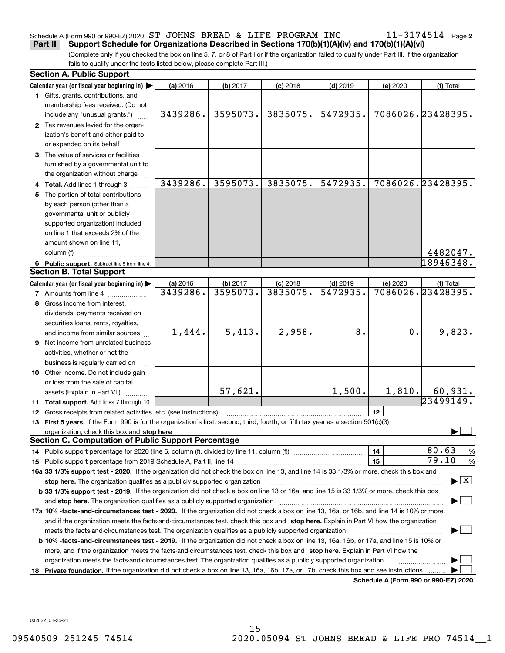#### Schedule A (Form 990 or 990-EZ) 2020 Page ST JOHNS BREAD & LIFE PROGRAM INC 11-3174514 **Part II Support Schedule for Organizations Described in Sections 170(b)(1)(A)(iv) and 170(b)(1)(A)(vi)**

(Complete only if you checked the box on line 5, 7, or 8 of Part I or if the organization failed to qualify under Part III. If the organization fails to qualify under the tests listed below, please complete Part III.)

|    | <b>Section A. Public Support</b>                                                                                                                                                                                                                                                             |          |          |            |            |          |                                          |  |  |  |
|----|----------------------------------------------------------------------------------------------------------------------------------------------------------------------------------------------------------------------------------------------------------------------------------------------|----------|----------|------------|------------|----------|------------------------------------------|--|--|--|
|    | Calendar year (or fiscal year beginning in) $\blacktriangleright$                                                                                                                                                                                                                            | (a) 2016 | (b) 2017 | $(c)$ 2018 | $(d)$ 2019 | (e) 2020 | (f) Total                                |  |  |  |
|    | 1 Gifts, grants, contributions, and                                                                                                                                                                                                                                                          |          |          |            |            |          |                                          |  |  |  |
|    | membership fees received. (Do not                                                                                                                                                                                                                                                            |          |          |            |            |          |                                          |  |  |  |
|    | include any "unusual grants.")                                                                                                                                                                                                                                                               | 3439286. | 3595073. | 3835075.   | 5472935.   |          | 7086026.23428395.                        |  |  |  |
|    | 2 Tax revenues levied for the organ-                                                                                                                                                                                                                                                         |          |          |            |            |          |                                          |  |  |  |
|    | ization's benefit and either paid to                                                                                                                                                                                                                                                         |          |          |            |            |          |                                          |  |  |  |
|    | or expended on its behalf                                                                                                                                                                                                                                                                    |          |          |            |            |          |                                          |  |  |  |
|    | 3 The value of services or facilities                                                                                                                                                                                                                                                        |          |          |            |            |          |                                          |  |  |  |
|    | furnished by a governmental unit to                                                                                                                                                                                                                                                          |          |          |            |            |          |                                          |  |  |  |
|    | the organization without charge                                                                                                                                                                                                                                                              |          |          |            |            |          |                                          |  |  |  |
|    | 4 Total. Add lines 1 through 3                                                                                                                                                                                                                                                               | 3439286. | 3595073. | 3835075.   | 5472935.   |          | 7086026.23428395.                        |  |  |  |
|    | 5 The portion of total contributions                                                                                                                                                                                                                                                         |          |          |            |            |          |                                          |  |  |  |
|    | by each person (other than a                                                                                                                                                                                                                                                                 |          |          |            |            |          |                                          |  |  |  |
|    | governmental unit or publicly                                                                                                                                                                                                                                                                |          |          |            |            |          |                                          |  |  |  |
|    | supported organization) included                                                                                                                                                                                                                                                             |          |          |            |            |          |                                          |  |  |  |
|    | on line 1 that exceeds 2% of the                                                                                                                                                                                                                                                             |          |          |            |            |          |                                          |  |  |  |
|    | amount shown on line 11,                                                                                                                                                                                                                                                                     |          |          |            |            |          |                                          |  |  |  |
|    | column (f)                                                                                                                                                                                                                                                                                   |          |          |            |            |          | 4482047.                                 |  |  |  |
|    | 6 Public support. Subtract line 5 from line 4.                                                                                                                                                                                                                                               |          |          |            |            |          | 18946348.                                |  |  |  |
|    | <b>Section B. Total Support</b>                                                                                                                                                                                                                                                              |          |          |            |            |          |                                          |  |  |  |
|    | Calendar year (or fiscal year beginning in)                                                                                                                                                                                                                                                  | (a) 2016 | (b) 2017 | $(c)$ 2018 | $(d)$ 2019 | (e) 2020 | (f) Total                                |  |  |  |
|    | <b>7</b> Amounts from line 4                                                                                                                                                                                                                                                                 | 3439286. | 3595073. | 3835075.   | 5472935.   |          | 7086026.23428395.                        |  |  |  |
| 8  | Gross income from interest,                                                                                                                                                                                                                                                                  |          |          |            |            |          |                                          |  |  |  |
|    | dividends, payments received on                                                                                                                                                                                                                                                              |          |          |            |            |          |                                          |  |  |  |
|    | securities loans, rents, royalties,                                                                                                                                                                                                                                                          |          |          |            |            |          |                                          |  |  |  |
|    | and income from similar sources                                                                                                                                                                                                                                                              | 1,444.   | 5,413.   | 2,958.     | 8.         | 0.       | 9,823.                                   |  |  |  |
|    | 9 Net income from unrelated business                                                                                                                                                                                                                                                         |          |          |            |            |          |                                          |  |  |  |
|    | activities, whether or not the                                                                                                                                                                                                                                                               |          |          |            |            |          |                                          |  |  |  |
|    | business is regularly carried on                                                                                                                                                                                                                                                             |          |          |            |            |          |                                          |  |  |  |
|    | 10 Other income. Do not include gain                                                                                                                                                                                                                                                         |          |          |            |            |          |                                          |  |  |  |
|    | or loss from the sale of capital                                                                                                                                                                                                                                                             |          |          |            |            |          |                                          |  |  |  |
|    |                                                                                                                                                                                                                                                                                              |          | 57,621.  |            | 1,500.     | 1,810.   | 60,931.                                  |  |  |  |
|    | assets (Explain in Part VI.)<br>11 Total support. Add lines 7 through 10                                                                                                                                                                                                                     |          |          |            |            |          | 23499149.                                |  |  |  |
|    | <b>12</b> Gross receipts from related activities, etc. (see instructions)                                                                                                                                                                                                                    |          |          |            |            | 12       |                                          |  |  |  |
|    | 13 First 5 years. If the Form 990 is for the organization's first, second, third, fourth, or fifth tax year as a section 501(c)(3)                                                                                                                                                           |          |          |            |            |          |                                          |  |  |  |
|    |                                                                                                                                                                                                                                                                                              |          |          |            |            |          |                                          |  |  |  |
|    | organization, check this box and stop here manufactured and according to the state of the state of the state of the state of the state of the state of the state of the state of the state of the state of the state of the st<br><b>Section C. Computation of Public Support Percentage</b> |          |          |            |            |          |                                          |  |  |  |
|    |                                                                                                                                                                                                                                                                                              |          |          |            |            | 14       | 80.63<br>%                               |  |  |  |
|    |                                                                                                                                                                                                                                                                                              |          |          |            |            | 15       | 79.10<br>$\%$                            |  |  |  |
|    | 16a 33 1/3% support test - 2020. If the organization did not check the box on line 13, and line 14 is 33 1/3% or more, check this box and                                                                                                                                                    |          |          |            |            |          |                                          |  |  |  |
|    |                                                                                                                                                                                                                                                                                              |          |          |            |            |          | $\blacktriangleright$ $\boxed{\text{X}}$ |  |  |  |
|    | stop here. The organization qualifies as a publicly supported organization                                                                                                                                                                                                                   |          |          |            |            |          |                                          |  |  |  |
|    | b 33 1/3% support test - 2019. If the organization did not check a box on line 13 or 16a, and line 15 is 33 1/3% or more, check this box                                                                                                                                                     |          |          |            |            |          |                                          |  |  |  |
|    | and stop here. The organization qualifies as a publicly supported organization                                                                                                                                                                                                               |          |          |            |            |          |                                          |  |  |  |
|    | 17a 10% -facts-and-circumstances test - 2020. If the organization did not check a box on line 13, 16a, or 16b, and line 14 is 10% or more,                                                                                                                                                   |          |          |            |            |          |                                          |  |  |  |
|    | and if the organization meets the facts-and-circumstances test, check this box and stop here. Explain in Part VI how the organization                                                                                                                                                        |          |          |            |            |          |                                          |  |  |  |
|    | meets the facts-and-circumstances test. The organization qualifies as a publicly supported organization                                                                                                                                                                                      |          |          |            |            |          |                                          |  |  |  |
|    | <b>b 10% -facts-and-circumstances test - 2019.</b> If the organization did not check a box on line 13, 16a, 16b, or 17a, and line 15 is 10% or                                                                                                                                               |          |          |            |            |          |                                          |  |  |  |
|    | more, and if the organization meets the facts-and-circumstances test, check this box and stop here. Explain in Part VI how the<br>organization meets the facts-and-circumstances test. The organization qualifies as a publicly supported organization                                       |          |          |            |            |          |                                          |  |  |  |
|    |                                                                                                                                                                                                                                                                                              |          |          |            |            |          |                                          |  |  |  |
| 18 | Private foundation. If the organization did not check a box on line 13, 16a, 16b, 17a, or 17b, check this box and see instructions                                                                                                                                                           |          |          |            |            |          | Schedule A (Form 990 or 990-F7) 2020     |  |  |  |

**Schedule A (Form 990 or 990-EZ) 2020**

032022 01-25-21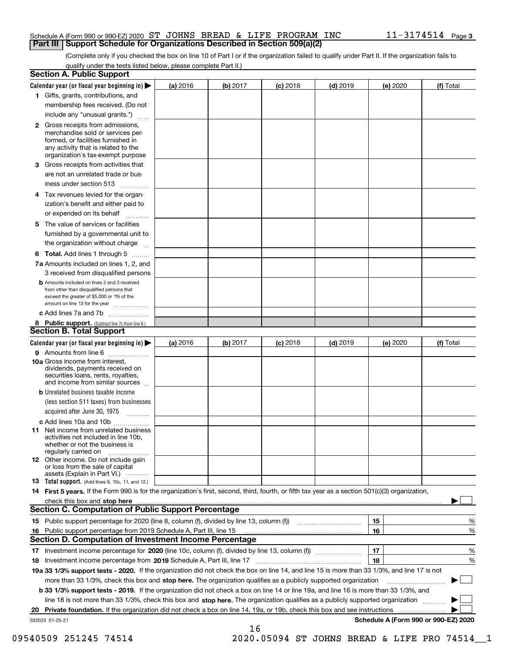#### Schedule A (Form 990 or 990-EZ) 2020 Page ST JOHNS BREAD & LIFE PROGRAM INC 11-3174514 **Part III Support Schedule for Organizations Described in Section 509(a)(2)**

(Complete only if you checked the box on line 10 of Part I or if the organization failed to qualify under Part II. If the organization fails to qualify under the tests listed below, please complete Part II.)

| <b>Section A. Public Support</b>                                                                                                                                                                                               |          |          |            |            |          |                                      |
|--------------------------------------------------------------------------------------------------------------------------------------------------------------------------------------------------------------------------------|----------|----------|------------|------------|----------|--------------------------------------|
| Calendar year (or fiscal year beginning in) $\blacktriangleright$                                                                                                                                                              | (a) 2016 | (b) 2017 | $(c)$ 2018 | $(d)$ 2019 | (e) 2020 | (f) Total                            |
| 1 Gifts, grants, contributions, and                                                                                                                                                                                            |          |          |            |            |          |                                      |
| membership fees received. (Do not                                                                                                                                                                                              |          |          |            |            |          |                                      |
| include any "unusual grants.")                                                                                                                                                                                                 |          |          |            |            |          |                                      |
| 2 Gross receipts from admissions,<br>merchandise sold or services per-<br>formed, or facilities furnished in<br>any activity that is related to the<br>organization's tax-exempt purpose                                       |          |          |            |            |          |                                      |
| 3 Gross receipts from activities that                                                                                                                                                                                          |          |          |            |            |          |                                      |
| are not an unrelated trade or bus-                                                                                                                                                                                             |          |          |            |            |          |                                      |
| iness under section 513                                                                                                                                                                                                        |          |          |            |            |          |                                      |
| 4 Tax revenues levied for the organ-                                                                                                                                                                                           |          |          |            |            |          |                                      |
| ization's benefit and either paid to<br>or expended on its behalf<br>.                                                                                                                                                         |          |          |            |            |          |                                      |
| 5 The value of services or facilities                                                                                                                                                                                          |          |          |            |            |          |                                      |
| furnished by a governmental unit to                                                                                                                                                                                            |          |          |            |            |          |                                      |
| the organization without charge                                                                                                                                                                                                |          |          |            |            |          |                                      |
| <b>6 Total.</b> Add lines 1 through 5                                                                                                                                                                                          |          |          |            |            |          |                                      |
| 7a Amounts included on lines 1, 2, and<br>3 received from disqualified persons                                                                                                                                                 |          |          |            |            |          |                                      |
| <b>b</b> Amounts included on lines 2 and 3 received<br>from other than disqualified persons that<br>exceed the greater of \$5,000 or 1% of the<br>amount on line 13 for the year                                               |          |          |            |            |          |                                      |
| c Add lines 7a and 7b                                                                                                                                                                                                          |          |          |            |            |          |                                      |
| 8 Public support. (Subtract line 7c from line 6.)<br><b>Section B. Total Support</b>                                                                                                                                           |          |          |            |            |          |                                      |
| Calendar year (or fiscal year beginning in)                                                                                                                                                                                    | (a) 2016 | (b) 2017 | $(c)$ 2018 | $(d)$ 2019 | (e) 2020 | (f) Total                            |
| 9 Amounts from line 6                                                                                                                                                                                                          |          |          |            |            |          |                                      |
| 10a Gross income from interest,<br>dividends, payments received on<br>securities loans, rents, royalties,<br>and income from similar sources                                                                                   |          |          |            |            |          |                                      |
| <b>b</b> Unrelated business taxable income                                                                                                                                                                                     |          |          |            |            |          |                                      |
| (less section 511 taxes) from businesses<br>acquired after June 30, 1975                                                                                                                                                       |          |          |            |            |          |                                      |
| c Add lines 10a and 10b                                                                                                                                                                                                        |          |          |            |            |          |                                      |
| <b>11</b> Net income from unrelated business<br>activities not included in line 10b,<br>whether or not the business is<br>regularly carried on                                                                                 |          |          |            |            |          |                                      |
| 12 Other income. Do not include gain<br>or loss from the sale of capital<br>assets (Explain in Part VI.)                                                                                                                       |          |          |            |            |          |                                      |
| <b>13 Total support.</b> (Add lines 9, 10c, 11, and 12.)                                                                                                                                                                       |          |          |            |            |          |                                      |
| 14 First 5 years. If the Form 990 is for the organization's first, second, third, fourth, or fifth tax year as a section 501(c)(3) organization,                                                                               |          |          |            |            |          |                                      |
| check this box and stop here measurements and contact the contract of the contract of the contract of the contract of the contract of the contract of the contract of the contract of the contract of the contract of the cont |          |          |            |            |          |                                      |
| <b>Section C. Computation of Public Support Percentage</b>                                                                                                                                                                     |          |          |            |            |          |                                      |
|                                                                                                                                                                                                                                |          |          |            |            | 15       | %                                    |
| 16 Public support percentage from 2019 Schedule A, Part III, line 15                                                                                                                                                           |          |          |            |            | 16       | %                                    |
| <b>Section D. Computation of Investment Income Percentage</b>                                                                                                                                                                  |          |          |            |            |          |                                      |
| 17 Investment income percentage for 2020 (line 10c, column (f), divided by line 13, column (f))                                                                                                                                |          |          |            |            | 17       | %                                    |
| 18 Investment income percentage from 2019 Schedule A, Part III, line 17                                                                                                                                                        |          |          |            |            | 18       | %                                    |
| 19a 33 1/3% support tests - 2020. If the organization did not check the box on line 14, and line 15 is more than 33 1/3%, and line 17 is not                                                                                   |          |          |            |            |          |                                      |
| more than 33 1/3%, check this box and stop here. The organization qualifies as a publicly supported organization                                                                                                               |          |          |            |            |          | ▶                                    |
| b 33 1/3% support tests - 2019. If the organization did not check a box on line 14 or line 19a, and line 16 is more than 33 1/3%, and                                                                                          |          |          |            |            |          |                                      |
| line 18 is not more than 33 1/3%, check this box and stop here. The organization qualifies as a publicly supported organization                                                                                                |          |          |            |            |          |                                      |
| 20 Private foundation. If the organization did not check a box on line 14, 19a, or 19b, check this box and see instructions                                                                                                    |          |          |            |            |          |                                      |
| 032023 01-25-21                                                                                                                                                                                                                |          |          |            |            |          | Schedule A (Form 990 or 990-EZ) 2020 |
|                                                                                                                                                                                                                                |          | 16       |            |            |          |                                      |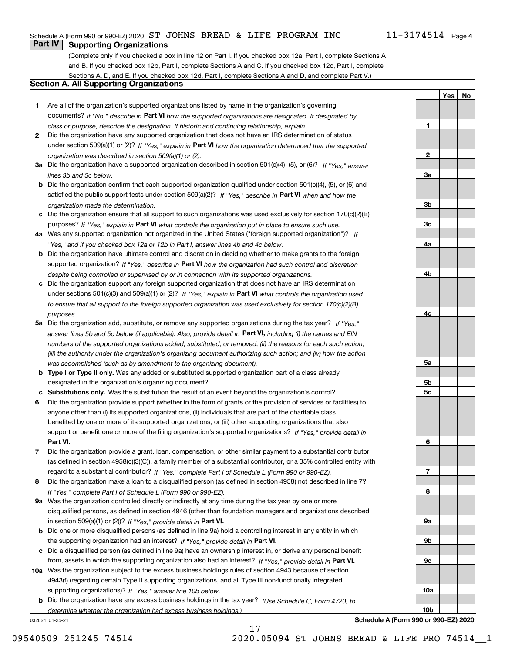#### Schedule A (Form 990 or 990-EZ) 2020 Page ST JOHNS BREAD & LIFE PROGRAM INC 11-3174514

# **Part IV Supporting Organizations**

(Complete only if you checked a box in line 12 on Part I. If you checked box 12a, Part I, complete Sections A and B. If you checked box 12b, Part I, complete Sections A and C. If you checked box 12c, Part I, complete Sections A, D, and E. If you checked box 12d, Part I, complete Sections A and D, and complete Part V.)

#### **Section A. All Supporting Organizations**

- **1** Are all of the organization's supported organizations listed by name in the organization's governing documents? If "No," describe in **Part VI** how the supported organizations are designated. If designated by *class or purpose, describe the designation. If historic and continuing relationship, explain.*
- **2** Did the organization have any supported organization that does not have an IRS determination of status under section 509(a)(1) or (2)? If "Yes," explain in Part VI how the organization determined that the supported *organization was described in section 509(a)(1) or (2).*
- **3a** Did the organization have a supported organization described in section 501(c)(4), (5), or (6)? If "Yes," answer *lines 3b and 3c below.*
- **b** Did the organization confirm that each supported organization qualified under section 501(c)(4), (5), or (6) and satisfied the public support tests under section 509(a)(2)? If "Yes," describe in **Part VI** when and how the *organization made the determination.*
- **c**Did the organization ensure that all support to such organizations was used exclusively for section 170(c)(2)(B) purposes? If "Yes," explain in **Part VI** what controls the organization put in place to ensure such use.
- **4a***If* Was any supported organization not organized in the United States ("foreign supported organization")? *"Yes," and if you checked box 12a or 12b in Part I, answer lines 4b and 4c below.*
- **b** Did the organization have ultimate control and discretion in deciding whether to make grants to the foreign supported organization? If "Yes," describe in **Part VI** how the organization had such control and discretion *despite being controlled or supervised by or in connection with its supported organizations.*
- **c** Did the organization support any foreign supported organization that does not have an IRS determination under sections 501(c)(3) and 509(a)(1) or (2)? If "Yes," explain in **Part VI** what controls the organization used *to ensure that all support to the foreign supported organization was used exclusively for section 170(c)(2)(B) purposes.*
- **5a** Did the organization add, substitute, or remove any supported organizations during the tax year? If "Yes," answer lines 5b and 5c below (if applicable). Also, provide detail in **Part VI,** including (i) the names and EIN *numbers of the supported organizations added, substituted, or removed; (ii) the reasons for each such action; (iii) the authority under the organization's organizing document authorizing such action; and (iv) how the action was accomplished (such as by amendment to the organizing document).*
- **b** Type I or Type II only. Was any added or substituted supported organization part of a class already designated in the organization's organizing document?
- **cSubstitutions only.**  Was the substitution the result of an event beyond the organization's control?
- **6** Did the organization provide support (whether in the form of grants or the provision of services or facilities) to **Part VI.** *If "Yes," provide detail in* support or benefit one or more of the filing organization's supported organizations? anyone other than (i) its supported organizations, (ii) individuals that are part of the charitable class benefited by one or more of its supported organizations, or (iii) other supporting organizations that also
- **7**Did the organization provide a grant, loan, compensation, or other similar payment to a substantial contributor *If "Yes," complete Part I of Schedule L (Form 990 or 990-EZ).* regard to a substantial contributor? (as defined in section 4958(c)(3)(C)), a family member of a substantial contributor, or a 35% controlled entity with
- **8** Did the organization make a loan to a disqualified person (as defined in section 4958) not described in line 7? *If "Yes," complete Part I of Schedule L (Form 990 or 990-EZ).*
- **9a** Was the organization controlled directly or indirectly at any time during the tax year by one or more in section 509(a)(1) or (2))? If "Yes," *provide detail in* <code>Part VI.</code> disqualified persons, as defined in section 4946 (other than foundation managers and organizations described
- **b** Did one or more disqualified persons (as defined in line 9a) hold a controlling interest in any entity in which the supporting organization had an interest? If "Yes," provide detail in P**art VI**.
- **c**Did a disqualified person (as defined in line 9a) have an ownership interest in, or derive any personal benefit from, assets in which the supporting organization also had an interest? If "Yes," provide detail in P**art VI.**
- **10a** Was the organization subject to the excess business holdings rules of section 4943 because of section supporting organizations)? If "Yes," answer line 10b below. 4943(f) (regarding certain Type II supporting organizations, and all Type III non-functionally integrated
- **b** Did the organization have any excess business holdings in the tax year? (Use Schedule C, Form 4720, to *determine whether the organization had excess business holdings.)*

032024 01-25-21

**3a3b3c4a4b4c5a 5b5c6789a 9b9c**

**1**

**2**

**YesNo**

**Schedule A (Form 990 or 990-EZ) 2020**

**10a**

**10b**

17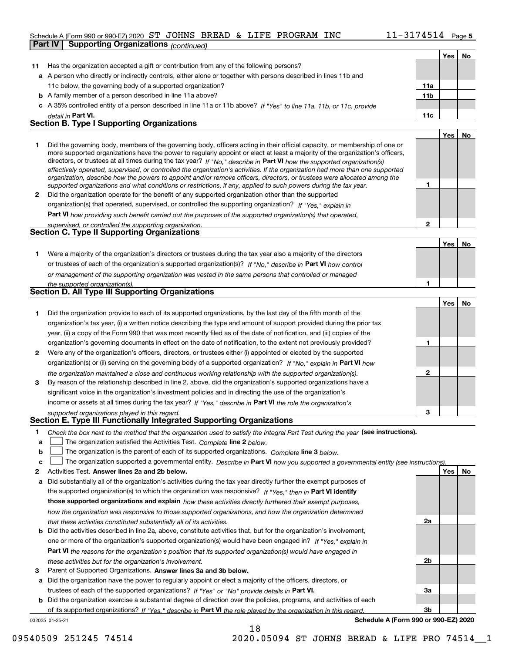#### Schedule A (Form 990 or 990-EZ) 2020 Page ST JOHNS BREAD & LIFE PROGRAM INC 11-3174514

|              | <b>Part IV</b> | <b>Supporting Organizations (continued)</b>                                                                                                                                                                                                                 |              |            |    |
|--------------|----------------|-------------------------------------------------------------------------------------------------------------------------------------------------------------------------------------------------------------------------------------------------------------|--------------|------------|----|
|              |                |                                                                                                                                                                                                                                                             |              | <b>Yes</b> | No |
| 11           |                | Has the organization accepted a gift or contribution from any of the following persons?                                                                                                                                                                     |              |            |    |
|              |                | a A person who directly or indirectly controls, either alone or together with persons described in lines 11b and                                                                                                                                            |              |            |    |
|              |                | 11c below, the governing body of a supported organization?                                                                                                                                                                                                  | 11a          |            |    |
|              |                | <b>b</b> A family member of a person described in line 11a above?                                                                                                                                                                                           | 11b          |            |    |
|              |                | c A 35% controlled entity of a person described in line 11a or 11b above? If "Yes" to line 11a, 11b, or 11c, provide                                                                                                                                        |              |            |    |
|              |                | detail in Part VI.                                                                                                                                                                                                                                          | 11c          |            |    |
|              |                | <b>Section B. Type I Supporting Organizations</b>                                                                                                                                                                                                           |              |            |    |
|              |                |                                                                                                                                                                                                                                                             |              | Yes        | No |
|              |                |                                                                                                                                                                                                                                                             |              |            |    |
| 1            |                | Did the governing body, members of the governing body, officers acting in their official capacity, or membership of one or<br>more supported organizations have the power to regularly appoint or elect at least a majority of the organization's officers, |              |            |    |
|              |                | directors, or trustees at all times during the tax year? If "No," describe in Part VI how the supported organization(s)                                                                                                                                     |              |            |    |
|              |                | effectively operated, supervised, or controlled the organization's activities. If the organization had more than one supported                                                                                                                              |              |            |    |
|              |                | organization, describe how the powers to appoint and/or remove officers, directors, or trustees were allocated among the                                                                                                                                    |              |            |    |
|              |                | supported organizations and what conditions or restrictions, if any, applied to such powers during the tax year.                                                                                                                                            | 1            |            |    |
| $\mathbf{2}$ |                | Did the organization operate for the benefit of any supported organization other than the supported                                                                                                                                                         |              |            |    |
|              |                | organization(s) that operated, supervised, or controlled the supporting organization? If "Yes," explain in                                                                                                                                                  |              |            |    |
|              |                | <b>Part VI</b> how providing such benefit carried out the purposes of the supported organization(s) that operated,                                                                                                                                          |              |            |    |
|              |                | supervised, or controlled the supporting organization.                                                                                                                                                                                                      | $\mathbf{2}$ |            |    |
|              |                | <b>Section C. Type II Supporting Organizations</b>                                                                                                                                                                                                          |              |            |    |
|              |                |                                                                                                                                                                                                                                                             |              | Yes        | No |
| 1.           |                | Were a majority of the organization's directors or trustees during the tax year also a majority of the directors                                                                                                                                            |              |            |    |
|              |                | or trustees of each of the organization's supported organization(s)? If "No," describe in Part VI how control                                                                                                                                               |              |            |    |
|              |                | or management of the supporting organization was vested in the same persons that controlled or managed                                                                                                                                                      |              |            |    |
|              |                | the supported organization(s).                                                                                                                                                                                                                              | 1            |            |    |
|              |                | Section D. All Type III Supporting Organizations                                                                                                                                                                                                            |              |            |    |
|              |                |                                                                                                                                                                                                                                                             |              | Yes        | No |
| 1.           |                | Did the organization provide to each of its supported organizations, by the last day of the fifth month of the                                                                                                                                              |              |            |    |
|              |                | organization's tax year, (i) a written notice describing the type and amount of support provided during the prior tax                                                                                                                                       |              |            |    |
|              |                | year, (ii) a copy of the Form 990 that was most recently filed as of the date of notification, and (iii) copies of the                                                                                                                                      |              |            |    |
|              |                | organization's governing documents in effect on the date of notification, to the extent not previously provided?                                                                                                                                            | 1            |            |    |
| $\mathbf{2}$ |                | Were any of the organization's officers, directors, or trustees either (i) appointed or elected by the supported                                                                                                                                            |              |            |    |
|              |                | organization(s) or (ii) serving on the governing body of a supported organization? If "No," explain in Part VI how                                                                                                                                          |              |            |    |
|              |                | the organization maintained a close and continuous working relationship with the supported organization(s).                                                                                                                                                 | 2            |            |    |
| 3            |                | By reason of the relationship described in line 2, above, did the organization's supported organizations have a                                                                                                                                             |              |            |    |
|              |                | significant voice in the organization's investment policies and in directing the use of the organization's                                                                                                                                                  |              |            |    |
|              |                | income or assets at all times during the tax year? If "Yes," describe in Part VI the role the organization's                                                                                                                                                |              |            |    |
|              |                | supported organizations played in this regard.                                                                                                                                                                                                              | з            |            |    |
|              |                | Section E. Type III Functionally Integrated Supporting Organizations                                                                                                                                                                                        |              |            |    |
| 1            |                | Check the box next to the method that the organization used to satisfy the Integral Part Test during the year (see instructions).                                                                                                                           |              |            |    |
| a            |                | The organization satisfied the Activities Test. Complete line 2 below.                                                                                                                                                                                      |              |            |    |
| b            |                | The organization is the parent of each of its supported organizations. Complete line 3 below.                                                                                                                                                               |              |            |    |
| c            |                | The organization supported a governmental entity. Describe in Part VI how you supported a governmental entity (see instructions).                                                                                                                           |              |            |    |
| 2            |                | Activities Test. Answer lines 2a and 2b below.                                                                                                                                                                                                              |              | Yes        | No |
| а            |                | Did substantially all of the organization's activities during the tax year directly further the exempt purposes of                                                                                                                                          |              |            |    |
|              |                | the supported organization(s) to which the organization was responsive? If "Yes," then in Part VI identify                                                                                                                                                  |              |            |    |
|              |                | those supported organizations and explain how these activities directly furthered their exempt purposes,                                                                                                                                                    |              |            |    |
|              |                | how the organization was responsive to those supported organizations, and how the organization determined                                                                                                                                                   |              |            |    |
|              |                | that these activities constituted substantially all of its activities.                                                                                                                                                                                      | 2a           |            |    |
| b            |                | Did the activities described in line 2a, above, constitute activities that, but for the organization's involvement,                                                                                                                                         |              |            |    |
|              |                | one or more of the organization's supported organization(s) would have been engaged in? If "Yes," explain in                                                                                                                                                |              |            |    |
|              |                | Part VI the reasons for the organization's position that its supported organization(s) would have engaged in                                                                                                                                                |              |            |    |
|              |                | these activities but for the organization's involvement.                                                                                                                                                                                                    | 2b           |            |    |
|              |                |                                                                                                                                                                                                                                                             |              |            |    |

**3** Parent of Supported Organizations. Answer lines 3a and 3b below.

**a** Did the organization have the power to regularly appoint or elect a majority of the officers, directors, or trustees of each of the supported organizations? If "Yes" or "No" provide details in **Part VI.** 

032025 01-25-21 **b** Did the organization exercise a substantial degree of direction over the policies, programs, and activities of each of its supported organizations? If "Yes," describe in Part VI the role played by the organization in this regard.

**Schedule A (Form 990 or 990-EZ) 2020**

**3a**

**3b**

18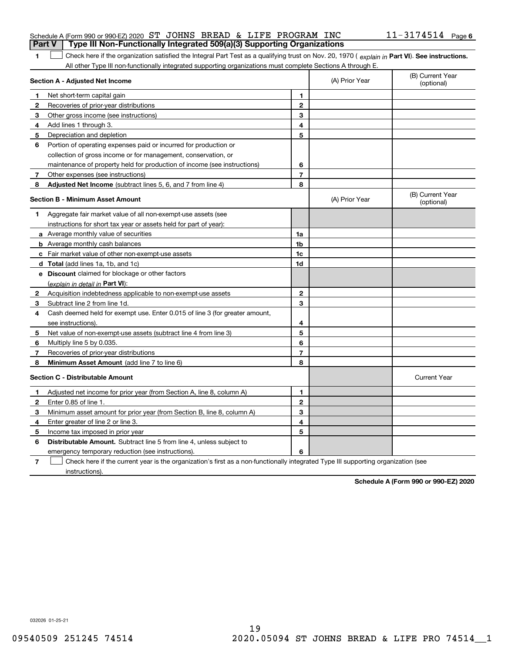#### Schedule A (Form 990 or 990-EZ) 2020 Page ST JOHNS BREAD & LIFE PROGRAM INC 11-3174514 **Part V Type III Non-Functionally Integrated 509(a)(3) Supporting Organizations**

1 Check here if the organization satisfied the Integral Part Test as a qualifying trust on Nov. 20, 1970 (explain in Part VI). See instructions. All other Type III non-functionally integrated supporting organizations must complete Sections A through E.

|              | Section A - Adjusted Net Income                                                                                                   |                | (A) Prior Year | (B) Current Year<br>(optional) |
|--------------|-----------------------------------------------------------------------------------------------------------------------------------|----------------|----------------|--------------------------------|
| 1            | Net short-term capital gain                                                                                                       | 1              |                |                                |
| 2            | Recoveries of prior-year distributions                                                                                            | $\mathbf{2}$   |                |                                |
| 3            | Other gross income (see instructions)                                                                                             | 3              |                |                                |
| 4            | Add lines 1 through 3.                                                                                                            | 4              |                |                                |
| 5            | Depreciation and depletion                                                                                                        | 5              |                |                                |
| 6            | Portion of operating expenses paid or incurred for production or                                                                  |                |                |                                |
|              | collection of gross income or for management, conservation, or                                                                    |                |                |                                |
|              | maintenance of property held for production of income (see instructions)                                                          | 6              |                |                                |
| 7            | Other expenses (see instructions)                                                                                                 | $\overline{7}$ |                |                                |
| 8            | Adjusted Net Income (subtract lines 5, 6, and 7 from line 4)                                                                      | 8              |                |                                |
|              | <b>Section B - Minimum Asset Amount</b>                                                                                           |                | (A) Prior Year | (B) Current Year<br>(optional) |
| 1            | Aggregate fair market value of all non-exempt-use assets (see                                                                     |                |                |                                |
|              | instructions for short tax year or assets held for part of year):                                                                 |                |                |                                |
|              | a Average monthly value of securities                                                                                             | 1a             |                |                                |
|              | <b>b</b> Average monthly cash balances                                                                                            | 1 <sub>b</sub> |                |                                |
|              | c Fair market value of other non-exempt-use assets                                                                                | 1c             |                |                                |
|              | d Total (add lines 1a, 1b, and 1c)                                                                                                | 1d             |                |                                |
|              | e Discount claimed for blockage or other factors                                                                                  |                |                |                                |
|              | (explain in detail in Part VI):                                                                                                   |                |                |                                |
| $\mathbf{2}$ | Acquisition indebtedness applicable to non-exempt-use assets                                                                      | $\mathbf{2}$   |                |                                |
| 3            | Subtract line 2 from line 1d.                                                                                                     | 3              |                |                                |
| 4            | Cash deemed held for exempt use. Enter 0.015 of line 3 (for greater amount,                                                       |                |                |                                |
|              | see instructions).                                                                                                                | 4              |                |                                |
| 5            | Net value of non-exempt-use assets (subtract line 4 from line 3)                                                                  | 5              |                |                                |
| 6            | Multiply line 5 by 0.035.                                                                                                         | 6              |                |                                |
| 7            | Recoveries of prior-year distributions                                                                                            | $\overline{7}$ |                |                                |
| 8            | Minimum Asset Amount (add line 7 to line 6)                                                                                       | 8              |                |                                |
|              | <b>Section C - Distributable Amount</b>                                                                                           |                |                | <b>Current Year</b>            |
| 1            | Adjusted net income for prior year (from Section A, line 8, column A)                                                             | 1              |                |                                |
| 2            | Enter 0.85 of line 1.                                                                                                             | $\overline{2}$ |                |                                |
| 3            | Minimum asset amount for prior year (from Section B, line 8, column A)                                                            | 3              |                |                                |
| 4            | Enter greater of line 2 or line 3.                                                                                                | 4              |                |                                |
| 5            | Income tax imposed in prior year                                                                                                  | 5              |                |                                |
| 6            | <b>Distributable Amount.</b> Subtract line 5 from line 4, unless subject to                                                       |                |                |                                |
|              | emergency temporary reduction (see instructions).                                                                                 | 6              |                |                                |
| 7            | Check here if the current year is the organization's first as a non-functionally integrated Type III supporting organization (see |                |                |                                |

instructions).

**1**

**Schedule A (Form 990 or 990-EZ) 2020**

032026 01-25-21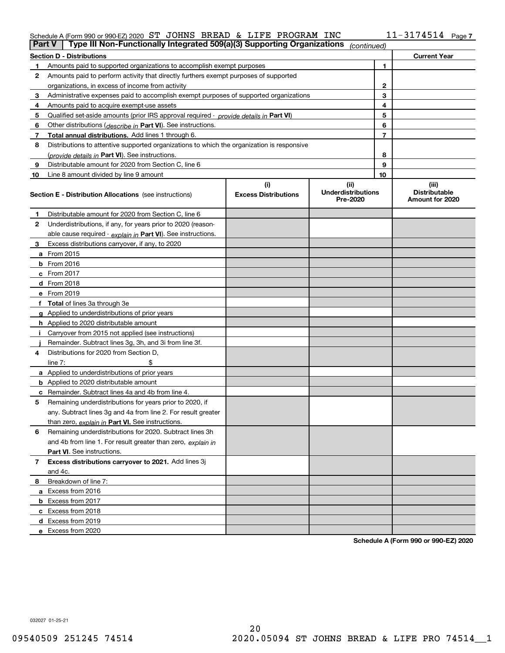# Schedule A (Form 990 or 990-EZ) 2020 Page ST JOHNS BREAD & LIFE PROGRAM INC 11-3174514

| Part V       | Type III Non-Functionally Integrated 509(a)(3) Supporting Organizations                    |                             | (continued)                           |                |                                         |  |  |
|--------------|--------------------------------------------------------------------------------------------|-----------------------------|---------------------------------------|----------------|-----------------------------------------|--|--|
|              | <b>Section D - Distributions</b>                                                           |                             |                                       |                | <b>Current Year</b>                     |  |  |
|              | 1<br>Amounts paid to supported organizations to accomplish exempt purposes                 |                             |                                       |                |                                         |  |  |
| 2            | Amounts paid to perform activity that directly furthers exempt purposes of supported       |                             |                                       |                |                                         |  |  |
|              | organizations, in excess of income from activity                                           |                             | $\mathbf{2}$                          |                |                                         |  |  |
| 3            | Administrative expenses paid to accomplish exempt purposes of supported organizations      |                             | 3                                     |                |                                         |  |  |
| 4            | Amounts paid to acquire exempt-use assets                                                  |                             |                                       | 4              |                                         |  |  |
| 5            | Qualified set aside amounts (prior IRS approval required - provide details in Part VI)     |                             |                                       | 5              |                                         |  |  |
| 6            | Other distributions ( <i>describe in</i> Part VI). See instructions.                       |                             |                                       | 6              |                                         |  |  |
| 7            | Total annual distributions. Add lines 1 through 6.                                         |                             |                                       | $\overline{7}$ |                                         |  |  |
| 8            | Distributions to attentive supported organizations to which the organization is responsive |                             |                                       |                |                                         |  |  |
|              | (provide details in Part VI). See instructions.                                            |                             |                                       | 8              |                                         |  |  |
| 9            | Distributable amount for 2020 from Section C, line 6                                       |                             |                                       | 9              |                                         |  |  |
| 10           | Line 8 amount divided by line 9 amount                                                     |                             |                                       | 10             |                                         |  |  |
|              |                                                                                            | (i)                         | (ii)                                  |                | (iii)                                   |  |  |
|              | <b>Section E - Distribution Allocations</b> (see instructions)                             | <b>Excess Distributions</b> | <b>Underdistributions</b><br>Pre-2020 |                | <b>Distributable</b><br>Amount for 2020 |  |  |
| 1            | Distributable amount for 2020 from Section C, line 6                                       |                             |                                       |                |                                         |  |  |
| 2            | Underdistributions, if any, for years prior to 2020 (reason-                               |                             |                                       |                |                                         |  |  |
|              | able cause required - explain in Part VI). See instructions.                               |                             |                                       |                |                                         |  |  |
| 3            | Excess distributions carryover, if any, to 2020                                            |                             |                                       |                |                                         |  |  |
|              | a From 2015                                                                                |                             |                                       |                |                                         |  |  |
|              | $b$ From 2016                                                                              |                             |                                       |                |                                         |  |  |
|              | c From $2017$                                                                              |                             |                                       |                |                                         |  |  |
|              | <b>d</b> From 2018                                                                         |                             |                                       |                |                                         |  |  |
|              | e From 2019                                                                                |                             |                                       |                |                                         |  |  |
|              | f Total of lines 3a through 3e                                                             |                             |                                       |                |                                         |  |  |
|              | g Applied to underdistributions of prior years                                             |                             |                                       |                |                                         |  |  |
|              | <b>h</b> Applied to 2020 distributable amount                                              |                             |                                       |                |                                         |  |  |
|              | Carryover from 2015 not applied (see instructions)                                         |                             |                                       |                |                                         |  |  |
|              | Remainder. Subtract lines 3g, 3h, and 3i from line 3f.                                     |                             |                                       |                |                                         |  |  |
| 4            | Distributions for 2020 from Section D.                                                     |                             |                                       |                |                                         |  |  |
|              | line $7:$                                                                                  |                             |                                       |                |                                         |  |  |
|              | a Applied to underdistributions of prior years                                             |                             |                                       |                |                                         |  |  |
|              | <b>b</b> Applied to 2020 distributable amount                                              |                             |                                       |                |                                         |  |  |
|              | c Remainder. Subtract lines 4a and 4b from line 4.                                         |                             |                                       |                |                                         |  |  |
| 5            | Remaining underdistributions for years prior to 2020, if                                   |                             |                                       |                |                                         |  |  |
|              | any. Subtract lines 3g and 4a from line 2. For result greater                              |                             |                                       |                |                                         |  |  |
|              | than zero, explain in Part VI. See instructions.                                           |                             |                                       |                |                                         |  |  |
| 6            | Remaining underdistributions for 2020. Subtract lines 3h                                   |                             |                                       |                |                                         |  |  |
|              | and 4b from line 1. For result greater than zero, explain in                               |                             |                                       |                |                                         |  |  |
|              | <b>Part VI.</b> See instructions.                                                          |                             |                                       |                |                                         |  |  |
| $\mathbf{7}$ | Excess distributions carryover to 2021. Add lines 3j                                       |                             |                                       |                |                                         |  |  |
|              | and 4c.                                                                                    |                             |                                       |                |                                         |  |  |
| 8            | Breakdown of line 7:                                                                       |                             |                                       |                |                                         |  |  |
|              | a Excess from 2016                                                                         |                             |                                       |                |                                         |  |  |
|              | <b>b</b> Excess from 2017                                                                  |                             |                                       |                |                                         |  |  |
|              | c Excess from 2018                                                                         |                             |                                       |                |                                         |  |  |
|              | d Excess from 2019                                                                         |                             |                                       |                |                                         |  |  |
|              | e Excess from 2020                                                                         |                             |                                       |                |                                         |  |  |
|              |                                                                                            |                             |                                       |                |                                         |  |  |

**Schedule A (Form 990 or 990-EZ) 2020**

032027 01-25-21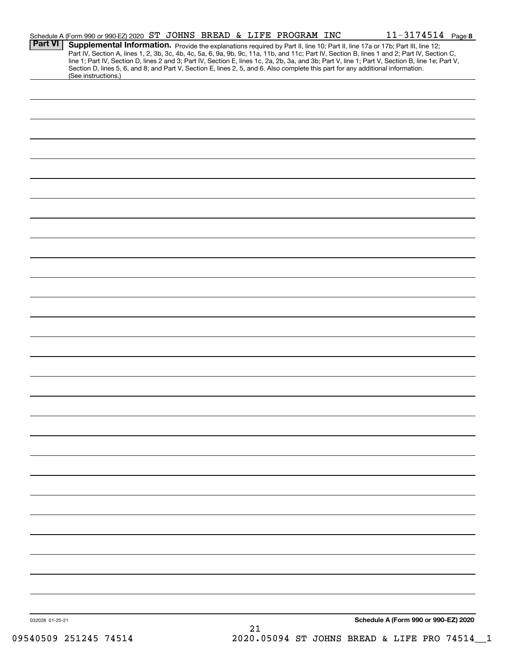| <b>Part VI</b><br>Supplemental Information. Provide the explanations required by Part II, line 10; Part II, line 17a or 17b; Part III, line 12;<br>Part IV, Section A, lines 1, 2, 3b, 3c, 4b, 4c, 5a, 6, 9a, 9b, 9c, 11a, 11b, and 11c; Part IV, Section B, lines 1 and 2; Part IV, Section C,<br>line 1; Part IV, Section D, lines 2 and 3; Part IV, Section E, lines 1c, 2a, 2b, 3a, and 3b; Part V, line 1; Part V, Section B, line 1e; Part V,<br>Section D, lines 5, 6, and 8; and Part V, Section E, lines 2, 5, and 6. Also complete this part for any additional information.<br>(See instructions.)<br>Schedule A (Form 990 or 990-EZ) 2020<br>032028 01-25-21<br>21 | Schedule A (Form 990 or 990-EZ) 2020 ST JOHNS BREAD & LIFE PROGRAM INC |  |  |  | $11 - 3174514$ Page 8 |  |
|--------------------------------------------------------------------------------------------------------------------------------------------------------------------------------------------------------------------------------------------------------------------------------------------------------------------------------------------------------------------------------------------------------------------------------------------------------------------------------------------------------------------------------------------------------------------------------------------------------------------------------------------------------------------------------|------------------------------------------------------------------------|--|--|--|-----------------------|--|
|                                                                                                                                                                                                                                                                                                                                                                                                                                                                                                                                                                                                                                                                                |                                                                        |  |  |  |                       |  |
|                                                                                                                                                                                                                                                                                                                                                                                                                                                                                                                                                                                                                                                                                |                                                                        |  |  |  |                       |  |
|                                                                                                                                                                                                                                                                                                                                                                                                                                                                                                                                                                                                                                                                                |                                                                        |  |  |  |                       |  |
|                                                                                                                                                                                                                                                                                                                                                                                                                                                                                                                                                                                                                                                                                |                                                                        |  |  |  |                       |  |
|                                                                                                                                                                                                                                                                                                                                                                                                                                                                                                                                                                                                                                                                                |                                                                        |  |  |  |                       |  |
|                                                                                                                                                                                                                                                                                                                                                                                                                                                                                                                                                                                                                                                                                |                                                                        |  |  |  |                       |  |
|                                                                                                                                                                                                                                                                                                                                                                                                                                                                                                                                                                                                                                                                                |                                                                        |  |  |  |                       |  |
|                                                                                                                                                                                                                                                                                                                                                                                                                                                                                                                                                                                                                                                                                |                                                                        |  |  |  |                       |  |
|                                                                                                                                                                                                                                                                                                                                                                                                                                                                                                                                                                                                                                                                                |                                                                        |  |  |  |                       |  |
|                                                                                                                                                                                                                                                                                                                                                                                                                                                                                                                                                                                                                                                                                |                                                                        |  |  |  |                       |  |
|                                                                                                                                                                                                                                                                                                                                                                                                                                                                                                                                                                                                                                                                                |                                                                        |  |  |  |                       |  |
|                                                                                                                                                                                                                                                                                                                                                                                                                                                                                                                                                                                                                                                                                |                                                                        |  |  |  |                       |  |
|                                                                                                                                                                                                                                                                                                                                                                                                                                                                                                                                                                                                                                                                                |                                                                        |  |  |  |                       |  |
|                                                                                                                                                                                                                                                                                                                                                                                                                                                                                                                                                                                                                                                                                |                                                                        |  |  |  |                       |  |
|                                                                                                                                                                                                                                                                                                                                                                                                                                                                                                                                                                                                                                                                                |                                                                        |  |  |  |                       |  |
|                                                                                                                                                                                                                                                                                                                                                                                                                                                                                                                                                                                                                                                                                |                                                                        |  |  |  |                       |  |
|                                                                                                                                                                                                                                                                                                                                                                                                                                                                                                                                                                                                                                                                                |                                                                        |  |  |  |                       |  |
|                                                                                                                                                                                                                                                                                                                                                                                                                                                                                                                                                                                                                                                                                |                                                                        |  |  |  |                       |  |
|                                                                                                                                                                                                                                                                                                                                                                                                                                                                                                                                                                                                                                                                                |                                                                        |  |  |  |                       |  |
|                                                                                                                                                                                                                                                                                                                                                                                                                                                                                                                                                                                                                                                                                |                                                                        |  |  |  |                       |  |
|                                                                                                                                                                                                                                                                                                                                                                                                                                                                                                                                                                                                                                                                                |                                                                        |  |  |  |                       |  |
|                                                                                                                                                                                                                                                                                                                                                                                                                                                                                                                                                                                                                                                                                |                                                                        |  |  |  |                       |  |
|                                                                                                                                                                                                                                                                                                                                                                                                                                                                                                                                                                                                                                                                                |                                                                        |  |  |  |                       |  |
|                                                                                                                                                                                                                                                                                                                                                                                                                                                                                                                                                                                                                                                                                |                                                                        |  |  |  |                       |  |
|                                                                                                                                                                                                                                                                                                                                                                                                                                                                                                                                                                                                                                                                                |                                                                        |  |  |  |                       |  |
|                                                                                                                                                                                                                                                                                                                                                                                                                                                                                                                                                                                                                                                                                |                                                                        |  |  |  |                       |  |
|                                                                                                                                                                                                                                                                                                                                                                                                                                                                                                                                                                                                                                                                                |                                                                        |  |  |  |                       |  |
|                                                                                                                                                                                                                                                                                                                                                                                                                                                                                                                                                                                                                                                                                |                                                                        |  |  |  |                       |  |
|                                                                                                                                                                                                                                                                                                                                                                                                                                                                                                                                                                                                                                                                                |                                                                        |  |  |  |                       |  |
|                                                                                                                                                                                                                                                                                                                                                                                                                                                                                                                                                                                                                                                                                |                                                                        |  |  |  |                       |  |
|                                                                                                                                                                                                                                                                                                                                                                                                                                                                                                                                                                                                                                                                                |                                                                        |  |  |  |                       |  |
|                                                                                                                                                                                                                                                                                                                                                                                                                                                                                                                                                                                                                                                                                |                                                                        |  |  |  |                       |  |
|                                                                                                                                                                                                                                                                                                                                                                                                                                                                                                                                                                                                                                                                                |                                                                        |  |  |  |                       |  |
|                                                                                                                                                                                                                                                                                                                                                                                                                                                                                                                                                                                                                                                                                |                                                                        |  |  |  |                       |  |
|                                                                                                                                                                                                                                                                                                                                                                                                                                                                                                                                                                                                                                                                                |                                                                        |  |  |  |                       |  |
|                                                                                                                                                                                                                                                                                                                                                                                                                                                                                                                                                                                                                                                                                |                                                                        |  |  |  |                       |  |
|                                                                                                                                                                                                                                                                                                                                                                                                                                                                                                                                                                                                                                                                                |                                                                        |  |  |  |                       |  |
|                                                                                                                                                                                                                                                                                                                                                                                                                                                                                                                                                                                                                                                                                |                                                                        |  |  |  |                       |  |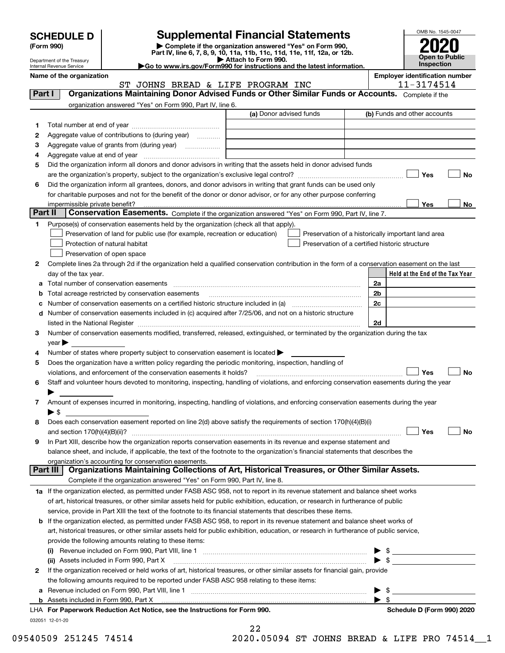| <b>SCHEDULE D</b> |  |  |
|-------------------|--|--|
|                   |  |  |

| (Form 990) |  |
|------------|--|
|------------|--|

# **Supplemental Financial Statements**

(Form 990)<br>
Pepartment of the Treasury<br>
Department of the Treasury<br>
Department of the Treasury<br>
Department of the Treasury<br> **Co to www.irs.gov/Form990 for instructions and the latest information.**<br> **Co to www.irs.gov/Form9** 

ST JOHNS BREAD & LIFE PROGRAM INC | 11-3174514



Department of the Treasury Internal Revenue Service **Name of the organization Employer identification number**

|   |                                                                                                                                                                                                                                                 | (a) Donor advised funds                                                                                              | (b) Funds and other accounts                       |           |
|---|-------------------------------------------------------------------------------------------------------------------------------------------------------------------------------------------------------------------------------------------------|----------------------------------------------------------------------------------------------------------------------|----------------------------------------------------|-----------|
| 1 |                                                                                                                                                                                                                                                 |                                                                                                                      |                                                    |           |
| 2 | Aggregate value of contributions to (during year)                                                                                                                                                                                               |                                                                                                                      |                                                    |           |
| 3 |                                                                                                                                                                                                                                                 | <u> 1980 - Jan Sterling von de Berling von de Berling von de Berling von de Berling von de Berling von de Berlin</u> |                                                    |           |
| 4 |                                                                                                                                                                                                                                                 |                                                                                                                      |                                                    |           |
| 5 | Did the organization inform all donors and donor advisors in writing that the assets held in donor advised funds                                                                                                                                |                                                                                                                      |                                                    |           |
|   |                                                                                                                                                                                                                                                 |                                                                                                                      | Yes                                                | No        |
| 6 | Did the organization inform all grantees, donors, and donor advisors in writing that grant funds can be used only                                                                                                                               |                                                                                                                      |                                                    |           |
|   | for charitable purposes and not for the benefit of the donor or donor advisor, or for any other purpose conferring                                                                                                                              |                                                                                                                      |                                                    |           |
|   |                                                                                                                                                                                                                                                 |                                                                                                                      | Yes                                                | No        |
|   | Part II<br>Conservation Easements. Complete if the organization answered "Yes" on Form 990, Part IV, line 7.                                                                                                                                    |                                                                                                                      |                                                    |           |
| 1 | Purpose(s) of conservation easements held by the organization (check all that apply).                                                                                                                                                           |                                                                                                                      |                                                    |           |
|   | Preservation of land for public use (for example, recreation or education)                                                                                                                                                                      |                                                                                                                      | Preservation of a historically important land area |           |
|   | Protection of natural habitat                                                                                                                                                                                                                   |                                                                                                                      | Preservation of a certified historic structure     |           |
|   | Preservation of open space                                                                                                                                                                                                                      |                                                                                                                      |                                                    |           |
|   |                                                                                                                                                                                                                                                 |                                                                                                                      |                                                    |           |
| 2 | Complete lines 2a through 2d if the organization held a qualified conservation contribution in the form of a conservation easement on the last                                                                                                  |                                                                                                                      |                                                    |           |
|   | day of the tax year.                                                                                                                                                                                                                            |                                                                                                                      | Held at the End of the Tax Year                    |           |
|   |                                                                                                                                                                                                                                                 |                                                                                                                      | 2a                                                 |           |
| b | Total acreage restricted by conservation easements                                                                                                                                                                                              |                                                                                                                      | 2 <sub>b</sub>                                     |           |
| c |                                                                                                                                                                                                                                                 |                                                                                                                      | 2c                                                 |           |
| d | Number of conservation easements included in (c) acquired after 7/25/06, and not on a historic structure                                                                                                                                        |                                                                                                                      |                                                    |           |
|   | listed in the National Register [11, 1200] [12] The National Register [11, 1200] [12] The National Register [11, 1200] [12] The National Register [11, 1200] [12] The National Register [11] The National Register [11] The Na                  |                                                                                                                      | 2d                                                 |           |
|   |                                                                                                                                                                                                                                                 |                                                                                                                      |                                                    |           |
| 3 | Number of conservation easements modified, transferred, released, extinguished, or terminated by the organization during the tax                                                                                                                |                                                                                                                      |                                                    |           |
|   | year                                                                                                                                                                                                                                            |                                                                                                                      |                                                    |           |
| 4 | Number of states where property subject to conservation easement is located $\blacktriangleright$                                                                                                                                               |                                                                                                                      |                                                    |           |
| 5 | Does the organization have a written policy regarding the periodic monitoring, inspection, handling of                                                                                                                                          |                                                                                                                      |                                                    |           |
|   | violations, and enforcement of the conservation easements it holds?                                                                                                                                                                             |                                                                                                                      | Yes                                                |           |
| 6 | Staff and volunteer hours devoted to monitoring, inspecting, handling of violations, and enforcing conservation easements during the year                                                                                                       |                                                                                                                      |                                                    |           |
|   |                                                                                                                                                                                                                                                 |                                                                                                                      |                                                    |           |
| 7 |                                                                                                                                                                                                                                                 |                                                                                                                      |                                                    | <b>No</b> |
|   | Amount of expenses incurred in monitoring, inspecting, handling of violations, and enforcing conservation easements during the year<br>$\blacktriangleright$ \$                                                                                 |                                                                                                                      |                                                    |           |
|   |                                                                                                                                                                                                                                                 |                                                                                                                      |                                                    |           |
| 8 | Does each conservation easement reported on line 2(d) above satisfy the requirements of section 170(h)(4)(B)(i)                                                                                                                                 |                                                                                                                      |                                                    |           |
|   |                                                                                                                                                                                                                                                 |                                                                                                                      | Yes                                                |           |
| 9 | In Part XIII, describe how the organization reports conservation easements in its revenue and expense statement and                                                                                                                             |                                                                                                                      |                                                    |           |
|   | balance sheet, and include, if applicable, the text of the footnote to the organization's financial statements that describes the                                                                                                               |                                                                                                                      |                                                    |           |
|   | organization's accounting for conservation easements.                                                                                                                                                                                           |                                                                                                                      |                                                    | No        |
|   | Organizations Maintaining Collections of Art, Historical Treasures, or Other Similar Assets.<br>Part III                                                                                                                                        |                                                                                                                      |                                                    |           |
|   | Complete if the organization answered "Yes" on Form 990, Part IV, line 8.                                                                                                                                                                       |                                                                                                                      |                                                    |           |
|   | 1a If the organization elected, as permitted under FASB ASC 958, not to report in its revenue statement and balance sheet works                                                                                                                 |                                                                                                                      |                                                    |           |
|   | of art, historical treasures, or other similar assets held for public exhibition, education, or research in furtherance of public                                                                                                               |                                                                                                                      |                                                    |           |
|   | service, provide in Part XIII the text of the footnote to its financial statements that describes these items.                                                                                                                                  |                                                                                                                      |                                                    |           |
|   | <b>b</b> If the organization elected, as permitted under FASB ASC 958, to report in its revenue statement and balance sheet works of                                                                                                            |                                                                                                                      |                                                    |           |
|   | art, historical treasures, or other similar assets held for public exhibition, education, or research in furtherance of public service,                                                                                                         |                                                                                                                      |                                                    |           |
|   | provide the following amounts relating to these items:                                                                                                                                                                                          |                                                                                                                      |                                                    |           |
|   |                                                                                                                                                                                                                                                 |                                                                                                                      | ▶                                                  |           |
|   |                                                                                                                                                                                                                                                 |                                                                                                                      | $\frac{1}{2}$                                      |           |
| 2 | (ii) Assets included in Form 990, Part X [11] [2000] [2010] [2010] Assets included in Form 990, Part X [2010] [<br>If the organization received or held works of art, historical treasures, or other similar assets for financial gain, provide |                                                                                                                      | $\triangleright$ \$                                |           |
|   |                                                                                                                                                                                                                                                 |                                                                                                                      |                                                    |           |
|   | the following amounts required to be reported under FASB ASC 958 relating to these items:                                                                                                                                                       |                                                                                                                      |                                                    |           |
|   |                                                                                                                                                                                                                                                 |                                                                                                                      | $\frac{1}{2}$<br>$\blacktriangleright$ s           |           |

22

09540509 251245 74514 2020.05094 ST JOHNS BREAD & LIFE PRO 74514 1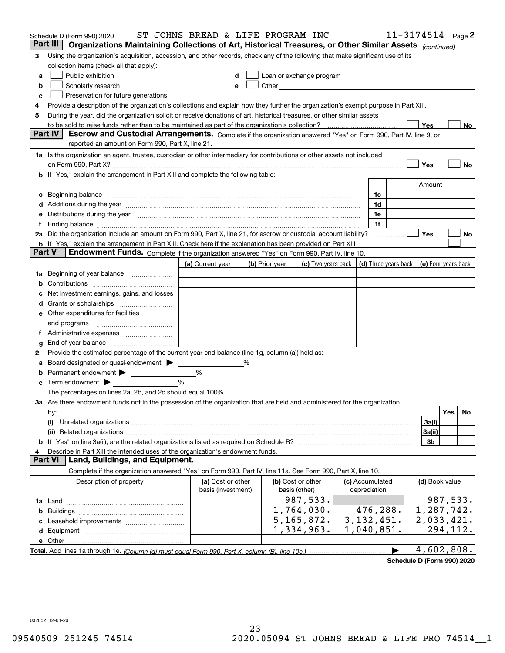|               | Schedule D (Form 990) 2020                                                                                                                                                                                                     | ST JOHNS BREAD & LIFE PROGRAM INC       |   |                |                                    |                                 | $11 - 3174514$ Page 2 |                     |          |    |
|---------------|--------------------------------------------------------------------------------------------------------------------------------------------------------------------------------------------------------------------------------|-----------------------------------------|---|----------------|------------------------------------|---------------------------------|-----------------------|---------------------|----------|----|
|               | Part III<br>Organizations Maintaining Collections of Art, Historical Treasures, or Other Similar Assets (continued)                                                                                                            |                                         |   |                |                                    |                                 |                       |                     |          |    |
| 3             | Using the organization's acquisition, accession, and other records, check any of the following that make significant use of its                                                                                                |                                         |   |                |                                    |                                 |                       |                     |          |    |
|               | collection items (check all that apply):                                                                                                                                                                                       |                                         |   |                |                                    |                                 |                       |                     |          |    |
| а             | Public exhibition                                                                                                                                                                                                              | d                                       |   |                | Loan or exchange program           |                                 |                       |                     |          |    |
| b             | Scholarly research                                                                                                                                                                                                             | е                                       |   |                |                                    |                                 |                       |                     |          |    |
| с             | Preservation for future generations                                                                                                                                                                                            |                                         |   |                |                                    |                                 |                       |                     |          |    |
| 4             | Provide a description of the organization's collections and explain how they further the organization's exempt purpose in Part XIII.                                                                                           |                                         |   |                |                                    |                                 |                       |                     |          |    |
| 5             | During the year, did the organization solicit or receive donations of art, historical treasures, or other similar assets                                                                                                       |                                         |   |                |                                    |                                 |                       |                     |          |    |
|               | to be sold to raise funds rather than to be maintained as part of the organization's collection?                                                                                                                               |                                         |   |                |                                    |                                 |                       | Yes                 |          | No |
|               | <b>Part IV</b><br>Escrow and Custodial Arrangements. Complete if the organization answered "Yes" on Form 990, Part IV, line 9, or                                                                                              |                                         |   |                |                                    |                                 |                       |                     |          |    |
|               | reported an amount on Form 990, Part X, line 21.                                                                                                                                                                               |                                         |   |                |                                    |                                 |                       |                     |          |    |
|               | 1a Is the organization an agent, trustee, custodian or other intermediary for contributions or other assets not included                                                                                                       |                                         |   |                |                                    |                                 |                       |                     |          |    |
|               | on Form 990, Part X? [11] matter contracts and contracts and contracts are contracted as a function of the set of the set of the set of the set of the set of the set of the set of the set of the set of the set of the set o |                                         |   |                |                                    |                                 |                       | Yes                 |          | No |
|               | If "Yes," explain the arrangement in Part XIII and complete the following table:                                                                                                                                               |                                         |   |                |                                    |                                 |                       |                     |          |    |
|               |                                                                                                                                                                                                                                |                                         |   |                |                                    |                                 |                       | Amount              |          |    |
| с             | Beginning balance manufactured and contain an account of the state of the state of the state of the state of the state of the state of the state of the state of the state of the state of the state of the state of the state |                                         |   |                |                                    | 1c                              |                       |                     |          |    |
|               | Additions during the year manufactured and an annual contract of the year manufactured and all the year manufactured and all the year manufactured and all the year manufactured and all the year manufactured and all the yea |                                         |   |                |                                    | 1d                              |                       |                     |          |    |
|               | Distributions during the year manufactured and continuum control of the state of the control of the state of the state of the state of the state of the state of the state of the state of the state of the state of the state |                                         |   |                |                                    | 1e                              |                       |                     |          |    |
| f             |                                                                                                                                                                                                                                |                                         |   |                |                                    | 1f                              |                       |                     |          |    |
|               | 2a Did the organization include an amount on Form 990, Part X, line 21, for escrow or custodial account liability?                                                                                                             |                                         |   |                |                                    |                                 | .                     | Yes                 |          | No |
|               | <b>b</b> If "Yes," explain the arrangement in Part XIII. Check here if the explanation has been provided on Part XIII                                                                                                          |                                         |   |                |                                    |                                 |                       |                     |          |    |
| <b>Part V</b> | Endowment Funds. Complete if the organization answered "Yes" on Form 990, Part IV, line 10.                                                                                                                                    |                                         |   |                |                                    |                                 |                       |                     |          |    |
|               |                                                                                                                                                                                                                                | (a) Current year                        |   | (b) Prior year | (c) Two years back                 | (d) Three years back            |                       | (e) Four years back |          |    |
| 1a            | Beginning of year balance                                                                                                                                                                                                      |                                         |   |                |                                    |                                 |                       |                     |          |    |
|               |                                                                                                                                                                                                                                |                                         |   |                |                                    |                                 |                       |                     |          |    |
|               | Net investment earnings, gains, and losses                                                                                                                                                                                     |                                         |   |                |                                    |                                 |                       |                     |          |    |
|               |                                                                                                                                                                                                                                |                                         |   |                |                                    |                                 |                       |                     |          |    |
|               | e Other expenditures for facilities                                                                                                                                                                                            |                                         |   |                |                                    |                                 |                       |                     |          |    |
|               | and programs                                                                                                                                                                                                                   |                                         |   |                |                                    |                                 |                       |                     |          |    |
|               |                                                                                                                                                                                                                                |                                         |   |                |                                    |                                 |                       |                     |          |    |
| g             | End of year balance                                                                                                                                                                                                            |                                         |   |                |                                    |                                 |                       |                     |          |    |
| 2             | Provide the estimated percentage of the current year end balance (line 1g, column (a)) held as:                                                                                                                                |                                         |   |                |                                    |                                 |                       |                     |          |    |
|               | Board designated or quasi-endowment > ____                                                                                                                                                                                     |                                         | % |                |                                    |                                 |                       |                     |          |    |
|               | Permanent endowment > ______________                                                                                                                                                                                           | %                                       |   |                |                                    |                                 |                       |                     |          |    |
| c             | Term endowment $\blacktriangleright$                                                                                                                                                                                           | %                                       |   |                |                                    |                                 |                       |                     |          |    |
|               | The percentages on lines 2a, 2b, and 2c should equal 100%.                                                                                                                                                                     |                                         |   |                |                                    |                                 |                       |                     |          |    |
|               | 3a Are there endowment funds not in the possession of the organization that are held and administered for the organization                                                                                                     |                                         |   |                |                                    |                                 |                       |                     |          |    |
|               | by:                                                                                                                                                                                                                            |                                         |   |                |                                    |                                 |                       |                     | Yes      | No |
|               | (i)                                                                                                                                                                                                                            |                                         |   |                |                                    |                                 |                       | 3a(i)               |          |    |
|               |                                                                                                                                                                                                                                |                                         |   |                |                                    |                                 |                       | 3a(ii)              |          |    |
| b             |                                                                                                                                                                                                                                |                                         |   |                |                                    |                                 |                       | 3b                  |          |    |
|               | Describe in Part XIII the intended uses of the organization's endowment funds.                                                                                                                                                 |                                         |   |                |                                    |                                 |                       |                     |          |    |
|               | Land, Buildings, and Equipment.<br><b>Part VI</b>                                                                                                                                                                              |                                         |   |                |                                    |                                 |                       |                     |          |    |
|               | Complete if the organization answered "Yes" on Form 990, Part IV, line 11a. See Form 990, Part X, line 10.                                                                                                                     |                                         |   |                |                                    |                                 |                       |                     |          |    |
|               | Description of property                                                                                                                                                                                                        | (a) Cost or other<br>basis (investment) |   |                | (b) Cost or other<br>basis (other) | (c) Accumulated<br>depreciation |                       | (d) Book value      |          |    |
|               |                                                                                                                                                                                                                                |                                         |   |                | 987,533.                           |                                 |                       |                     | 987,533. |    |
| b             |                                                                                                                                                                                                                                |                                         |   |                | 1,764,030.                         | 476,288.                        |                       | 1,287,742.          |          |    |
|               |                                                                                                                                                                                                                                |                                         |   |                | 5, 165, 872.                       | 3, 132, 451.                    |                       | 2,033,421.          |          |    |
| d             |                                                                                                                                                                                                                                |                                         |   |                | 1,334,963.                         | 1,040,851.                      |                       |                     | 294,112. |    |
|               | e Other                                                                                                                                                                                                                        |                                         |   |                |                                    |                                 |                       |                     |          |    |
|               |                                                                                                                                                                                                                                |                                         |   |                |                                    |                                 | $\blacktriangleright$ | 4,602,808.          |          |    |
|               |                                                                                                                                                                                                                                |                                         |   |                |                                    |                                 |                       |                     |          |    |

**Schedule D (Form 990) 2020**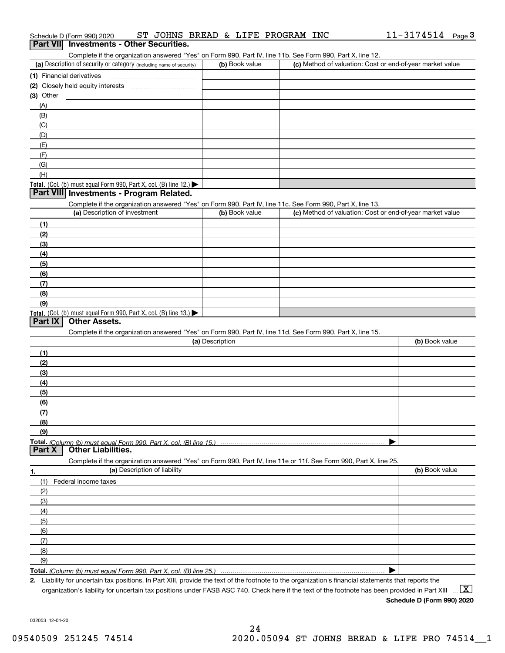| Complete if the organization answered "Yes" on Form 990, Part IV, line 11b. See Form 990, Part X, line 12.                                           |                 |                                                           |                |
|------------------------------------------------------------------------------------------------------------------------------------------------------|-----------------|-----------------------------------------------------------|----------------|
| (a) Description of security or category (including name of security)                                                                                 | (b) Book value  | (c) Method of valuation: Cost or end-of-year market value |                |
|                                                                                                                                                      |                 |                                                           |                |
|                                                                                                                                                      |                 |                                                           |                |
| (3) Other                                                                                                                                            |                 |                                                           |                |
| (A)                                                                                                                                                  |                 |                                                           |                |
| (B)                                                                                                                                                  |                 |                                                           |                |
| (C)                                                                                                                                                  |                 |                                                           |                |
| (D)                                                                                                                                                  |                 |                                                           |                |
| (E)                                                                                                                                                  |                 |                                                           |                |
| (F)                                                                                                                                                  |                 |                                                           |                |
| (G)                                                                                                                                                  |                 |                                                           |                |
| (H)                                                                                                                                                  |                 |                                                           |                |
| Total. (Col. (b) must equal Form 990, Part X, col. (B) line 12.)                                                                                     |                 |                                                           |                |
| Part VIII Investments - Program Related.                                                                                                             |                 |                                                           |                |
| Complete if the organization answered "Yes" on Form 990, Part IV, line 11c. See Form 990, Part X, line 13.                                           |                 |                                                           |                |
| (a) Description of investment                                                                                                                        | (b) Book value  | (c) Method of valuation: Cost or end-of-year market value |                |
|                                                                                                                                                      |                 |                                                           |                |
| (1)                                                                                                                                                  |                 |                                                           |                |
| (2)                                                                                                                                                  |                 |                                                           |                |
| (3)                                                                                                                                                  |                 |                                                           |                |
| (4)                                                                                                                                                  |                 |                                                           |                |
| (5)                                                                                                                                                  |                 |                                                           |                |
| (6)                                                                                                                                                  |                 |                                                           |                |
| (7)                                                                                                                                                  |                 |                                                           |                |
| (8)                                                                                                                                                  |                 |                                                           |                |
| (9)                                                                                                                                                  |                 |                                                           |                |
| Total. (Col. (b) must equal Form 990, Part X, col. (B) line 13.)<br>Part IX<br><b>Other Assets.</b>                                                  |                 |                                                           |                |
|                                                                                                                                                      |                 |                                                           |                |
| Complete if the organization answered "Yes" on Form 990, Part IV, line 11d. See Form 990, Part X, line 15.                                           | (a) Description |                                                           |                |
|                                                                                                                                                      |                 |                                                           | (b) Book value |
| (1)                                                                                                                                                  |                 |                                                           |                |
| (2)                                                                                                                                                  |                 |                                                           |                |
| (3)                                                                                                                                                  |                 |                                                           |                |
| (4)                                                                                                                                                  |                 |                                                           |                |
| (5)                                                                                                                                                  |                 |                                                           |                |
| (6)                                                                                                                                                  |                 |                                                           |                |
| (7)                                                                                                                                                  |                 |                                                           |                |
| (8)                                                                                                                                                  |                 |                                                           |                |
| (9)                                                                                                                                                  |                 |                                                           |                |
|                                                                                                                                                      |                 |                                                           |                |
| <b>Other Liabilities.</b><br>Part X                                                                                                                  |                 |                                                           |                |
| Complete if the organization answered "Yes" on Form 990, Part IV, line 11e or 11f. See Form 990, Part X, line 25.                                    |                 |                                                           |                |
| (a) Description of liability<br>1.                                                                                                                   |                 |                                                           | (b) Book value |
| (1)<br>Federal income taxes                                                                                                                          |                 |                                                           |                |
| (2)                                                                                                                                                  |                 |                                                           |                |
| (3)                                                                                                                                                  |                 |                                                           |                |
| (4)                                                                                                                                                  |                 |                                                           |                |
| (5)                                                                                                                                                  |                 |                                                           |                |
| (6)                                                                                                                                                  |                 |                                                           |                |
| (7)                                                                                                                                                  |                 |                                                           |                |
| (8)                                                                                                                                                  |                 |                                                           |                |
| (9)                                                                                                                                                  |                 |                                                           |                |
|                                                                                                                                                      |                 |                                                           |                |
| 2. Liability for uncertain tax positions. In Part XIII, provide the text of the footnote to the organization's financial statements that reports the |                 |                                                           |                |

Liability for uncertain tax positions. In Part XIII, provide the text of the footnote to the organization's financial statements that reports the organization's liability for uncertain tax positions under FASB ASC 740. Check here if the text of the footnote has been provided in Part XIII  $\,$  ...  $\overline{\rm X}$ 

032053 12-01-20

|          | (a) Description                                                                                                   | (b) Book value |
|----------|-------------------------------------------------------------------------------------------------------------------|----------------|
| (1)      |                                                                                                                   |                |
| (2)      |                                                                                                                   |                |
| (3)      |                                                                                                                   |                |
| (4)      |                                                                                                                   |                |
| (5)      |                                                                                                                   |                |
| (6)      |                                                                                                                   |                |
| (7)      |                                                                                                                   |                |
| (8)      |                                                                                                                   |                |
| (9)      |                                                                                                                   |                |
|          |                                                                                                                   |                |
| Part $X$ | <b>Other Liabilities.</b>                                                                                         |                |
|          | Complete if the organization answered "Yes" on Form 990, Part IV, line 11e or 11f. See Form 990, Part X, line 25. |                |

| Schedule D (Form 990) 2020 |                                                 |  |  | ST JOHNS BREAD & LIFE PROGRAM INC | 11-3174514 | Page |
|----------------------------|-------------------------------------------------|--|--|-----------------------------------|------------|------|
|                            | <b>Part VII</b> Investments - Other Securities. |  |  |                                   |            |      |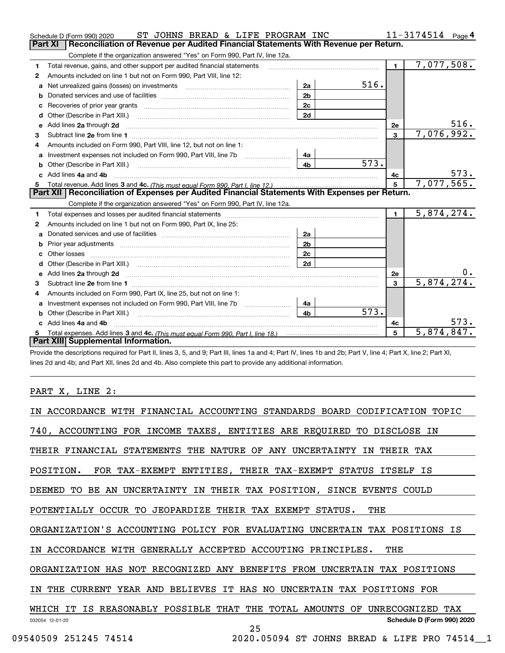|    | ST JOHNS BREAD & LIFE PROGRAM INC<br>Schedule D (Form 990) 2020                                                                                                                                                               |                |      |                | 11-3174514<br>Page $4$ |
|----|-------------------------------------------------------------------------------------------------------------------------------------------------------------------------------------------------------------------------------|----------------|------|----------------|------------------------|
|    | Reconciliation of Revenue per Audited Financial Statements With Revenue per Return.<br>Part XI                                                                                                                                |                |      |                |                        |
|    | Complete if the organization answered "Yes" on Form 990, Part IV, line 12a.                                                                                                                                                   |                |      |                |                        |
| 1  | Total revenue, gains, and other support per audited financial statements                                                                                                                                                      |                |      | $\blacksquare$ | 7,077,508.             |
| 2  | Amounts included on line 1 but not on Form 990, Part VIII, line 12:                                                                                                                                                           |                |      |                |                        |
| a  | Net unrealized gains (losses) on investments [11] matter contracts and the unrealized gains (losses) on investments                                                                                                           | 2a             | 516. |                |                        |
| b  |                                                                                                                                                                                                                               | 2 <sub>b</sub> |      |                |                        |
| c  | Recoveries of prior year grants [111] Recoveries of prior year grants [11] Masseum Marchantel Marchantel March                                                                                                                | 2c             |      |                |                        |
| d  | Other (Describe in Part XIII.) <b>Construction Contract Construction</b> (Describe in Part XIII.)                                                                                                                             | 2d             |      |                |                        |
| е  | Add lines 2a through 2d                                                                                                                                                                                                       |                |      | <b>2e</b>      | 516.                   |
| 3  |                                                                                                                                                                                                                               |                |      | $\mathbf{3}$   | 7,076,992.             |
| 4  | Amounts included on Form 990, Part VIII, line 12, but not on line 1:                                                                                                                                                          |                |      |                |                        |
| a  |                                                                                                                                                                                                                               | - 4а           |      |                |                        |
| b  |                                                                                                                                                                                                                               | 4 <sub>b</sub> | 573. |                |                        |
| c. | Add lines 4a and 4b                                                                                                                                                                                                           |                |      | 4с             | 573.                   |
|    |                                                                                                                                                                                                                               |                |      | 5              | 7,077,565.             |
|    | Part XII   Reconciliation of Expenses per Audited Financial Statements With Expenses per Return.                                                                                                                              |                |      |                |                        |
|    |                                                                                                                                                                                                                               |                |      |                |                        |
|    | Complete if the organization answered "Yes" on Form 990, Part IV, line 12a.                                                                                                                                                   |                |      |                |                        |
| 1  | Total expenses and losses per audited financial statements [11] [11] contain the control of the statements [11] [11] and the statements [11] and the statements [11] and the statements and the statements and the statements |                |      | $\mathbf{1}$   | 5,874,274.             |
| 2  | Amounts included on line 1 but not on Form 990, Part IX, line 25:                                                                                                                                                             |                |      |                |                        |
| a  |                                                                                                                                                                                                                               | 2a             |      |                |                        |
| b  |                                                                                                                                                                                                                               | 2 <sub>b</sub> |      |                |                        |
| c  |                                                                                                                                                                                                                               | 2 <sub>c</sub> |      |                |                        |
| d  |                                                                                                                                                                                                                               | 2d             |      |                |                        |
| е  |                                                                                                                                                                                                                               |                |      | 2e             | 0.                     |
| 3  |                                                                                                                                                                                                                               |                |      | 3              | 5,874,274.             |
| 4  | Amounts included on Form 990, Part IX, line 25, but not on line 1:                                                                                                                                                            |                |      |                |                        |
| a  |                                                                                                                                                                                                                               | 4a             |      |                |                        |
| b  |                                                                                                                                                                                                                               | 4 <sub>b</sub> | 573. |                |                        |
|    | Add lines 4a and 4b                                                                                                                                                                                                           |                |      | 4c             | 573.                   |
|    | Part XIII Supplemental Information.                                                                                                                                                                                           |                |      | 5              | 5,874,847.             |

Provide the descriptions required for Part II, lines 3, 5, and 9; Part III, lines 1a and 4; Part IV, lines 1b and 2b; Part V, line 4; Part X, line 2; Part XI, lines 2d and 4b; and Part XII, lines 2d and 4b. Also complete this part to provide any additional information.

# PART X, LINE 2:

| IN ACCORDANCE WITH FINANCIAL ACCOUNTING STANDARDS BOARD CODIFICATION TOPIC    |
|-------------------------------------------------------------------------------|
| 740, ACCOUNTING FOR INCOME TAXES, ENTITIES ARE REQUIRED TO DISCLOSE IN        |
| THEIR FINANCIAL STATEMENTS THE NATURE OF ANY UNCERTAINTY IN THEIR TAX         |
| POSITION. FOR TAX-EXEMPT ENTITIES, THEIR TAX-EXEMPT STATUS ITSELF IS          |
| DEEMED TO BE AN UNCERTAINTY IN THEIR TAX POSITION, SINCE EVENTS COULD         |
| POTENTIALLY OCCUR TO JEOPARDIZE THEIR TAX EXEMPT STATUS.<br>THE               |
| ORGANIZATION'S ACCOUNTING POLICY FOR EVALUATING UNCERTAIN TAX POSITIONS IS    |
| IN ACCORDANCE WITH GENERALLY ACCEPTED ACCOUTING PRINCIPLES.<br>THE            |
| ORGANIZATION HAS NOT RECOGNIZED ANY BENEFITS FROM UNCERTAIN TAX POSITIONS     |
| IN THE CURRENT YEAR AND BELIEVES IT HAS NO UNCERTAIN TAX POSITIONS FOR        |
| WHICH IT IS REASONABLY POSSIBLE THAT THE TOTAL AMOUNTS OF<br>UNRECOGNIZED TAX |
| Schedule D (Form 990) 2020<br>032054 12-01-20<br>25                           |
| 09540509 251245 74514<br>2020.05094 ST JOHNS BREAD & LIFE PRO 74514 1         |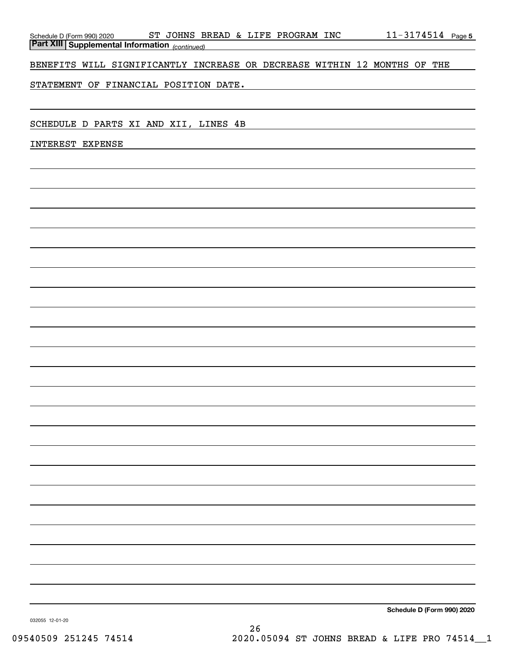|                  | Schedule D (Form 990) 2020 | oп | `วHNS  <br>. | <b>BREAD</b> | òν | LIFE | PROGRAM | INC | - 4 | Page 5 |
|------------------|----------------------------|----|--------------|--------------|----|------|---------|-----|-----|--------|
| <b>Part XIII</b> | Supplemental Information   |    | (continued)  |              |    |      |         |     |     |        |

BENEFITS WILL SIGNIFICANTLY INCREASE OR DECREASE WITHIN 12 MONTHS OF THE

STATEMENT OF FINANCIAL POSITION DATE.

SCHEDULE D PARTS XI AND XII, LINES 4B

INTEREST EXPENSE

**Schedule D (Form 990) 2020**

032055 12-01-20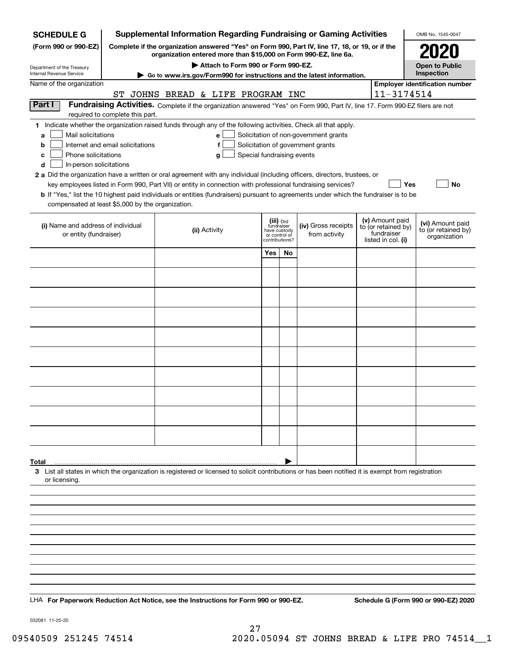| <b>SCHEDULE G</b>                                            |                                                                                                 | <b>Supplemental Information Regarding Fundraising or Gaming Activities</b>                                                                         |                                             |    |                                       |  |                                   | OMB No. 1545-0047                     |
|--------------------------------------------------------------|-------------------------------------------------------------------------------------------------|----------------------------------------------------------------------------------------------------------------------------------------------------|---------------------------------------------|----|---------------------------------------|--|-----------------------------------|---------------------------------------|
| (Form 990 or 990-EZ)                                         | Complete if the organization answered "Yes" on Form 990, Part IV, line 17, 18, or 19, or if the |                                                                                                                                                    |                                             |    |                                       |  |                                   |                                       |
| Department of the Treasury                                   |                                                                                                 | organization entered more than \$15,000 on Form 990-EZ, line 6a.<br>Attach to Form 990 or Form 990-EZ.                                             |                                             |    |                                       |  |                                   | <b>Open to Public</b>                 |
| Internal Revenue Service                                     |                                                                                                 | ► Go to www.irs.gov/Form990 for instructions and the latest information.                                                                           |                                             |    |                                       |  |                                   | Inspection                            |
| Name of the organization                                     |                                                                                                 |                                                                                                                                                    |                                             |    |                                       |  |                                   | <b>Employer identification number</b> |
|                                                              |                                                                                                 | ST JOHNS BREAD & LIFE PROGRAM INC                                                                                                                  |                                             |    |                                       |  | 11-3174514                        |                                       |
| Part I                                                       | required to complete this part.                                                                 | Fundraising Activities. Complete if the organization answered "Yes" on Form 990, Part IV, line 17. Form 990-EZ filers are not                      |                                             |    |                                       |  |                                   |                                       |
|                                                              |                                                                                                 | 1 Indicate whether the organization raised funds through any of the following activities. Check all that apply.                                    |                                             |    |                                       |  |                                   |                                       |
| Mail solicitations<br>a                                      |                                                                                                 | e                                                                                                                                                  |                                             |    | Solicitation of non-government grants |  |                                   |                                       |
| b                                                            | Internet and email solicitations                                                                | f                                                                                                                                                  |                                             |    | Solicitation of government grants     |  |                                   |                                       |
| Phone solicitations<br>c<br>In-person solicitations<br>d     |                                                                                                 | Special fundraising events<br>g                                                                                                                    |                                             |    |                                       |  |                                   |                                       |
|                                                              |                                                                                                 | 2 a Did the organization have a written or oral agreement with any individual (including officers, directors, trustees, or                         |                                             |    |                                       |  |                                   |                                       |
|                                                              |                                                                                                 | key employees listed in Form 990, Part VII) or entity in connection with professional fundraising services?                                        |                                             |    |                                       |  |                                   | Yes<br><b>No</b>                      |
|                                                              |                                                                                                 | b If "Yes," list the 10 highest paid individuals or entities (fundraisers) pursuant to agreements under which the fundraiser is to be              |                                             |    |                                       |  |                                   |                                       |
| compensated at least \$5,000 by the organization.            |                                                                                                 |                                                                                                                                                    |                                             |    |                                       |  |                                   |                                       |
|                                                              |                                                                                                 |                                                                                                                                                    | (iii) Did                                   |    |                                       |  | (v) Amount paid                   | (vi) Amount paid                      |
| (i) Name and address of individual<br>or entity (fundraiser) |                                                                                                 | (ii) Activity                                                                                                                                      | fundraiser<br>have custody<br>or control of |    | (iv) Gross receipts<br>from activity  |  | to (or retained by)<br>fundraiser | to (or retained by)                   |
|                                                              |                                                                                                 |                                                                                                                                                    | contributions?                              |    |                                       |  | listed in col. (i)                | organization                          |
|                                                              |                                                                                                 |                                                                                                                                                    | Yes                                         | No |                                       |  |                                   |                                       |
|                                                              |                                                                                                 |                                                                                                                                                    |                                             |    |                                       |  |                                   |                                       |
|                                                              |                                                                                                 |                                                                                                                                                    |                                             |    |                                       |  |                                   |                                       |
|                                                              |                                                                                                 |                                                                                                                                                    |                                             |    |                                       |  |                                   |                                       |
|                                                              |                                                                                                 |                                                                                                                                                    |                                             |    |                                       |  |                                   |                                       |
|                                                              |                                                                                                 |                                                                                                                                                    |                                             |    |                                       |  |                                   |                                       |
|                                                              |                                                                                                 |                                                                                                                                                    |                                             |    |                                       |  |                                   |                                       |
|                                                              |                                                                                                 |                                                                                                                                                    |                                             |    |                                       |  |                                   |                                       |
|                                                              |                                                                                                 |                                                                                                                                                    |                                             |    |                                       |  |                                   |                                       |
|                                                              |                                                                                                 |                                                                                                                                                    |                                             |    |                                       |  |                                   |                                       |
|                                                              |                                                                                                 |                                                                                                                                                    |                                             |    |                                       |  |                                   |                                       |
|                                                              |                                                                                                 |                                                                                                                                                    |                                             |    |                                       |  |                                   |                                       |
|                                                              |                                                                                                 |                                                                                                                                                    |                                             |    |                                       |  |                                   |                                       |
|                                                              |                                                                                                 |                                                                                                                                                    |                                             |    |                                       |  |                                   |                                       |
|                                                              |                                                                                                 |                                                                                                                                                    |                                             |    |                                       |  |                                   |                                       |
|                                                              |                                                                                                 |                                                                                                                                                    |                                             |    |                                       |  |                                   |                                       |
|                                                              |                                                                                                 |                                                                                                                                                    |                                             |    |                                       |  |                                   |                                       |
|                                                              |                                                                                                 |                                                                                                                                                    |                                             |    |                                       |  |                                   |                                       |
| Total                                                        |                                                                                                 |                                                                                                                                                    |                                             |    |                                       |  |                                   |                                       |
|                                                              |                                                                                                 | 3 List all states in which the organization is registered or licensed to solicit contributions or has been notified it is exempt from registration |                                             |    |                                       |  |                                   |                                       |
| or licensing.                                                |                                                                                                 |                                                                                                                                                    |                                             |    |                                       |  |                                   |                                       |
|                                                              |                                                                                                 |                                                                                                                                                    |                                             |    |                                       |  |                                   |                                       |
|                                                              |                                                                                                 |                                                                                                                                                    |                                             |    |                                       |  |                                   |                                       |
|                                                              |                                                                                                 |                                                                                                                                                    |                                             |    |                                       |  |                                   |                                       |
|                                                              |                                                                                                 |                                                                                                                                                    |                                             |    |                                       |  |                                   |                                       |
|                                                              |                                                                                                 |                                                                                                                                                    |                                             |    |                                       |  |                                   |                                       |
|                                                              |                                                                                                 |                                                                                                                                                    |                                             |    |                                       |  |                                   |                                       |
|                                                              |                                                                                                 |                                                                                                                                                    |                                             |    |                                       |  |                                   |                                       |
|                                                              |                                                                                                 |                                                                                                                                                    |                                             |    |                                       |  |                                   |                                       |
|                                                              |                                                                                                 |                                                                                                                                                    |                                             |    |                                       |  |                                   |                                       |
|                                                              |                                                                                                 | LHA For Paperwork Reduction Act Notice, see the Instructions for Form 990 or 990-EZ.                                                               |                                             |    |                                       |  |                                   | Schedule G (Form 990 or 990-EZ) 2020  |
|                                                              |                                                                                                 |                                                                                                                                                    |                                             |    |                                       |  |                                   |                                       |

032081 11-25-20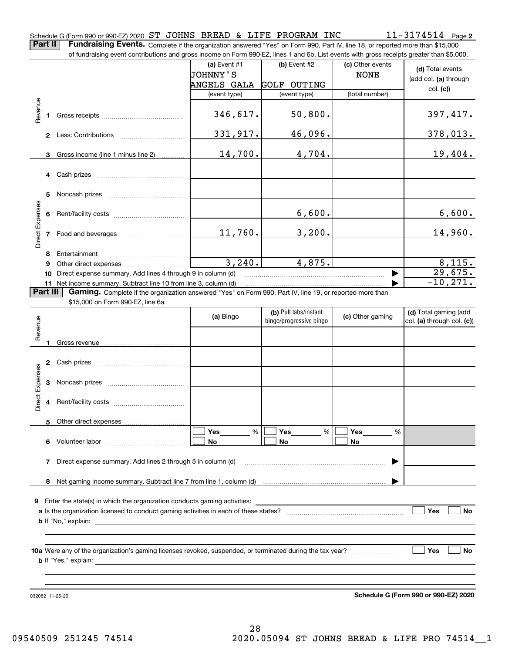**Part II** | Fundraising Events. Complete if the organization answered "Yes" on Form 990, Part IV, line 18, or reported more than \$15,000 of fundraising event contributions and gross income on Form 990-EZ, lines 1 and 6b. List events with gross receipts greater than \$5,000.

|                 |    | of fundraising event contributions and gross income on Form 990-EZ, lines 1 and 6b. List events with gross receipts greater than \$5,000. |                |                                                  |                  |                                                     |
|-----------------|----|-------------------------------------------------------------------------------------------------------------------------------------------|----------------|--------------------------------------------------|------------------|-----------------------------------------------------|
|                 |    |                                                                                                                                           | (a) Event $#1$ | $(b)$ Event #2                                   | (c) Other events | (d) Total events                                    |
|                 |    |                                                                                                                                           | JOHNNY'S       |                                                  | <b>NONE</b>      | (add col. (a) through                               |
|                 |    |                                                                                                                                           | ANGELS GALA    | <b>GOLF OUTING</b>                               |                  |                                                     |
|                 |    |                                                                                                                                           | (event type)   | (event type)                                     | (total number)   | col. (c)                                            |
|                 |    |                                                                                                                                           |                |                                                  |                  |                                                     |
| Revenue         |    |                                                                                                                                           | 346,617.       | 50,800.                                          |                  | 397,417.                                            |
|                 |    |                                                                                                                                           |                |                                                  |                  |                                                     |
|                 |    |                                                                                                                                           | 331,917.       | 46,096.                                          |                  | 378,013.                                            |
|                 |    |                                                                                                                                           |                |                                                  |                  |                                                     |
|                 |    |                                                                                                                                           | 14,700.        | 4,704.                                           |                  | 19,404.                                             |
|                 |    | 3 Gross income (line 1 minus line 2)                                                                                                      |                |                                                  |                  |                                                     |
|                 |    |                                                                                                                                           |                |                                                  |                  |                                                     |
|                 |    |                                                                                                                                           |                |                                                  |                  |                                                     |
|                 |    |                                                                                                                                           |                |                                                  |                  |                                                     |
|                 | 5  |                                                                                                                                           |                |                                                  |                  |                                                     |
|                 |    |                                                                                                                                           |                |                                                  |                  |                                                     |
|                 | 6  |                                                                                                                                           |                | 6,600.                                           |                  | 6,600.                                              |
| Direct Expenses |    |                                                                                                                                           |                |                                                  |                  |                                                     |
|                 |    | 7 Food and beverages                                                                                                                      | 11,760.        | 3,200.                                           |                  | 14,960.                                             |
|                 |    |                                                                                                                                           |                |                                                  |                  |                                                     |
|                 | 8  |                                                                                                                                           |                |                                                  |                  |                                                     |
|                 | 9  |                                                                                                                                           | 3,240.         | 4,875.                                           |                  | 8,115.                                              |
|                 | 10 | Direct expense summary. Add lines 4 through 9 in column (d)                                                                               |                |                                                  |                  | 29,675.                                             |
|                 |    | 11 Net income summary. Subtract line 10 from line 3, column (d)                                                                           |                |                                                  |                  | $-10, 271.$                                         |
| <b>Part III</b> |    | Gaming. Complete if the organization answered "Yes" on Form 990, Part IV, line 19, or reported more than                                  |                |                                                  |                  |                                                     |
|                 |    | \$15,000 on Form 990-EZ, line 6a.                                                                                                         |                |                                                  |                  |                                                     |
|                 |    |                                                                                                                                           | (a) Bingo      | (b) Pull tabs/instant<br>bingo/progressive bingo | (c) Other gaming | (d) Total gaming (add<br>col. (a) through col. (c)) |
| Revenue         |    |                                                                                                                                           |                |                                                  |                  |                                                     |
|                 |    |                                                                                                                                           |                |                                                  |                  |                                                     |
|                 | 1  |                                                                                                                                           |                |                                                  |                  |                                                     |
|                 |    |                                                                                                                                           |                |                                                  |                  |                                                     |
|                 |    |                                                                                                                                           |                |                                                  |                  |                                                     |
|                 |    |                                                                                                                                           |                |                                                  |                  |                                                     |
|                 | 3  |                                                                                                                                           |                |                                                  |                  |                                                     |
| Direct Expenses |    |                                                                                                                                           |                |                                                  |                  |                                                     |
|                 |    |                                                                                                                                           |                |                                                  |                  |                                                     |
|                 |    |                                                                                                                                           |                |                                                  |                  |                                                     |
|                 |    | 5 Other direct expenses                                                                                                                   |                |                                                  |                  |                                                     |
|                 |    |                                                                                                                                           | $\%$<br>Yes    | Yes<br>%                                         | Yes<br>%         |                                                     |
|                 |    | 6 Volunteer labor                                                                                                                         | No             | No                                               | No               |                                                     |
|                 |    |                                                                                                                                           |                |                                                  |                  |                                                     |
|                 | 7  | Direct expense summary. Add lines 2 through 5 in column (d)                                                                               |                |                                                  |                  |                                                     |
|                 |    |                                                                                                                                           |                |                                                  |                  |                                                     |
|                 |    |                                                                                                                                           |                |                                                  |                  |                                                     |
|                 |    |                                                                                                                                           |                |                                                  |                  |                                                     |
|                 |    | 9 Enter the state(s) in which the organization conducts gaming activities:                                                                |                |                                                  |                  |                                                     |
|                 |    |                                                                                                                                           |                |                                                  |                  | Yes<br><b>No</b>                                    |
|                 |    | <b>b</b> If "No," explain:                                                                                                                |                |                                                  |                  |                                                     |
|                 |    |                                                                                                                                           |                |                                                  |                  |                                                     |
|                 |    |                                                                                                                                           |                |                                                  |                  |                                                     |
|                 |    |                                                                                                                                           |                |                                                  |                  | Yes<br><b>No</b>                                    |
|                 |    | <b>b</b> If "Yes," explain:                                                                                                               |                |                                                  |                  |                                                     |
|                 |    |                                                                                                                                           |                |                                                  |                  |                                                     |
|                 |    |                                                                                                                                           |                |                                                  |                  |                                                     |
|                 |    |                                                                                                                                           |                |                                                  |                  |                                                     |

032082 11-25-20

**Schedule G (Form 990 or 990-EZ) 2020**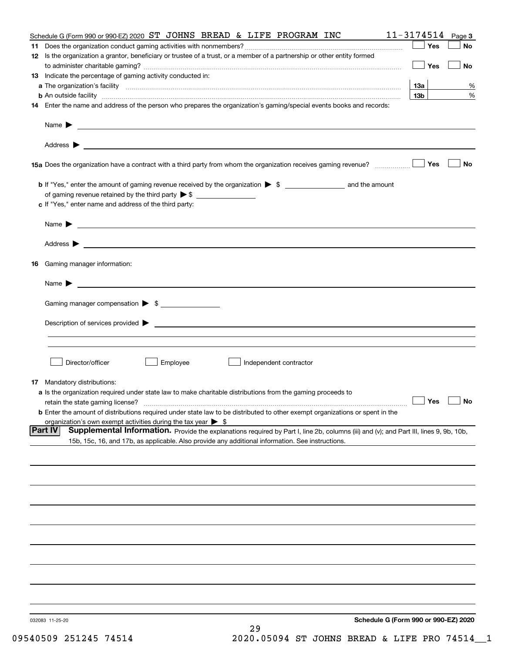|                | Schedule G (Form 990 or 990-EZ) 2020<br>032083 11-25-20<br>29                                                                                                                                                                                                                         |                               |        |
|----------------|---------------------------------------------------------------------------------------------------------------------------------------------------------------------------------------------------------------------------------------------------------------------------------------|-------------------------------|--------|
|                |                                                                                                                                                                                                                                                                                       |                               |        |
|                |                                                                                                                                                                                                                                                                                       |                               |        |
|                |                                                                                                                                                                                                                                                                                       |                               |        |
|                |                                                                                                                                                                                                                                                                                       |                               |        |
|                |                                                                                                                                                                                                                                                                                       |                               |        |
|                |                                                                                                                                                                                                                                                                                       |                               |        |
|                |                                                                                                                                                                                                                                                                                       |                               |        |
|                |                                                                                                                                                                                                                                                                                       |                               |        |
|                |                                                                                                                                                                                                                                                                                       |                               |        |
|                | 15b, 15c, 16, and 17b, as applicable. Also provide any additional information. See instructions.                                                                                                                                                                                      |                               |        |
| <b>Part IV</b> | organization's own exempt activities during the tax year $\triangleright$ \$<br>Supplemental Information. Provide the explanations required by Part I, line 2b, columns (iii) and (v); and Part III, lines 9, 9b, 10b,                                                                |                               |        |
|                | retain the state gaming license?<br><b>b</b> Enter the amount of distributions required under state law to be distributed to other exempt organizations or spent in the                                                                                                               |                               |        |
|                | a Is the organization required under state law to make charitable distributions from the gaming proceeds to                                                                                                                                                                           | $\Box$ Yes $\Box$ No          |        |
|                | 17 Mandatory distributions:                                                                                                                                                                                                                                                           |                               |        |
|                | Director/officer<br>Employee<br>Independent contractor                                                                                                                                                                                                                                |                               |        |
|                |                                                                                                                                                                                                                                                                                       |                               |        |
|                |                                                                                                                                                                                                                                                                                       |                               |        |
|                | Gaming manager compensation > \$                                                                                                                                                                                                                                                      |                               |        |
|                | Name $\blacktriangleright$ $\frac{1}{\sqrt{1-\frac{1}{2}}\left(1-\frac{1}{2}\right)}$                                                                                                                                                                                                 |                               |        |
|                |                                                                                                                                                                                                                                                                                       |                               |        |
|                | 16 Gaming manager information:                                                                                                                                                                                                                                                        |                               |        |
|                |                                                                                                                                                                                                                                                                                       |                               |        |
|                | Name $\blacktriangleright$ $\_\_\_\_\_\_\_\_\$                                                                                                                                                                                                                                        |                               |        |
|                | c If "Yes," enter name and address of the third party:                                                                                                                                                                                                                                |                               |        |
|                | <b>b</b> If "Yes," enter the amount of gaming revenue received by the organization $\triangleright$ \$ ___________________ and the amount                                                                                                                                             |                               |        |
|                |                                                                                                                                                                                                                                                                                       |                               |        |
|                | 15a Does the organization have a contract with a third party from whom the organization receives gaming revenue?                                                                                                                                                                      | Yes                           | No     |
|                |                                                                                                                                                                                                                                                                                       |                               |        |
|                |                                                                                                                                                                                                                                                                                       |                               |        |
|                | <b>b</b> An outside facility <i>www.communicality www.communicality.communicality www.communicality www.communicality.communicality www.communicality.com</i><br>14 Enter the name and address of the person who prepares the organization's gaming/special events books and records: |                               |        |
|                |                                                                                                                                                                                                                                                                                       | <u>13a</u><br>13 <sub>b</sub> | %<br>% |
|                | 13 Indicate the percentage of gaming activity conducted in:                                                                                                                                                                                                                           |                               |        |
|                | 12 Is the organization a grantor, beneficiary or trustee of a trust, or a member of a partnership or other entity formed                                                                                                                                                              | Yes                           | No     |
|                |                                                                                                                                                                                                                                                                                       | Yes                           | No     |
|                | Schedule G (Form 990 or 990-EZ) 2020 ST JOHNS BREAD & LIFE PROGRAM INC                                                                                                                                                                                                                | $11 - 3174514$ Page 3         |        |

09540509 251245 74514 2020.05094 ST JOHNS BREAD & LIFE PRO 74514 1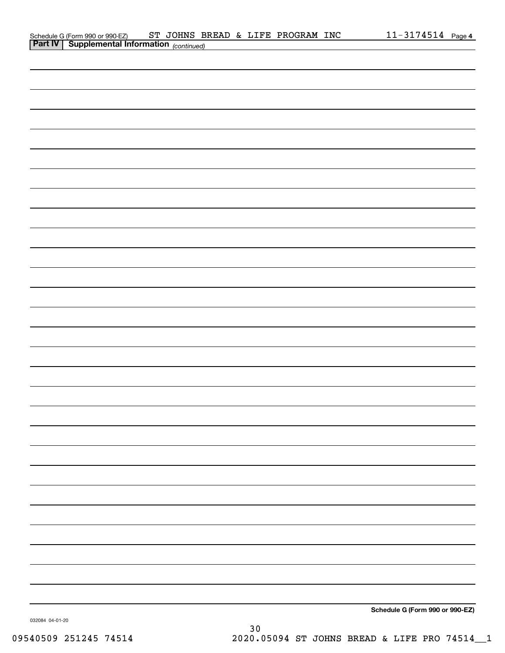| Schedule G (Form 990 or 990-EZ)                            |  |  | ST JOHNS BREAD & LIFE PROGRAM INC | $11 - 3174514$ Page 4 |  |
|------------------------------------------------------------|--|--|-----------------------------------|-----------------------|--|
| <b>Part IV</b>   Supplemental Information $_{(continued)}$ |  |  |                                   |                       |  |

| <b>Part IV</b> Supplemental Information (continued) |  |                                 |
|-----------------------------------------------------|--|---------------------------------|
|                                                     |  |                                 |
|                                                     |  |                                 |
|                                                     |  |                                 |
|                                                     |  |                                 |
|                                                     |  |                                 |
|                                                     |  |                                 |
|                                                     |  |                                 |
|                                                     |  |                                 |
|                                                     |  |                                 |
|                                                     |  |                                 |
|                                                     |  |                                 |
|                                                     |  |                                 |
|                                                     |  |                                 |
|                                                     |  |                                 |
|                                                     |  |                                 |
|                                                     |  |                                 |
|                                                     |  |                                 |
|                                                     |  |                                 |
|                                                     |  |                                 |
|                                                     |  |                                 |
|                                                     |  |                                 |
|                                                     |  |                                 |
|                                                     |  |                                 |
|                                                     |  |                                 |
|                                                     |  |                                 |
|                                                     |  |                                 |
|                                                     |  |                                 |
|                                                     |  |                                 |
|                                                     |  |                                 |
|                                                     |  |                                 |
|                                                     |  |                                 |
|                                                     |  |                                 |
|                                                     |  |                                 |
|                                                     |  |                                 |
|                                                     |  |                                 |
|                                                     |  |                                 |
|                                                     |  |                                 |
|                                                     |  |                                 |
|                                                     |  |                                 |
|                                                     |  |                                 |
|                                                     |  |                                 |
|                                                     |  |                                 |
|                                                     |  |                                 |
|                                                     |  |                                 |
|                                                     |  |                                 |
|                                                     |  |                                 |
|                                                     |  |                                 |
|                                                     |  | Schedule G (Form 990 or 990-EZ) |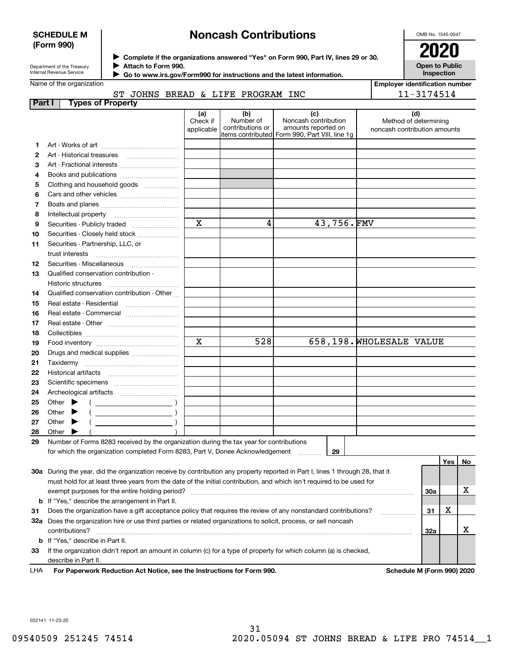#### **SCHEDULE M (Form 990)**

# **Noncash Contributions**

OMB No. 1545-0047

**Open to Public Inspection**

| Department of the Treasury |
|----------------------------|
| Internal Revenue Service   |

**Complete if the organizations answered "Yes" on Form 990, Part IV, lines 29 or 30.** <sup>J</sup>**2020 Attach to Form 990.** J

 **Go to www.irs.gov/Form990 for instructions and the latest information.** J

| Name of the organization |  |
|--------------------------|--|
|--------------------------|--|

| <b>Employer identification number</b> |
|---------------------------------------|
| 11-3174514                            |

#### **Part I Types of Property** ST JOHNS BREAD & LIFE PROGRAM INC

|              |                                                                                                                                | (a)<br>Check if<br>applicable | (b)<br>Number of<br>contributions or | (c)<br>Noncash contribution<br>amounts reported on<br>items contributed Form 990, Part VIII, line 1g | Method of determining<br>noncash contribution amounts | (d) |     |    |
|--------------|--------------------------------------------------------------------------------------------------------------------------------|-------------------------------|--------------------------------------|------------------------------------------------------------------------------------------------------|-------------------------------------------------------|-----|-----|----|
| 1.           |                                                                                                                                |                               |                                      |                                                                                                      |                                                       |     |     |    |
| $\mathbf{2}$ |                                                                                                                                |                               |                                      |                                                                                                      |                                                       |     |     |    |
| з            | Art - Fractional interests                                                                                                     |                               |                                      |                                                                                                      |                                                       |     |     |    |
| 4            | Books and publications                                                                                                         |                               |                                      |                                                                                                      |                                                       |     |     |    |
| 5            | Clothing and household goods                                                                                                   |                               |                                      |                                                                                                      |                                                       |     |     |    |
| 6            |                                                                                                                                |                               |                                      |                                                                                                      |                                                       |     |     |    |
| 7            |                                                                                                                                |                               |                                      |                                                                                                      |                                                       |     |     |    |
| 8            | Intellectual property                                                                                                          |                               |                                      |                                                                                                      |                                                       |     |     |    |
| 9            | Securities - Publicly traded                                                                                                   | x                             | 4                                    | 43,756.FMV                                                                                           |                                                       |     |     |    |
| 10           | Securities - Closely held stock                                                                                                |                               |                                      |                                                                                                      |                                                       |     |     |    |
| 11           | Securities - Partnership, LLC, or                                                                                              |                               |                                      |                                                                                                      |                                                       |     |     |    |
|              | trust interests                                                                                                                |                               |                                      |                                                                                                      |                                                       |     |     |    |
| 12           |                                                                                                                                |                               |                                      |                                                                                                      |                                                       |     |     |    |
| 13           | Qualified conservation contribution -                                                                                          |                               |                                      |                                                                                                      |                                                       |     |     |    |
|              | Historic structures                                                                                                            |                               |                                      |                                                                                                      |                                                       |     |     |    |
| 14           | Qualified conservation contribution - Other                                                                                    |                               |                                      |                                                                                                      |                                                       |     |     |    |
| 15           | Real estate - Residential                                                                                                      |                               |                                      |                                                                                                      |                                                       |     |     |    |
| 16           | Real estate - Commercial                                                                                                       |                               |                                      |                                                                                                      |                                                       |     |     |    |
| 17           |                                                                                                                                |                               |                                      |                                                                                                      |                                                       |     |     |    |
| 18           |                                                                                                                                |                               |                                      |                                                                                                      |                                                       |     |     |    |
| 19           |                                                                                                                                | $\mathbf X$                   | 528                                  |                                                                                                      | 658,198. WHOLESALE VALUE                              |     |     |    |
| 20           | Drugs and medical supplies                                                                                                     |                               |                                      |                                                                                                      |                                                       |     |     |    |
| 21           |                                                                                                                                |                               |                                      |                                                                                                      |                                                       |     |     |    |
| 22           |                                                                                                                                |                               |                                      |                                                                                                      |                                                       |     |     |    |
| 23           |                                                                                                                                |                               |                                      |                                                                                                      |                                                       |     |     |    |
| 24           |                                                                                                                                |                               |                                      |                                                                                                      |                                                       |     |     |    |
| 25           | Other $\blacktriangleright$                                                                                                    |                               |                                      |                                                                                                      |                                                       |     |     |    |
| 26           | Other $\blacktriangleright$                                                                                                    |                               |                                      |                                                                                                      |                                                       |     |     |    |
| 27           | Other $\blacktriangleright$                                                                                                    |                               |                                      |                                                                                                      |                                                       |     |     |    |
| 28           | Other                                                                                                                          |                               |                                      |                                                                                                      |                                                       |     |     |    |
| 29           | Number of Forms 8283 received by the organization during the tax year for contributions                                        |                               |                                      |                                                                                                      |                                                       |     |     |    |
|              | for which the organization completed Form 8283, Part V, Donee Acknowledgement                                                  |                               |                                      | 29                                                                                                   |                                                       |     | Yes | No |
|              | 30a During the year, did the organization receive by contribution any property reported in Part I, lines 1 through 28, that it |                               |                                      |                                                                                                      |                                                       |     |     |    |
|              | must hold for at least three years from the date of the initial contribution, and which isn't required to be used for          |                               |                                      |                                                                                                      |                                                       |     |     |    |
|              | exempt purposes for the entire holding period?                                                                                 |                               |                                      |                                                                                                      |                                                       | 30a |     | x  |
| b            | If "Yes," describe the arrangement in Part II.                                                                                 |                               |                                      |                                                                                                      |                                                       |     |     |    |
| 31           | Does the organization have a gift acceptance policy that requires the review of any nonstandard contributions?                 |                               |                                      |                                                                                                      |                                                       | 31  | х   |    |
| 32a          | Does the organization hire or use third parties or related organizations to solicit, process, or sell noncash                  |                               |                                      |                                                                                                      |                                                       |     |     |    |
|              | contributions?                                                                                                                 |                               |                                      |                                                                                                      |                                                       | 32a |     | х  |

**For Paperwork Reduction Act Notice, see the Instructions for Form 990. Schedule M (Form 990) 2020** describe in Part II. LHA

**33**If the organization didn't report an amount in column (c) for a type of property for which column (a) is checked,

032141 11-23-20

**b** If "Yes," describe in Part II.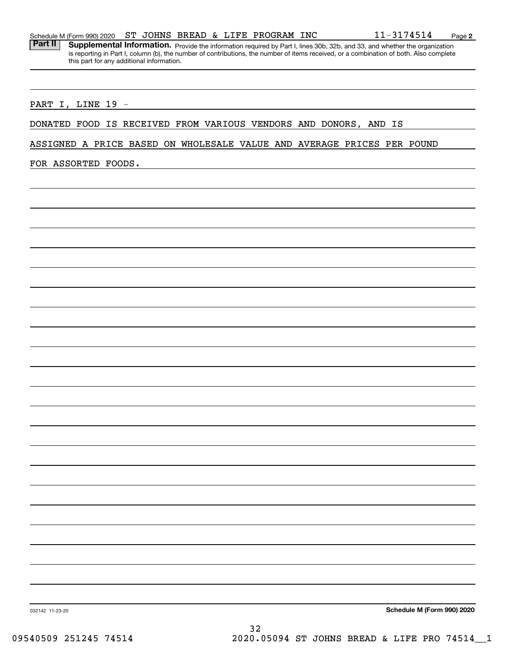|  | Schedule M (Form 990) 2020 | ST. |  |  |  |  | JOHNS BREAD & LIFE PROGRAM | <b>INC</b> | 74514<br>- 215 | Page |  |
|--|----------------------------|-----|--|--|--|--|----------------------------|------------|----------------|------|--|
|--|----------------------------|-----|--|--|--|--|----------------------------|------------|----------------|------|--|

Part II | Supplemental Information. Provide the information required by Part I, lines 30b, 32b, and 33, and whether the organization is reporting in Part I, column (b), the number of contributions, the number of items received, or a combination of both. Also complete this part for any additional information.

#### PART I, LINE 19 -

### DONATED FOOD IS RECEIVED FROM VARIOUS VENDORS AND DONORS, AND IS

ASSIGNED A PRICE BASED ON WHOLESALE VALUE AND AVERAGE PRICES PER POUND

FOR ASSORTED FOODS.

**Schedule M (Form 990) 2020**

032142 11-23-20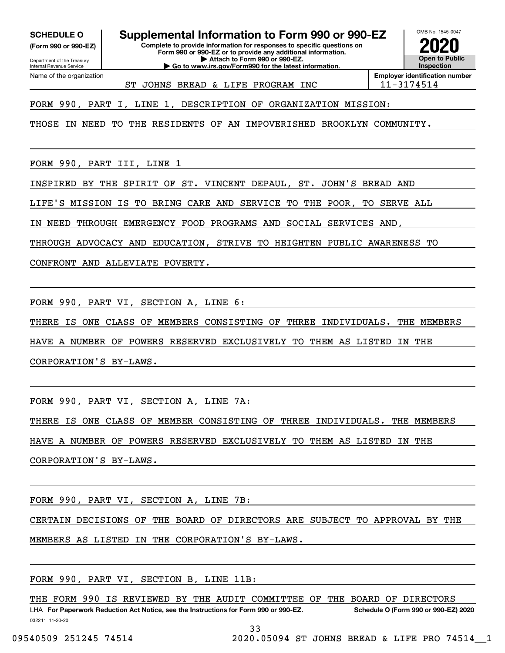**(Form 990 or 990-EZ)**

Department of the Treasury

Internal Revenue Service Name of the organization

**SCHEDULE O Supplemental Information to Form 990 or 990-EZ**

**Complete to provide information for responses to specific questions on Form 990 or 990-EZ or to provide any additional information. | Attach to Form 990 or 990-EZ. | Go to www.irs.gov/Form990 for the latest information.**



ST JOHNS BREAD & LIFE PROGRAM INC | 11-3174514

FORM 990, PART I, LINE 1, DESCRIPTION OF ORGANIZATION MISSION:

THOSE IN NEED TO THE RESIDENTS OF AN IMPOVERISHED BROOKLYN COMMUNITY.

FORM 990, PART III, LINE 1

INSPIRED BY THE SPIRIT OF ST. VINCENT DEPAUL, ST. JOHN'S BREAD AND

LIFE'S MISSION IS TO BRING CARE AND SERVICE TO THE POOR, TO SERVE ALL

IN NEED THROUGH EMERGENCY FOOD PROGRAMS AND SOCIAL SERVICES AND,

THROUGH ADVOCACY AND EDUCATION, STRIVE TO HEIGHTEN PUBLIC AWARENESS TO

CONFRONT AND ALLEVIATE POVERTY.

FORM 990, PART VI, SECTION A, LINE 6:

THERE IS ONE CLASS OF MEMBERS CONSISTING OF THREE INDIVIDUALS. THE MEMBERS

HAVE A NUMBER OF POWERS RESERVED EXCLUSIVELY TO THEM AS LISTED IN THE

CORPORATION'S BY-LAWS.

FORM 990, PART VI, SECTION A, LINE 7A:

THERE IS ONE CLASS OF MEMBER CONSISTING OF THREE INDIVIDUALS. THE MEMBERS

HAVE A NUMBER OF POWERS RESERVED EXCLUSIVELY TO THEM AS LISTED IN THE

CORPORATION'S BY-LAWS.

FORM 990, PART VI, SECTION A, LINE 7B:

CERTAIN DECISIONS OF THE BOARD OF DIRECTORS ARE SUBJECT TO APPROVAL BY THE

MEMBERS AS LISTED IN THE CORPORATION'S BY-LAWS.

FORM 990, PART VI, SECTION B, LINE 11B:

032211 11-20-20 LHA For Paperwork Reduction Act Notice, see the Instructions for Form 990 or 990-EZ. Schedule O (Form 990 or 990-EZ) 2020 THE FORM 990 IS REVIEWED BY THE AUDIT COMMITTEE OF THE BOARD OF DIRECTORS

33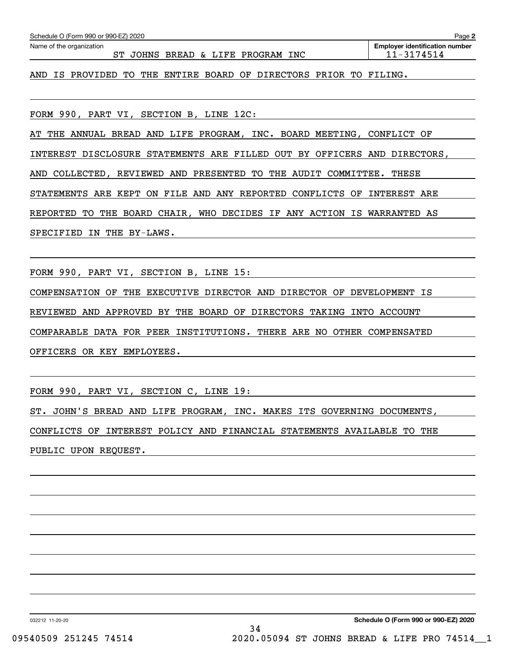| Schedule O (Form 990 or 990-EZ) 2020                                  | Page 2                                              |
|-----------------------------------------------------------------------|-----------------------------------------------------|
| Name of the organization<br>ST JOHNS BREAD & LIFE PROGRAM INC         | <b>Employer identification number</b><br>11-3174514 |
| AND IS PROVIDED TO THE ENTIRE BOARD OF DIRECTORS PRIOR TO FILING.     |                                                     |
|                                                                       |                                                     |
| FORM 990, PART VI, SECTION B, LINE 12C:                               |                                                     |
| AT THE ANNUAL BREAD AND LIFE PROGRAM, INC. BOARD MEETING, CONFLICT OF |                                                     |

INTEREST DISCLOSURE STATEMENTS ARE FILLED OUT BY OFFICERS AND DIRECTORS,

AND COLLECTED, REVIEWED AND PRESENTED TO THE AUDIT COMMITTEE. THESE

STATEMENTS ARE KEPT ON FILE AND ANY REPORTED CONFLICTS OF INTEREST ARE

REPORTED TO THE BOARD CHAIR, WHO DECIDES IF ANY ACTION IS WARRANTED AS

SPECIFIED IN THE BY-LAWS.

FORM 990, PART VI, SECTION B, LINE 15:

COMPENSATION OF THE EXECUTIVE DIRECTOR AND DIRECTOR OF DEVELOPMENT IS

REVIEWED AND APPROVED BY THE BOARD OF DIRECTORS TAKING INTO ACCOUNT

COMPARABLE DATA FOR PEER INSTITUTIONS. THERE ARE NO OTHER COMPENSATED

OFFICERS OR KEY EMPLOYEES.

FORM 990, PART VI, SECTION C, LINE 19:

ST. JOHN'S BREAD AND LIFE PROGRAM, INC. MAKES ITS GOVERNING DOCUMENTS, CONFLICTS OF INTEREST POLICY AND FINANCIAL STATEMENTS AVAILABLE TO THE PUBLIC UPON REQUEST.

032212 11-20-20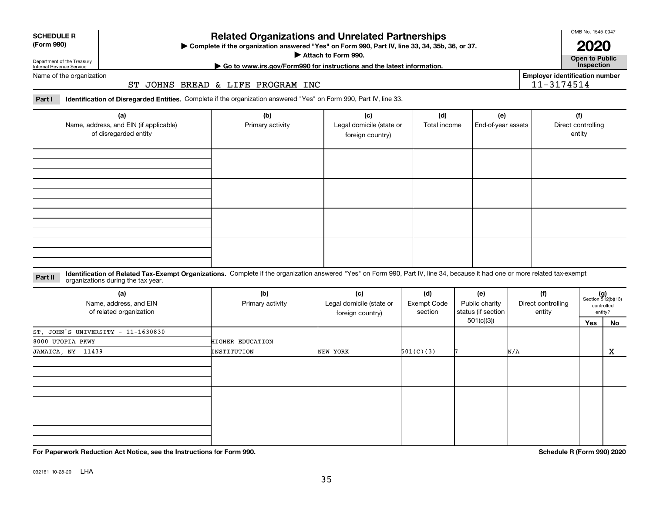| Department of the Treasury |
|----------------------------|
| Internal Revenue Service   |
|                            |

**SCHEDULE R (Form 990)**

# **Related Organizations and Unrelated Partnerships**

**Complete if the organization answered "Yes" on Form 990, Part IV, line 33, 34, 35b, 36, or 37.** |

**Attach to Form 990.**  |

OMB No. 1545-0047 **2020**

**Open to Public | Go to www.irs.gov/Form990 for instructions and the latest information. Inspection**

11-3174514

**Employer identification number**

Name of the organization

ST JOHNS BREAD & LIFE PROGRAM INC

**Part I Identification of Disregarded Entities.**  Complete if the organization answered "Yes" on Form 990, Part IV, line 33.

| (a)<br>Name, address, and EIN (if applicable)<br>of disregarded entity | (b)<br>Primary activity | (c)<br>Legal domicile (state or<br>foreign country) | (d)<br>Total income | (e)<br>End-of-year assets | (f)<br>Direct controlling<br>entity |
|------------------------------------------------------------------------|-------------------------|-----------------------------------------------------|---------------------|---------------------------|-------------------------------------|
|                                                                        |                         |                                                     |                     |                           |                                     |
|                                                                        |                         |                                                     |                     |                           |                                     |
|                                                                        |                         |                                                     |                     |                           |                                     |
|                                                                        |                         |                                                     |                     |                           |                                     |

**Identification of Related Tax-Exempt Organizations.** Complete if the organization answered "Yes" on Form 990, Part IV, line 34, because it had one or more related tax-exempt **Part II** organizations during the tax year.

| (a)<br>Name, address, and EIN<br>of related organization | (b)<br>Primary activity | (c)<br>Legal domicile (state or<br>foreign country) | (d)<br>Exempt Code<br>section | (e)<br>Public charity<br>status (if section | (f)<br>Direct controlling<br>entity |     | $(g)$<br>Section 512(b)(13)<br>controlled<br>entity? |
|----------------------------------------------------------|-------------------------|-----------------------------------------------------|-------------------------------|---------------------------------------------|-------------------------------------|-----|------------------------------------------------------|
|                                                          |                         |                                                     |                               | 501(c)(3))                                  |                                     | Yes | No                                                   |
| $ST.$ JOHN'S UNIVERSITY - 11-1630830                     |                         |                                                     |                               |                                             |                                     |     |                                                      |
| 8000 UTOPIA PKWY                                         | HIGHER EDUCATION        |                                                     |                               |                                             |                                     |     |                                                      |
| JAMAICA, NY 11439                                        | INSTITUTION             | NEW YORK                                            | 501(C)(3)                     |                                             | N/A                                 |     | x                                                    |
|                                                          |                         |                                                     |                               |                                             |                                     |     |                                                      |
|                                                          |                         |                                                     |                               |                                             |                                     |     |                                                      |
|                                                          |                         |                                                     |                               |                                             |                                     |     |                                                      |

**For Paperwork Reduction Act Notice, see the Instructions for Form 990. Schedule R (Form 990) 2020**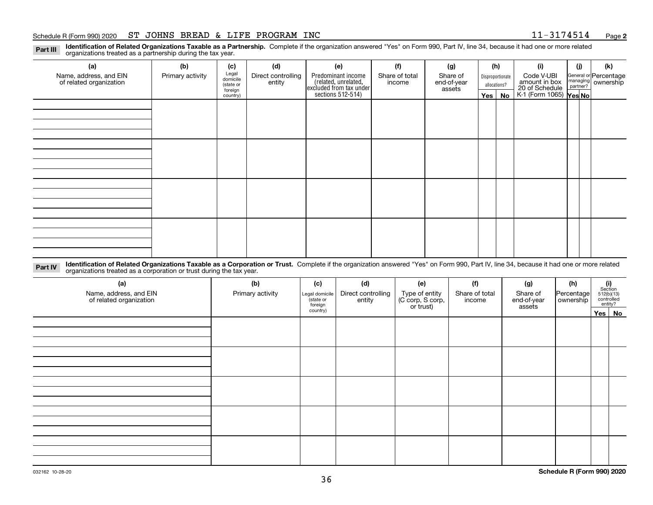#### Schedule R (Form 990) 2020 Page ST JOHNS BREAD & LIFE PROGRAM INC 11-3174514

**2**

**Identification of Related Organizations Taxable as a Partnership.** Complete if the organization answered "Yes" on Form 990, Part IV, line 34, because it had one or more related **Part III** organizations treated as a partnership during the tax year.

| (a)                     | (b)              | (c)                  | (d)                | (e)                                                                 | (f)            | (g)                   |              | (h)              | (i)                                      | (j) | (k)                                                       |  |
|-------------------------|------------------|----------------------|--------------------|---------------------------------------------------------------------|----------------|-----------------------|--------------|------------------|------------------------------------------|-----|-----------------------------------------------------------|--|
| Name, address, and EIN  | Primary activity | Legal<br>domicile    | Direct controlling | Predominant income                                                  | Share of total | Share of              |              | Disproportionate | Code V-UBI                               |     | General or Percentage<br>managing<br>partner?<br>partner? |  |
| of related organization |                  | (state or<br>foreign | entity             | related, unrelated,<br>excluded from tax under<br>sections 512-514) | income         | end-of-year<br>assets | allocations? |                  | amount in box                            |     |                                                           |  |
|                         |                  | country)             |                    |                                                                     |                |                       |              | Yes   No         | 20 of Schedule<br>K-1 (Form 1065) Yes No |     |                                                           |  |
|                         |                  |                      |                    |                                                                     |                |                       |              |                  |                                          |     |                                                           |  |
|                         |                  |                      |                    |                                                                     |                |                       |              |                  |                                          |     |                                                           |  |
|                         |                  |                      |                    |                                                                     |                |                       |              |                  |                                          |     |                                                           |  |
|                         |                  |                      |                    |                                                                     |                |                       |              |                  |                                          |     |                                                           |  |
|                         |                  |                      |                    |                                                                     |                |                       |              |                  |                                          |     |                                                           |  |
|                         |                  |                      |                    |                                                                     |                |                       |              |                  |                                          |     |                                                           |  |
|                         |                  |                      |                    |                                                                     |                |                       |              |                  |                                          |     |                                                           |  |
|                         |                  |                      |                    |                                                                     |                |                       |              |                  |                                          |     |                                                           |  |
|                         |                  |                      |                    |                                                                     |                |                       |              |                  |                                          |     |                                                           |  |
|                         |                  |                      |                    |                                                                     |                |                       |              |                  |                                          |     |                                                           |  |
|                         |                  |                      |                    |                                                                     |                |                       |              |                  |                                          |     |                                                           |  |
|                         |                  |                      |                    |                                                                     |                |                       |              |                  |                                          |     |                                                           |  |
|                         |                  |                      |                    |                                                                     |                |                       |              |                  |                                          |     |                                                           |  |
|                         |                  |                      |                    |                                                                     |                |                       |              |                  |                                          |     |                                                           |  |
|                         |                  |                      |                    |                                                                     |                |                       |              |                  |                                          |     |                                                           |  |
|                         |                  |                      |                    |                                                                     |                |                       |              |                  |                                          |     |                                                           |  |
|                         |                  |                      |                    |                                                                     |                |                       |              |                  |                                          |     |                                                           |  |

**Identification of Related Organizations Taxable as a Corporation or Trust.** Complete if the organization answered "Yes" on Form 990, Part IV, line 34, because it had one or more related **Part IV** organizations treated as a corporation or trust during the tax year.

| (a)<br>Name, address, and EIN<br>of related organization | (b)<br>Primary activity | (c)<br>Legal domicile<br>(state or<br>foreign | (d)<br>Direct controlling<br>entity | (e)<br>Type of entity<br>(C corp, S corp,<br>or trust) | (f)<br>Share of total<br>income | (g)<br>Share of<br>end-of-year<br>assets | (h)<br> Percentage <br>ownership | $\begin{array}{c} \textbf{(i)}\\ \text{Section}\\ 512 \text{(b)} \text{(13)}\\ \text{controlled}\\ \text{entity?} \end{array}$ |        |
|----------------------------------------------------------|-------------------------|-----------------------------------------------|-------------------------------------|--------------------------------------------------------|---------------------------------|------------------------------------------|----------------------------------|--------------------------------------------------------------------------------------------------------------------------------|--------|
|                                                          |                         | country)                                      |                                     |                                                        |                                 |                                          |                                  |                                                                                                                                | Yes No |
|                                                          |                         |                                               |                                     |                                                        |                                 |                                          |                                  |                                                                                                                                |        |
|                                                          |                         |                                               |                                     |                                                        |                                 |                                          |                                  |                                                                                                                                |        |
|                                                          |                         |                                               |                                     |                                                        |                                 |                                          |                                  |                                                                                                                                |        |
|                                                          |                         |                                               |                                     |                                                        |                                 |                                          |                                  |                                                                                                                                |        |
|                                                          |                         |                                               |                                     |                                                        |                                 |                                          |                                  |                                                                                                                                |        |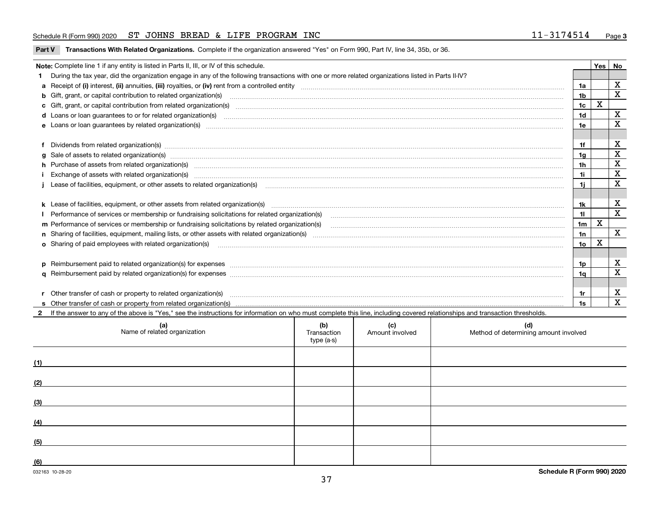#### Schedule R (Form 990) 2020 Page ST JOHNS BREAD & LIFE PROGRAM INC 11-3174514

**Part V** T**ransactions With Related Organizations.** Complete if the organization answered "Yes" on Form 990, Part IV, line 34, 35b, or 36.

| Note: Complete line 1 if any entity is listed in Parts II, III, or IV of this schedule. |                                                                                                                                                                                                                                   |                 |   |                         |  |  |  |
|-----------------------------------------------------------------------------------------|-----------------------------------------------------------------------------------------------------------------------------------------------------------------------------------------------------------------------------------|-----------------|---|-------------------------|--|--|--|
|                                                                                         | During the tax year, did the organization engage in any of the following transactions with one or more related organizations listed in Parts II-IV?                                                                               |                 |   |                         |  |  |  |
|                                                                                         | a Receipt of (i) interest, (ii) annuities, (iii) royalties, or (iv) rent from a controlled entity [1] controllection [1] controllection [1] controllection [1] controllection [1] controllection [1] controlled entity [1] con    | 1a              |   | X                       |  |  |  |
|                                                                                         | b Gift, grant, or capital contribution to related organization(s) manufactured and contribution to related organization(s)                                                                                                        | 1 <sub>b</sub>  |   | X                       |  |  |  |
|                                                                                         |                                                                                                                                                                                                                                   | 1c              | X |                         |  |  |  |
|                                                                                         | d Loans or loan guarantees to or for related organization(s) www.communities.com/www.communities.com/www.communities.com/www.communities.com/www.communities.com/www.communities.com/www.communities.com/www.communities.com/w    | 1 <sub>d</sub>  |   | $\mathbf X$             |  |  |  |
|                                                                                         |                                                                                                                                                                                                                                   | 1e              |   | $\mathbf x$             |  |  |  |
|                                                                                         |                                                                                                                                                                                                                                   |                 |   |                         |  |  |  |
|                                                                                         | Dividends from related organization(s) Entertainment and the contract of the contract of the contract of the contract of the contract of the contract of the contract of the contract of the contract of the contract of the c    | 1f              |   | $\mathbf X$             |  |  |  |
|                                                                                         | g Sale of assets to related organization(s) www.assettion.com/www.assettion.com/www.assettion.com/www.assettion.com/www.assettion.com/www.assettion.com/www.assettion.com/www.assettion.com/www.assettion.com/www.assettion.co    | 1 <sub>g</sub>  |   | $\mathbf X$             |  |  |  |
|                                                                                         |                                                                                                                                                                                                                                   | 1 <sub>h</sub>  |   | $\mathbf X$             |  |  |  |
|                                                                                         |                                                                                                                                                                                                                                   | 1i.             |   | $\mathbf X$             |  |  |  |
|                                                                                         | Lease of facilities, equipment, or other assets to related organization(s) manufactured content to the set of facilities, equipment, or other assets to related organization(s) manufactured content to the set of facilities,    | 11              |   | $\mathbf x$             |  |  |  |
|                                                                                         |                                                                                                                                                                                                                                   |                 |   |                         |  |  |  |
|                                                                                         | k Lease of facilities, equipment, or other assets from related organization(s) manufaction content and content and content and content and content and content and content and content and content and content and content and    | 1k              |   | х                       |  |  |  |
|                                                                                         |                                                                                                                                                                                                                                   | 11              |   | $\overline{\mathbf{x}}$ |  |  |  |
|                                                                                         | m Performance of services or membership or fundraising solicitations by related organization(s)                                                                                                                                   | 1 <sub>m</sub>  | X |                         |  |  |  |
|                                                                                         |                                                                                                                                                                                                                                   | 1n              |   | $\mathbf{x}$            |  |  |  |
|                                                                                         | <b>o</b> Sharing of paid employees with related organization(s)                                                                                                                                                                   | 10 <sub>o</sub> | х |                         |  |  |  |
|                                                                                         |                                                                                                                                                                                                                                   |                 |   |                         |  |  |  |
|                                                                                         |                                                                                                                                                                                                                                   | 1p              |   | х                       |  |  |  |
|                                                                                         |                                                                                                                                                                                                                                   | 1a              |   | $\mathbf x$             |  |  |  |
|                                                                                         |                                                                                                                                                                                                                                   |                 |   |                         |  |  |  |
|                                                                                         | r Other transfer of cash or property to related organization(s)                                                                                                                                                                   | 1r              |   | X                       |  |  |  |
|                                                                                         | r Other transfer of cash or property to related organization(s) www.community.com/www.community.com/www.communi<br>S Other transfer of cash or property from related organization(s) www.community.community.community.community. |                 |   | $\mathbf{x}$            |  |  |  |
|                                                                                         | 2 If the answer to any of the above is "Yes." see the instructions for information on who must complete this line, including covered relationships and transaction thresholds.                                                    |                 |   |                         |  |  |  |

| (a)<br>Name of related organization | (b)<br>Transaction<br>type (a-s) | (c)<br>Amount involved | (d)<br>Method of determining amount involved |
|-------------------------------------|----------------------------------|------------------------|----------------------------------------------|
| (1)                                 |                                  |                        |                                              |
| (2)                                 |                                  |                        |                                              |
| (3)                                 |                                  |                        |                                              |
| (4)                                 |                                  |                        |                                              |
| (5)                                 |                                  |                        |                                              |
| (6)                                 |                                  |                        |                                              |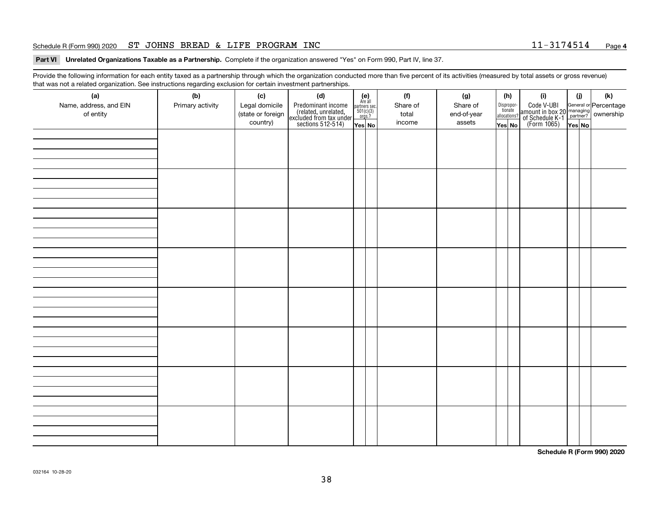#### Schedule R (Form 990) 2020 Page ST JOHNS BREAD & LIFE PROGRAM INC 11-3174514

#### **4**

**Part VI Unrelated Organizations Taxable as a Partnership. Complete if the organization answered "Yes" on Form 990, Part IV, line 37.** 

Provide the following information for each entity taxed as a partnership through which the organization conducted more than five percent of its activities (measured by total assets or gross revenue) that was not a related organization. See instructions regarding exclusion for certain investment partnerships.

| (a)<br>Name, address, and EIN<br>of entity | $\tilde{}$<br>(b)<br>Primary activity | (c)<br>Legal domicile<br>(state or foreign<br>country) | (d)<br>Predominant income<br>(related, unrelated,<br>excluded from tax under<br>sections 512-514) | $(e)$<br>Are all<br>$\begin{array}{c}\n\text{partners} \sec.\n\\ \n501(c)(3)\n\\ \n0rgs.?\n\end{array}$<br>Yes No | (f)<br>Share of<br>total<br>income | (g)<br>Share of<br>end-of-year<br>assets | (h)<br>Dispropor-<br>tionate<br>allocations?<br>Yes No | (i)<br>Code V-UBI<br>amount in box 20 managing<br>of Schedule K-1<br>(Form 1065)<br>$\overline{Yes}$ No | (i)<br>Yes No | (k) |
|--------------------------------------------|---------------------------------------|--------------------------------------------------------|---------------------------------------------------------------------------------------------------|-------------------------------------------------------------------------------------------------------------------|------------------------------------|------------------------------------------|--------------------------------------------------------|---------------------------------------------------------------------------------------------------------|---------------|-----|
|                                            |                                       |                                                        |                                                                                                   |                                                                                                                   |                                    |                                          |                                                        |                                                                                                         |               |     |
|                                            |                                       |                                                        |                                                                                                   |                                                                                                                   |                                    |                                          |                                                        |                                                                                                         |               |     |
|                                            |                                       |                                                        |                                                                                                   |                                                                                                                   |                                    |                                          |                                                        |                                                                                                         |               |     |
|                                            |                                       |                                                        |                                                                                                   |                                                                                                                   |                                    |                                          |                                                        |                                                                                                         |               |     |
|                                            |                                       |                                                        |                                                                                                   |                                                                                                                   |                                    |                                          |                                                        |                                                                                                         |               |     |
|                                            |                                       |                                                        |                                                                                                   |                                                                                                                   |                                    |                                          |                                                        |                                                                                                         |               |     |
|                                            |                                       |                                                        |                                                                                                   |                                                                                                                   |                                    |                                          |                                                        |                                                                                                         |               |     |
|                                            |                                       |                                                        |                                                                                                   |                                                                                                                   |                                    |                                          |                                                        |                                                                                                         |               |     |

**Schedule R (Form 990) 2020**